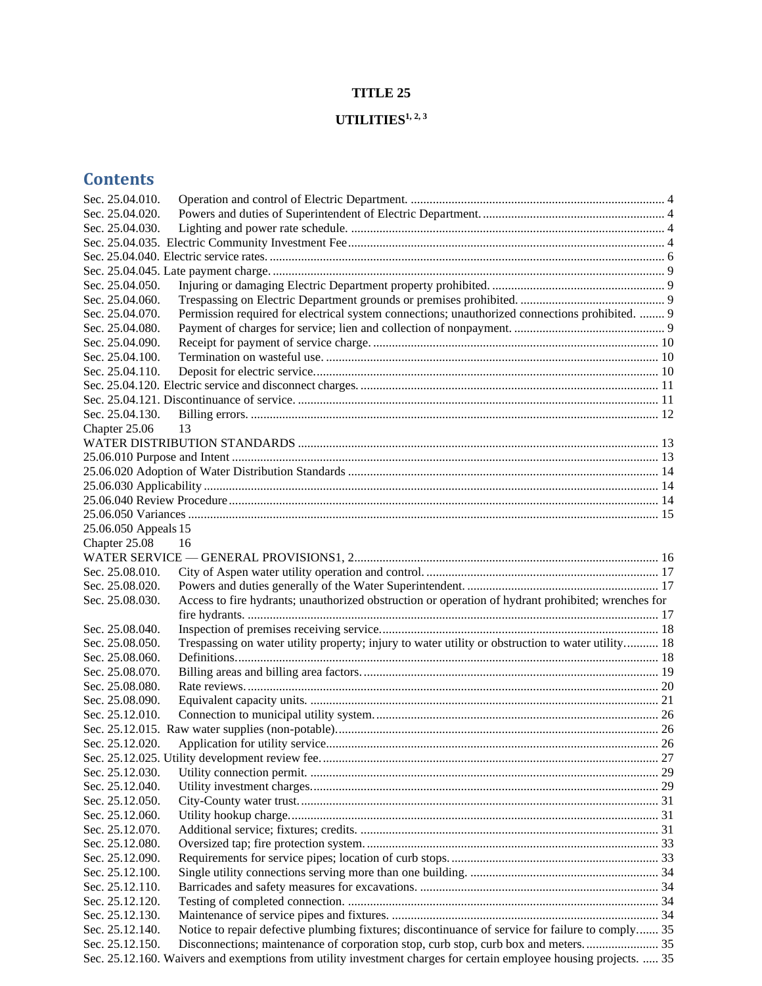# **TITLE 25**

# **UTILITIES1, 2, 3**

| Sec. 25.04.010.                                                                                                       |  |
|-----------------------------------------------------------------------------------------------------------------------|--|
| Sec. 25.04.020.                                                                                                       |  |
| Sec. 25.04.030.                                                                                                       |  |
|                                                                                                                       |  |
|                                                                                                                       |  |
|                                                                                                                       |  |
| Sec. 25.04.050.                                                                                                       |  |
| Sec. 25.04.060.                                                                                                       |  |
| Permission required for electrical system connections; unauthorized connections prohibited.  9<br>Sec. 25.04.070.     |  |
| Sec. 25.04.080.                                                                                                       |  |
| Sec. 25.04.090.                                                                                                       |  |
| Sec. 25.04.100.                                                                                                       |  |
| Sec. 25.04.110.                                                                                                       |  |
|                                                                                                                       |  |
|                                                                                                                       |  |
| Sec. 25.04.130.                                                                                                       |  |
| 13                                                                                                                    |  |
| Chapter 25.06                                                                                                         |  |
|                                                                                                                       |  |
|                                                                                                                       |  |
|                                                                                                                       |  |
|                                                                                                                       |  |
|                                                                                                                       |  |
|                                                                                                                       |  |
| 25.06.050 Appeals 15                                                                                                  |  |
| Chapter 25.08<br>16                                                                                                   |  |
|                                                                                                                       |  |
| Sec. 25.08.010.                                                                                                       |  |
| Sec. 25.08.020.                                                                                                       |  |
| Access to fire hydrants; unauthorized obstruction or operation of hydrant prohibited; wrenches for<br>Sec. 25.08.030. |  |
|                                                                                                                       |  |
| Sec. 25.08.040.                                                                                                       |  |
| Trespassing on water utility property; injury to water utility or obstruction to water utility 18<br>Sec. 25.08.050.  |  |
| Sec. 25.08.060.                                                                                                       |  |
| Sec. 25.08.070.                                                                                                       |  |
| Sec. 25.08.080.                                                                                                       |  |
| Sec. 25.08.090.                                                                                                       |  |
| Sec. 25.12.010.                                                                                                       |  |
|                                                                                                                       |  |
| Sec. 25.12.020.                                                                                                       |  |
|                                                                                                                       |  |
| Sec. 25.12.030.                                                                                                       |  |
| Sec. 25.12.040.                                                                                                       |  |
| Sec. 25.12.050.                                                                                                       |  |
| Sec. 25.12.060.                                                                                                       |  |
| Sec. 25.12.070.                                                                                                       |  |
| Sec. 25.12.080.                                                                                                       |  |
| Sec. 25.12.090.                                                                                                       |  |
| Sec. 25.12.100.                                                                                                       |  |
| Sec. 25.12.110.                                                                                                       |  |
| Sec. 25.12.120.                                                                                                       |  |
| Sec. 25.12.130.                                                                                                       |  |
| Notice to repair defective plumbing fixtures; discontinuance of service for failure to comply 35<br>Sec. 25.12.140.   |  |
| Sec. 25.12.150.                                                                                                       |  |
| Sec. 25.12.160. Waivers and exemptions from utility investment charges for certain employee housing projects.  35     |  |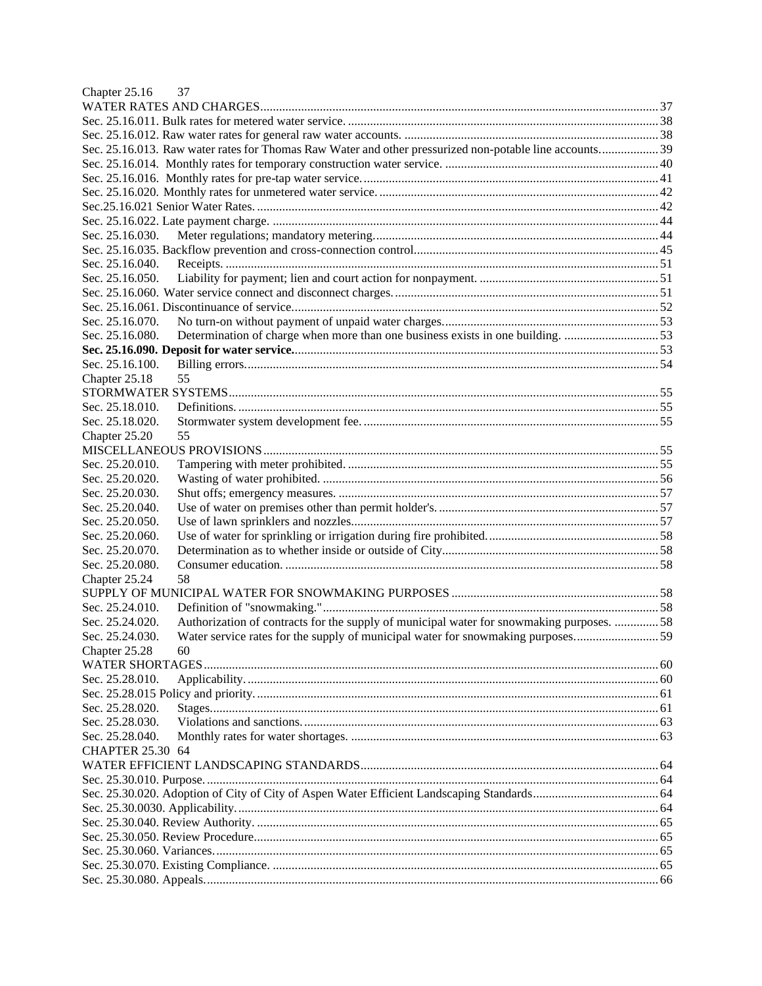| Chapter 25.16<br>37                                                                                         |  |
|-------------------------------------------------------------------------------------------------------------|--|
|                                                                                                             |  |
|                                                                                                             |  |
|                                                                                                             |  |
| Sec. 25.16.013. Raw water rates for Thomas Raw Water and other pressurized non-potable line accounts 39     |  |
|                                                                                                             |  |
|                                                                                                             |  |
|                                                                                                             |  |
|                                                                                                             |  |
|                                                                                                             |  |
| Sec. 25.16.030.                                                                                             |  |
|                                                                                                             |  |
| Sec. 25.16.040.                                                                                             |  |
| Sec. 25.16.050.                                                                                             |  |
|                                                                                                             |  |
|                                                                                                             |  |
| Sec. 25.16.070.                                                                                             |  |
| Determination of charge when more than one business exists in one building. 53<br>Sec. 25.16.080.           |  |
|                                                                                                             |  |
| Sec. 25.16.100.                                                                                             |  |
| 55<br>Chapter 25.18                                                                                         |  |
|                                                                                                             |  |
| Sec. 25.18.010.                                                                                             |  |
| Sec. 25.18.020.                                                                                             |  |
| Chapter 25.20<br>55                                                                                         |  |
|                                                                                                             |  |
| Sec. 25.20.010.                                                                                             |  |
| Sec. 25.20.020.                                                                                             |  |
| Sec. 25.20.030.                                                                                             |  |
| Sec. 25.20.040.                                                                                             |  |
| Sec. 25.20.050.                                                                                             |  |
| Sec. 25.20.060.                                                                                             |  |
| Sec. 25.20.070.                                                                                             |  |
| Sec. 25.20.080.                                                                                             |  |
| 58<br>Chapter 25.24                                                                                         |  |
|                                                                                                             |  |
| Sec. 25.24.010.                                                                                             |  |
| Authorization of contracts for the supply of municipal water for snowmaking purposes. 58<br>Sec. 25.24.020. |  |
| Water service rates for the supply of municipal water for snowmaking purposes59<br>Sec. 25.24.030.          |  |
| Chapter 25.28<br>60                                                                                         |  |
|                                                                                                             |  |
| Sec. 25.28.010.                                                                                             |  |
|                                                                                                             |  |
| Sec. 25.28.020.                                                                                             |  |
| Sec. 25.28.030.                                                                                             |  |
| Sec. 25.28.040.                                                                                             |  |
| <b>CHAPTER 25.30 64</b>                                                                                     |  |
|                                                                                                             |  |
|                                                                                                             |  |
|                                                                                                             |  |
|                                                                                                             |  |
|                                                                                                             |  |
|                                                                                                             |  |
|                                                                                                             |  |
|                                                                                                             |  |
|                                                                                                             |  |
|                                                                                                             |  |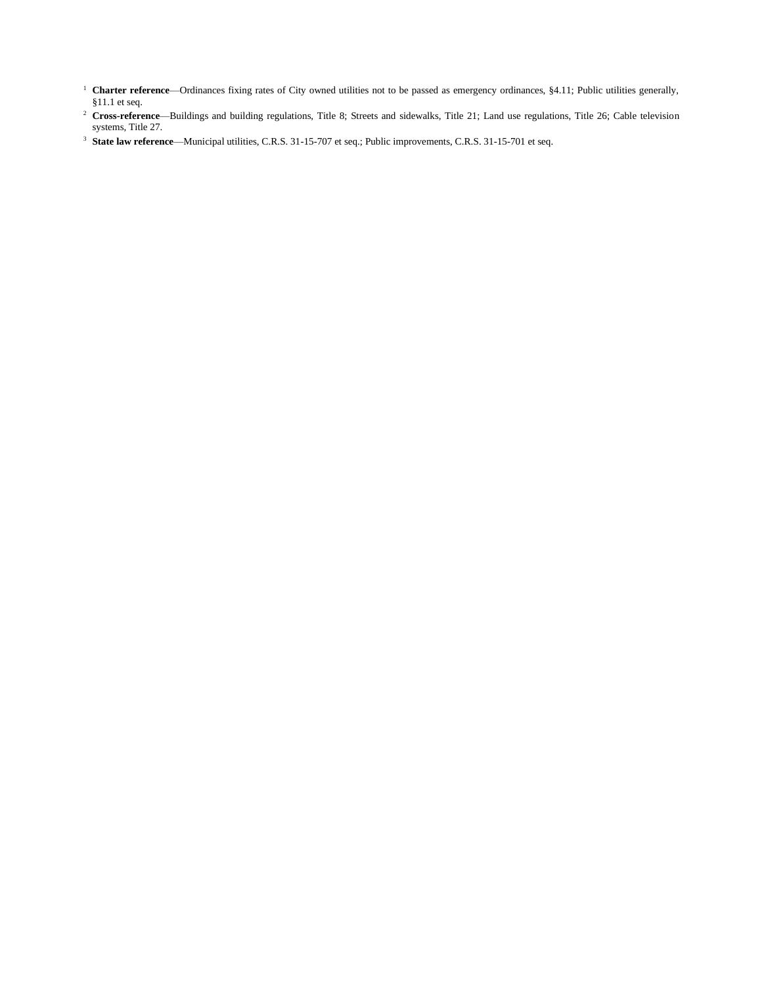- <sup>1</sup> **Charter reference**—Ordinances fixing rates of City owned utilities not to be passed as emergency ordinances, §4.11; Public utilities generally, §11.1 et seq.
- <sup>2</sup> Cross-reference—Buildings and building regulations, Title 8; Streets and sidewalks, Title 21; Land use regulations, Title 26; Cable television systems, Title 27.
- <sup>3</sup> **State law reference**—Municipal utilities, C.R.S. 31-15-707 et seq.; Public improvements, C.R.S. 31-15-701 et seq.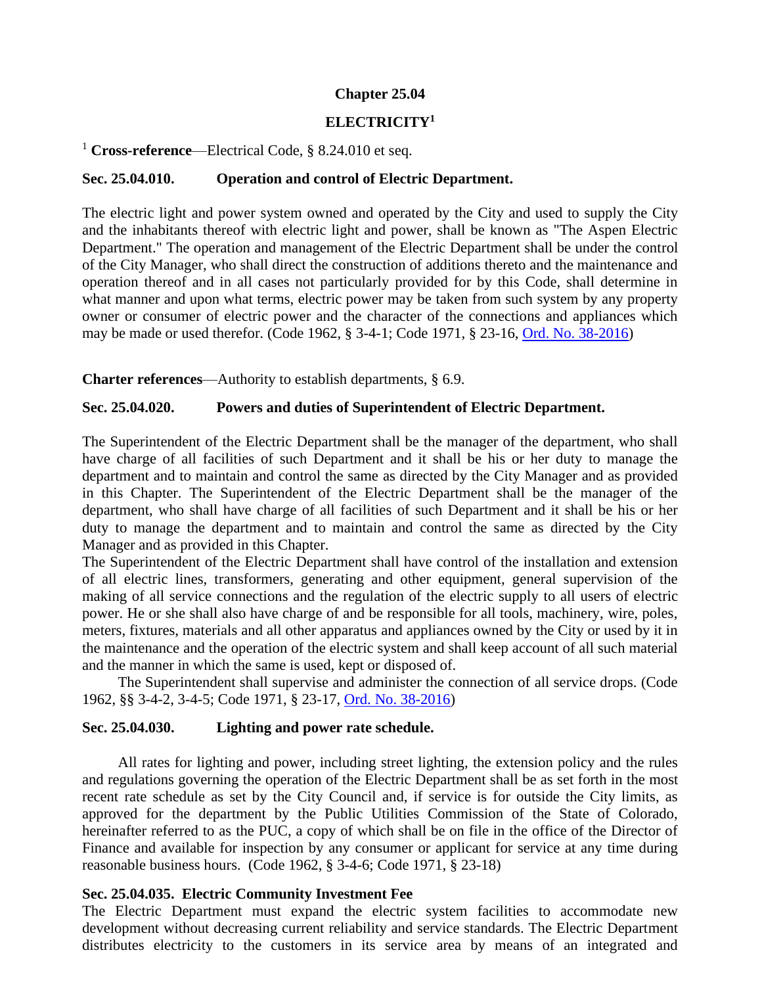#### **Chapter 25.04**

# **ELECTRICITY<sup>1</sup>**

## <sup>1</sup> **Cross-reference**—Electrical Code, § 8.24.010 et seq.

## <span id="page-3-0"></span>**Sec. 25.04.010. Operation and control of Electric Department.**

The electric light and power system owned and operated by the City and used to supply the City and the inhabitants thereof with electric light and power, shall be known as "The Aspen Electric Department." The operation and management of the Electric Department shall be under the control of the City Manager, who shall direct the construction of additions thereto and the maintenance and operation thereof and in all cases not particularly provided for by this Code, shall determine in what manner and upon what terms, electric power may be taken from such system by any property owner or consumer of electric power and the character of the connections and appliances which may be made or used therefor. (Code 1962, § 3-4-1; Code 1971, § 23-16, [Ord. No. 38-2016\)](http://205.170.51.183/WebLink/0/doc/471374/Page1.aspx)

**Charter references**—Authority to establish departments, § 6.9.

## <span id="page-3-1"></span>**Sec. 25.04.020. Powers and duties of Superintendent of Electric Department.**

The Superintendent of the Electric Department shall be the manager of the department, who shall have charge of all facilities of such Department and it shall be his or her duty to manage the department and to maintain and control the same as directed by the City Manager and as provided in this Chapter. The Superintendent of the Electric Department shall be the manager of the department, who shall have charge of all facilities of such Department and it shall be his or her duty to manage the department and to maintain and control the same as directed by the City Manager and as provided in this Chapter.

The Superintendent of the Electric Department shall have control of the installation and extension of all electric lines, transformers, generating and other equipment, general supervision of the making of all service connections and the regulation of the electric supply to all users of electric power. He or she shall also have charge of and be responsible for all tools, machinery, wire, poles, meters, fixtures, materials and all other apparatus and appliances owned by the City or used by it in the maintenance and the operation of the electric system and shall keep account of all such material and the manner in which the same is used, kept or disposed of.

The Superintendent shall supervise and administer the connection of all service drops. (Code 1962, §§ 3-4-2, 3-4-5; Code 1971, § 23-17, [Ord. No. 38-2016\)](http://205.170.51.183/WebLink/0/doc/471374/Page1.aspx)

## <span id="page-3-2"></span>**Sec. 25.04.030. Lighting and power rate schedule.**

All rates for lighting and power, including street lighting, the extension policy and the rules and regulations governing the operation of the Electric Department shall be as set forth in the most recent rate schedule as set by the City Council and, if service is for outside the City limits, as approved for the department by the Public Utilities Commission of the State of Colorado, hereinafter referred to as the PUC, a copy of which shall be on file in the office of the Director of Finance and available for inspection by any consumer or applicant for service at any time during reasonable business hours. (Code 1962, § 3-4-6; Code 1971, § 23-18)

## <span id="page-3-3"></span>**Sec. 25.04.035. Electric Community Investment Fee**

The Electric Department must expand the electric system facilities to accommodate new development without decreasing current reliability and service standards. The Electric Department distributes electricity to the customers in its service area by means of an integrated and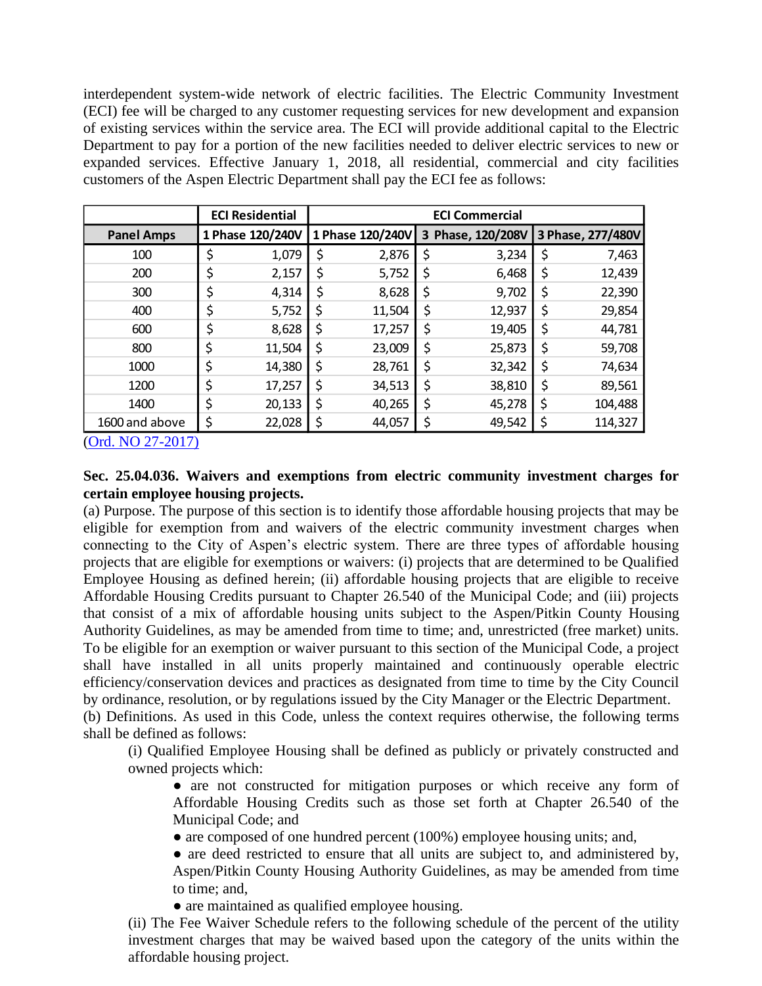interdependent system-wide network of electric facilities. The Electric Community Investment (ECI) fee will be charged to any customer requesting services for new development and expansion of existing services within the service area. The ECI will provide additional capital to the Electric Department to pay for a portion of the new facilities needed to deliver electric services to new or expanded services. Effective January 1, 2018, all residential, commercial and city facilities customers of the Aspen Electric Department shall pay the ECI fee as follows:

|                   | <b>ECI Residential</b> | <b>ECI Commercial</b> |    |                   |    |                   |
|-------------------|------------------------|-----------------------|----|-------------------|----|-------------------|
| <b>Panel Amps</b> | 1 Phase 120/240V       | 1 Phase 120/240V      |    | 3 Phase, 120/208V |    | 3 Phase, 277/480V |
| 100               | \$<br>1,079            | \$<br>2,876           | \$ | 3,234             | \$ | 7,463             |
| 200               | \$<br>2,157            | \$<br>5,752           | \$ | 6,468             | \$ | 12,439            |
| 300               | \$<br>4,314            | \$<br>8,628           | \$ | 9,702             | \$ | 22,390            |
| 400               | \$<br>5,752            | \$<br>11,504          | \$ | 12,937            | \$ | 29,854            |
| 600               | \$<br>8,628            | \$<br>17,257          | \$ | 19,405            | \$ | 44,781            |
| 800               | \$<br>11,504           | \$<br>23,009          | \$ | 25,873            | \$ | 59,708            |
| 1000              | \$<br>14,380           | \$<br>28,761          | \$ | 32,342            | \$ | 74,634            |
| 1200              | \$<br>17,257           | \$<br>34,513          | \$ | 38,810            | \$ | 89,561            |
| 1400              | \$<br>20,133           | \$<br>40,265          | \$ | 45,278            | \$ | 104,488           |
| 1600 and above    | \$<br>22,028           | \$<br>44,057          | \$ | 49,542            | \$ | 114,327           |

[\(Ord. NO 27-2017\)](https://records.cityofaspen.com/WebLink/0/doc/649832/Page1.aspx)

# **Sec. 25.04.036. Waivers and exemptions from electric community investment charges for certain employee housing projects.**

(a) Purpose. The purpose of this section is to identify those affordable housing projects that may be eligible for exemption from and waivers of the electric community investment charges when connecting to the City of Aspen's electric system. There are three types of affordable housing projects that are eligible for exemptions or waivers: (i) projects that are determined to be Qualified Employee Housing as defined herein; (ii) affordable housing projects that are eligible to receive Affordable Housing Credits pursuant to Chapter 26.540 of the Municipal Code; and (iii) projects that consist of a mix of affordable housing units subject to the Aspen/Pitkin County Housing Authority Guidelines, as may be amended from time to time; and, unrestricted (free market) units. To be eligible for an exemption or waiver pursuant to this section of the Municipal Code, a project shall have installed in all units properly maintained and continuously operable electric efficiency/conservation devices and practices as designated from time to time by the City Council by ordinance, resolution, or by regulations issued by the City Manager or the Electric Department.

(b) Definitions. As used in this Code, unless the context requires otherwise, the following terms shall be defined as follows:

(i) Qualified Employee Housing shall be defined as publicly or privately constructed and owned projects which:

● are not constructed for mitigation purposes or which receive any form of Affordable Housing Credits such as those set forth at Chapter 26.540 of the Municipal Code; and

- are composed of one hundred percent (100%) employee housing units; and,
- are deed restricted to ensure that all units are subject to, and administered by, Aspen/Pitkin County Housing Authority Guidelines, as may be amended from time to time; and,
- are maintained as qualified employee housing.

(ii) The Fee Waiver Schedule refers to the following schedule of the percent of the utility investment charges that may be waived based upon the category of the units within the affordable housing project.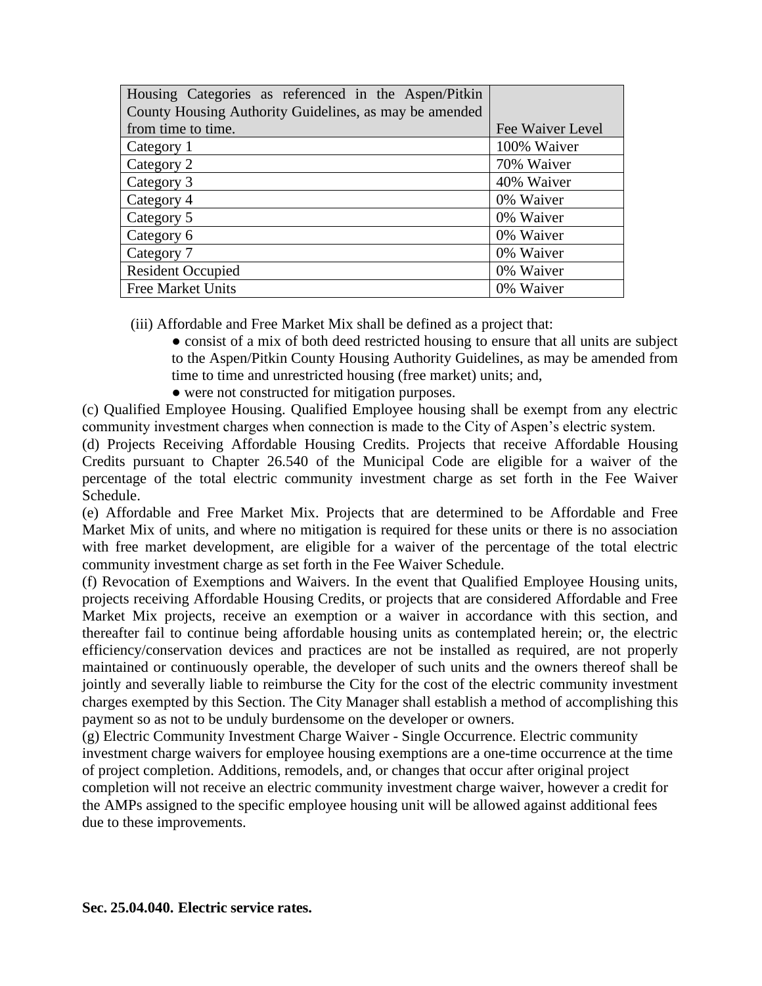| Housing Categories as referenced in the Aspen/Pitkin   |                  |
|--------------------------------------------------------|------------------|
| County Housing Authority Guidelines, as may be amended |                  |
| from time to time.                                     | Fee Waiver Level |
| Category 1                                             | 100% Waiver      |
| Category 2                                             | 70% Waiver       |
| Category 3                                             | 40% Waiver       |
| Category 4                                             | 0% Waiver        |
| Category 5                                             | 0% Waiver        |
| Category 6                                             | 0% Waiver        |
| Category 7                                             | 0% Waiver        |
| <b>Resident Occupied</b>                               | 0% Waiver        |
| <b>Free Market Units</b>                               | 0% Waiver        |

(iii) Affordable and Free Market Mix shall be defined as a project that:

• consist of a mix of both deed restricted housing to ensure that all units are subject to the Aspen/Pitkin County Housing Authority Guidelines, as may be amended from time to time and unrestricted housing (free market) units; and,

● were not constructed for mitigation purposes.

(c) Qualified Employee Housing. Qualified Employee housing shall be exempt from any electric community investment charges when connection is made to the City of Aspen's electric system.

(d) Projects Receiving Affordable Housing Credits. Projects that receive Affordable Housing Credits pursuant to Chapter 26.540 of the Municipal Code are eligible for a waiver of the percentage of the total electric community investment charge as set forth in the Fee Waiver Schedule.

(e) Affordable and Free Market Mix. Projects that are determined to be Affordable and Free Market Mix of units, and where no mitigation is required for these units or there is no association with free market development, are eligible for a waiver of the percentage of the total electric community investment charge as set forth in the Fee Waiver Schedule.

(f) Revocation of Exemptions and Waivers. In the event that Qualified Employee Housing units, projects receiving Affordable Housing Credits, or projects that are considered Affordable and Free Market Mix projects, receive an exemption or a waiver in accordance with this section, and thereafter fail to continue being affordable housing units as contemplated herein; or, the electric efficiency/conservation devices and practices are not be installed as required, are not properly maintained or continuously operable, the developer of such units and the owners thereof shall be jointly and severally liable to reimburse the City for the cost of the electric community investment charges exempted by this Section. The City Manager shall establish a method of accomplishing this payment so as not to be unduly burdensome on the developer or owners.

<span id="page-5-0"></span>(g) Electric Community Investment Charge Waiver - Single Occurrence. Electric community investment charge waivers for employee housing exemptions are a one-time occurrence at the time of project completion. Additions, remodels, and, or changes that occur after original project completion will not receive an electric community investment charge waiver, however a credit for the AMPs assigned to the specific employee housing unit will be allowed against additional fees due to these improvements.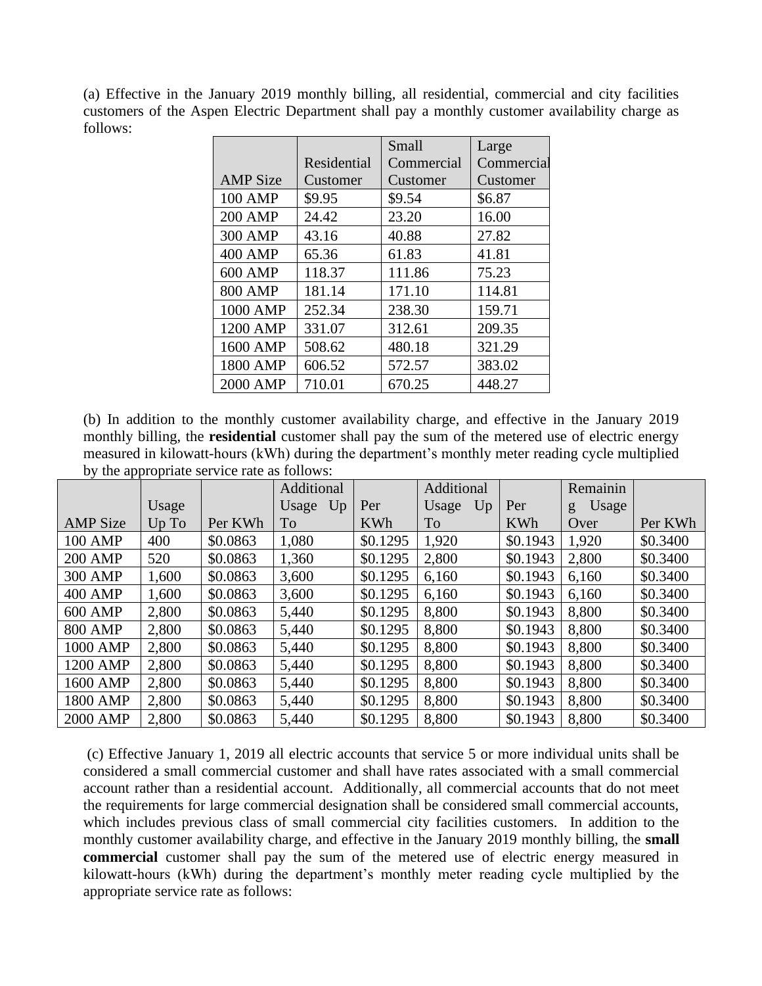(a) Effective in the January 2019 monthly billing, all residential, commercial and city facilities customers of the Aspen Electric Department shall pay a monthly customer availability charge as follows:

|                 |             | Small      | Large      |
|-----------------|-------------|------------|------------|
|                 | Residential | Commercial | Commercial |
| <b>AMP</b> Size | Customer    | Customer   | Customer   |
| 100 AMP         | \$9.95      | \$9.54     | \$6.87     |
| <b>200 AMP</b>  | 24.42       | 23.20      | 16.00      |
| <b>300 AMP</b>  | 43.16       | 40.88      | 27.82      |
| <b>400 AMP</b>  | 65.36       | 61.83      | 41.81      |
| 600 AMP         | 118.37      | 111.86     | 75.23      |
| <b>800 AMP</b>  | 181.14      | 171.10     | 114.81     |
| 1000 AMP        | 252.34      | 238.30     | 159.71     |
| 1200 AMP        | 331.07      | 312.61     | 209.35     |
| 1600 AMP        | 508.62      | 480.18     | 321.29     |
| 1800 AMP        | 606.52      | 572.57     | 383.02     |
| 2000 AMP        | 710.01      | 670.25     | 448.27     |

(b) In addition to the monthly customer availability charge, and effective in the January 2019 monthly billing, the **residential** customer shall pay the sum of the metered use of electric energy measured in kilowatt-hours (kWh) during the department's monthly meter reading cycle multiplied by the appropriate service rate as follows:

|                 |       |          | Additional |            | Additional  |            | Remainin   |          |
|-----------------|-------|----------|------------|------------|-------------|------------|------------|----------|
|                 | Usage |          | Usage Up   | Per        | Usage<br>Up | Per        | Usage<br>g |          |
| <b>AMP</b> Size | Up To | Per KWh  | To         | <b>KWh</b> | To          | <b>KWh</b> | Over       | Per KWh  |
| <b>100 AMP</b>  | 400   | \$0.0863 | 1,080      | \$0.1295   | 1,920       | \$0.1943   | 1,920      | \$0.3400 |
| <b>200 AMP</b>  | 520   | \$0.0863 | 1,360      | \$0.1295   | 2,800       | \$0.1943   | 2,800      | \$0.3400 |
| <b>300 AMP</b>  | 1,600 | \$0.0863 | 3,600      | \$0.1295   | 6,160       | \$0.1943   | 6,160      | \$0.3400 |
| 400 AMP         | 1,600 | \$0.0863 | 3,600      | \$0.1295   | 6,160       | \$0.1943   | 6,160      | \$0.3400 |
| 600 AMP         | 2,800 | \$0.0863 | 5,440      | \$0.1295   | 8,800       | \$0.1943   | 8,800      | \$0.3400 |
| <b>800 AMP</b>  | 2,800 | \$0.0863 | 5,440      | \$0.1295   | 8,800       | \$0.1943   | 8,800      | \$0.3400 |
| 1000 AMP        | 2,800 | \$0.0863 | 5,440      | \$0.1295   | 8,800       | \$0.1943   | 8,800      | \$0.3400 |
| 1200 AMP        | 2,800 | \$0.0863 | 5,440      | \$0.1295   | 8,800       | \$0.1943   | 8,800      | \$0.3400 |
| 1600 AMP        | 2,800 | \$0.0863 | 5,440      | \$0.1295   | 8,800       | \$0.1943   | 8,800      | \$0.3400 |
| 1800 AMP        | 2,800 | \$0.0863 | 5,440      | \$0.1295   | 8,800       | \$0.1943   | 8,800      | \$0.3400 |
| 2000 AMP        | 2,800 | \$0.0863 | 5,440      | \$0.1295   | 8,800       | \$0.1943   | 8,800      | \$0.3400 |

(c) Effective January 1, 2019 all electric accounts that service 5 or more individual units shall be considered a small commercial customer and shall have rates associated with a small commercial account rather than a residential account. Additionally, all commercial accounts that do not meet the requirements for large commercial designation shall be considered small commercial accounts, which includes previous class of small commercial city facilities customers. In addition to the monthly customer availability charge, and effective in the January 2019 monthly billing, the **small commercial** customer shall pay the sum of the metered use of electric energy measured in kilowatt-hours (kWh) during the department's monthly meter reading cycle multiplied by the appropriate service rate as follows: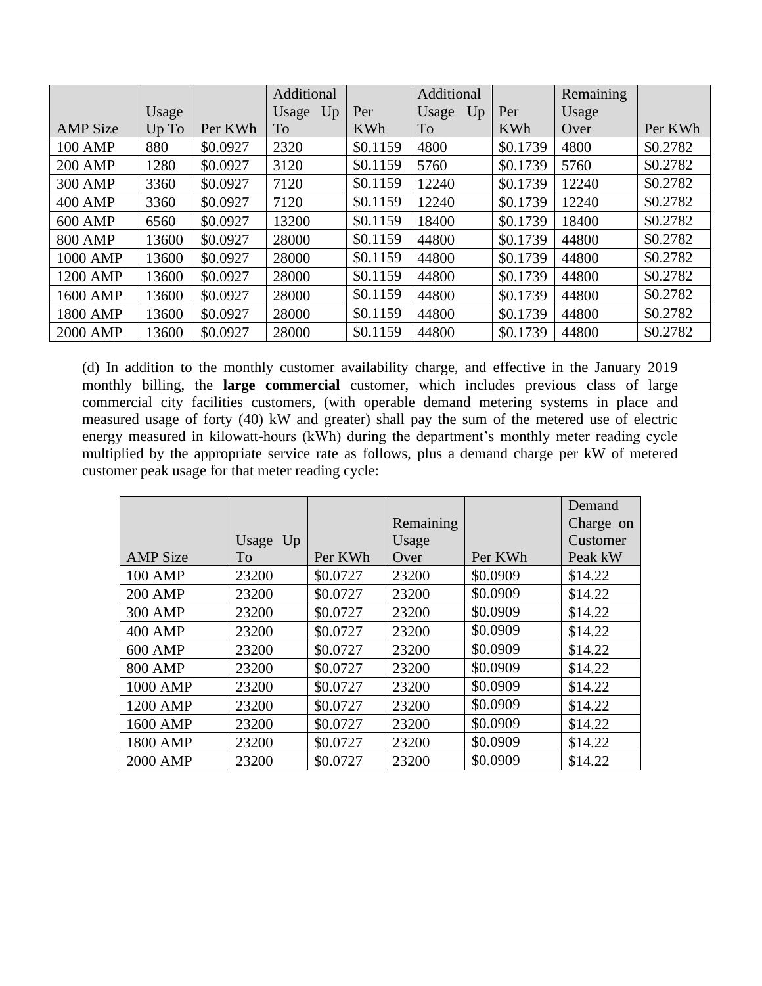|                 |       |          | Additional |            | Additional  |            | <b>Remaining</b> |          |
|-----------------|-------|----------|------------|------------|-------------|------------|------------------|----------|
|                 | Usage |          | Usage Up   | Per        | Usage<br>Up | Per        | Usage            |          |
| <b>AMP</b> Size | Up To | Per KWh  | To         | <b>KWh</b> | <b>To</b>   | <b>KWh</b> | Over             | Per KWh  |
| <b>100 AMP</b>  | 880   | \$0.0927 | 2320       | \$0.1159   | 4800        | \$0.1739   | 4800             | \$0.2782 |
| <b>200 AMP</b>  | 1280  | \$0.0927 | 3120       | \$0.1159   | 5760        | \$0.1739   | 5760             | \$0.2782 |
| 300 AMP         | 3360  | \$0.0927 | 7120       | \$0.1159   | 12240       | \$0.1739   | 12240            | \$0.2782 |
| 400 AMP         | 3360  | \$0.0927 | 7120       | \$0.1159   | 12240       | \$0.1739   | 12240            | \$0.2782 |
| 600 AMP         | 6560  | \$0.0927 | 13200      | \$0.1159   | 18400       | \$0.1739   | 18400            | \$0.2782 |
| <b>800 AMP</b>  | 13600 | \$0.0927 | 28000      | \$0.1159   | 44800       | \$0.1739   | 44800            | \$0.2782 |
| 1000 AMP        | 13600 | \$0.0927 | 28000      | \$0.1159   | 44800       | \$0.1739   | 44800            | \$0.2782 |
| 1200 AMP        | 13600 | \$0.0927 | 28000      | \$0.1159   | 44800       | \$0.1739   | 44800            | \$0.2782 |
| 1600 AMP        | 13600 | \$0.0927 | 28000      | \$0.1159   | 44800       | \$0.1739   | 44800            | \$0.2782 |
| 1800 AMP        | 13600 | \$0.0927 | 28000      | \$0.1159   | 44800       | \$0.1739   | 44800            | \$0.2782 |
| 2000 AMP        | 13600 | \$0.0927 | 28000      | \$0.1159   | 44800       | \$0.1739   | 44800            | \$0.2782 |

(d) In addition to the monthly customer availability charge, and effective in the January 2019 monthly billing, the **large commercial** customer, which includes previous class of large commercial city facilities customers, (with operable demand metering systems in place and measured usage of forty (40) kW and greater) shall pay the sum of the metered use of electric energy measured in kilowatt-hours (kWh) during the department's monthly meter reading cycle multiplied by the appropriate service rate as follows, plus a demand charge per kW of metered customer peak usage for that meter reading cycle:

|                 |          |          |           |          | Demand    |
|-----------------|----------|----------|-----------|----------|-----------|
|                 |          |          | Remaining |          | Charge on |
|                 | Usage Up |          | Usage     |          | Customer  |
| <b>AMP</b> Size | To       | Per KWh  | Over      | Per KWh  | Peak kW   |
| <b>100 AMP</b>  | 23200    | \$0.0727 | 23200     | \$0.0909 | \$14.22   |
| <b>200 AMP</b>  | 23200    | \$0.0727 | 23200     | \$0.0909 | \$14.22   |
| <b>300 AMP</b>  | 23200    | \$0.0727 | 23200     | \$0.0909 | \$14.22   |
| <b>400 AMP</b>  | 23200    | \$0.0727 | 23200     | \$0.0909 | \$14.22   |
| <b>600 AMP</b>  | 23200    | \$0.0727 | 23200     | \$0.0909 | \$14.22   |
| <b>800 AMP</b>  | 23200    | \$0.0727 | 23200     | \$0.0909 | \$14.22   |
| 1000 AMP        | 23200    | \$0.0727 | 23200     | \$0.0909 | \$14.22   |
| 1200 AMP        | 23200    | \$0.0727 | 23200     | \$0.0909 | \$14.22   |
| 1600 AMP        | 23200    | \$0.0727 | 23200     | \$0.0909 | \$14.22   |
| 1800 AMP        | 23200    | \$0.0727 | 23200     | \$0.0909 | \$14.22   |
| 2000 AMP        | 23200    | \$0.0727 | 23200     | \$0.0909 | \$14.22   |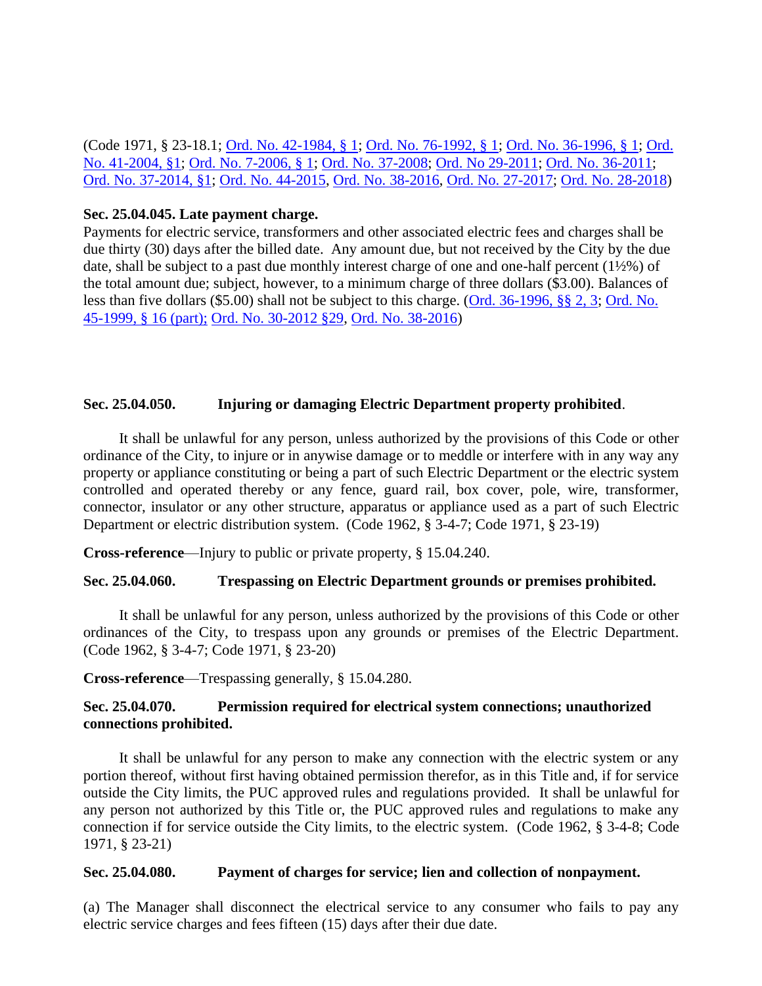(Code 1971, § 23-18.1; [Ord. No. 42-1984, § 1;](https://records.cityofaspen.com/WebLink/0/doc/8938/Page1.aspx) [Ord. No. 76-1992, § 1;](https://records.cityofaspen.com/WebLink/0/doc/4905/Page1.aspx) [Ord. No. 36-1996, § 1;](https://records.cityofaspen.com/WebLink/0/doc/3635/Page1.aspx) [Ord.](https://records.cityofaspen.com/WebLink/0/doc/62107/Page1.aspx)  [No. 41-2004, §1;](https://records.cityofaspen.com/WebLink/0/doc/62107/Page1.aspx) [Ord. No. 7-2006, § 1;](https://records.cityofaspen.com/WebLink/0/doc/74547/Page1.aspx) [Ord. No. 37-2008;](https://records.cityofaspen.com/WebLink/0/doc/113782/Page1.aspx) [Ord. No 29-2011;](https://records.cityofaspen.com/WebLink/0/doc/161868/Page1.aspx) [Ord. No. 36-2011;](https://records.cityofaspen.com/WebLink/0/doc/163541/Page1.aspx) [Ord. No. 37-2014, §1;](https://records.cityofaspen.com/WebLink/0/doc/205922/Page1.aspx) [Ord. No. 44-2015,](https://records.cityofaspen.com/WebLink/0/doc/211963/Page1.aspx) [Ord. No. 38-2016,](http://205.170.51.183/WebLink/0/doc/471374/Page1.aspx) [Ord. No. 27-2017;](https://records.cityofaspen.com/WebLink/0/doc/649832/Page1.aspx) [Ord. No. 28-2018\)](https://records.cityofaspen.com/WebLink/0/doc/1412784/Page1.aspx)

#### <span id="page-8-0"></span>**Sec. 25.04.045. Late payment charge.**

Payments for electric service, transformers and other associated electric fees and charges shall be due thirty (30) days after the billed date. Any amount due, but not received by the City by the due date, shall be subject to a past due monthly interest charge of one and one-half percent (1½%) of the total amount due; subject, however, to a minimum charge of three dollars (\$3.00). Balances of less than five dollars (\$5.00) shall not be subject to this charge. [\(Ord. 36-1996, §§ 2, 3;](https://records.cityofaspen.com/WebLink/0/doc/3635/Page1.aspx) [Ord. No.](https://records.cityofaspen.com/WebLink/0/doc/5651/Page1.aspx)  [45-1999, § 16 \(part\);](https://records.cityofaspen.com/WebLink/0/doc/5651/Page1.aspx) [Ord. No. 30-2012 §29,](https://records.cityofaspen.com/WebLink/0/doc/185014/Page1.aspx) [Ord. No. 38-2016\)](http://205.170.51.183/WebLink/0/doc/471374/Page1.aspx)

## <span id="page-8-1"></span>**Sec. 25.04.050. Injuring or damaging Electric Department property prohibited**.

It shall be unlawful for any person, unless authorized by the provisions of this Code or other ordinance of the City, to injure or in anywise damage or to meddle or interfere with in any way any property or appliance constituting or being a part of such Electric Department or the electric system controlled and operated thereby or any fence, guard rail, box cover, pole, wire, transformer, connector, insulator or any other structure, apparatus or appliance used as a part of such Electric Department or electric distribution system. (Code 1962, § 3-4-7; Code 1971, § 23-19)

**Cross-reference**—Injury to public or private property, § 15.04.240.

## <span id="page-8-2"></span>**Sec. 25.04.060. Trespassing on Electric Department grounds or premises prohibited.**

It shall be unlawful for any person, unless authorized by the provisions of this Code or other ordinances of the City, to trespass upon any grounds or premises of the Electric Department. (Code 1962, § 3-4-7; Code 1971, § 23-20)

**Cross-reference**—Trespassing generally, § 15.04.280.

## <span id="page-8-3"></span>**Sec. 25.04.070. Permission required for electrical system connections; unauthorized connections prohibited.**

It shall be unlawful for any person to make any connection with the electric system or any portion thereof, without first having obtained permission therefor, as in this Title and, if for service outside the City limits, the PUC approved rules and regulations provided. It shall be unlawful for any person not authorized by this Title or, the PUC approved rules and regulations to make any connection if for service outside the City limits, to the electric system. (Code 1962, § 3-4-8; Code 1971, § 23-21)

## <span id="page-8-4"></span>**Sec. 25.04.080. Payment of charges for service; lien and collection of nonpayment.**

(a) The Manager shall disconnect the electrical service to any consumer who fails to pay any electric service charges and fees fifteen (15) days after their due date.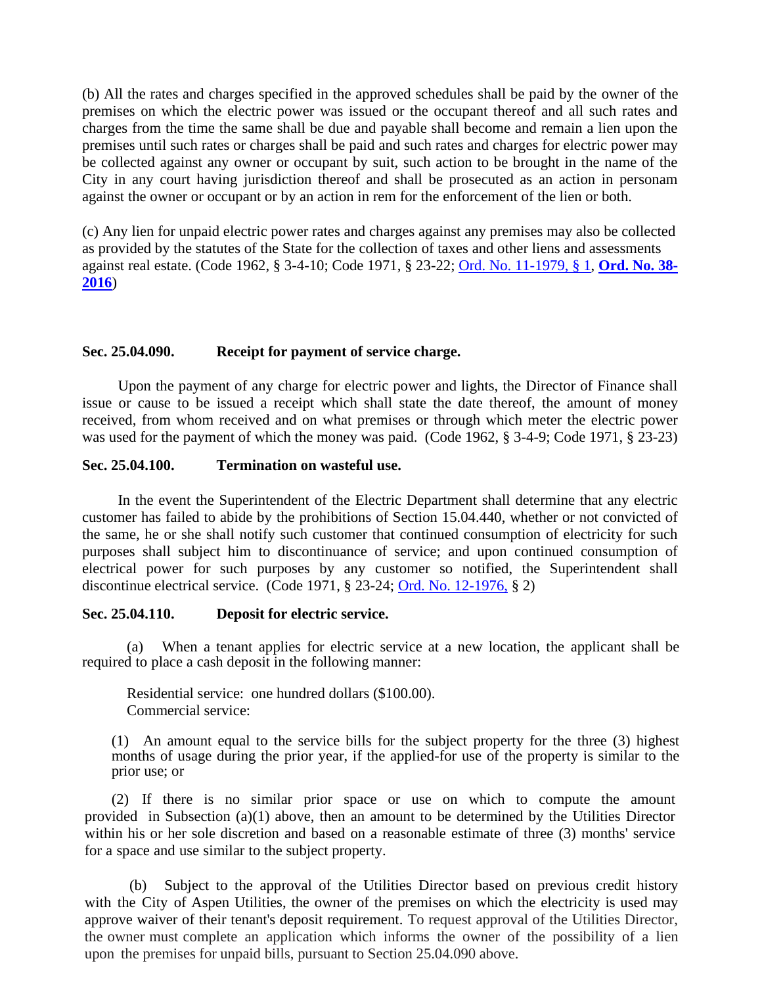(b) All the rates and charges specified in the approved schedules shall be paid by the owner of the premises on which the electric power was issued or the occupant thereof and all such rates and charges from the time the same shall be due and payable shall become and remain a lien upon the premises until such rates or charges shall be paid and such rates and charges for electric power may be collected against any owner or occupant by suit, such action to be brought in the name of the City in any court having jurisdiction thereof and shall be prosecuted as an action in personam against the owner or occupant or by an action in rem for the enforcement of the lien or both.

(c) Any lien for unpaid electric power rates and charges against any premises may also be collected as provided by the statutes of the State for the collection of taxes and other liens and assessments against real estate. (Code 1962, § 3-4-10; Code 1971, § 23-22; [Ord. No. 11-1979, § 1,](https://records.cityofaspen.com/WebLink/0/doc/65285/Page1.aspx) **[Ord. No. 38-](http://205.170.51.183/WebLink/0/doc/471374/Page1.aspx) [2016](http://205.170.51.183/WebLink/0/doc/471374/Page1.aspx)**)

#### <span id="page-9-0"></span>**Sec. 25.04.090. Receipt for payment of service charge.**

Upon the payment of any charge for electric power and lights, the Director of Finance shall issue or cause to be issued a receipt which shall state the date thereof, the amount of money received, from whom received and on what premises or through which meter the electric power was used for the payment of which the money was paid. (Code 1962, § 3-4-9; Code 1971, § 23-23)

#### <span id="page-9-1"></span>**Sec. 25.04.100. Termination on wasteful use.**

In the event the Superintendent of the Electric Department shall determine that any electric customer has failed to abide by the prohibitions of Section 15.04.440, whether or not convicted of the same, he or she shall notify such customer that continued consumption of electricity for such purposes shall subject him to discontinuance of service; and upon continued consumption of electrical power for such purposes by any customer so notified, the Superintendent shall discontinue electrical service. (Code 1971, § 23-24; [Ord. No. 12-1976,](http://205.170.51.183/WebLink8/DocView.aspx?id=65053&dbid=0) § 2)

#### <span id="page-9-2"></span>**Sec. 25.04.110. Deposit for electric service.**

(a) When a tenant applies for electric service at a new location, the applicant shall be required to place a cash deposit in the following manner:

Residential service: one hundred dollars (\$100.00). Commercial service:

(1) An amount equal to the service bills for the subject property for the three (3) highest months of usage during the prior year, if the applied-for use of the property is similar to the prior use; or

(2) If there is no similar prior space or use on which to compute the amount provided in Subsection (a)(1) above, then an amount to be determined by the Utilities Director within his or her sole discretion and based on a reasonable estimate of three (3) months' service for a space and use similar to the subject property.

(b) Subject to the approval of the Utilities Director based on previous credit history with the City of Aspen Utilities, the owner of the premises on which the electricity is used may approve waiver of their tenant's deposit requirement. To request approval of the Utilities Director, the owner must complete an application which informs the owner of the possibility of a lien upon the premises for unpaid bills, pursuant to Section 25.04.090 above.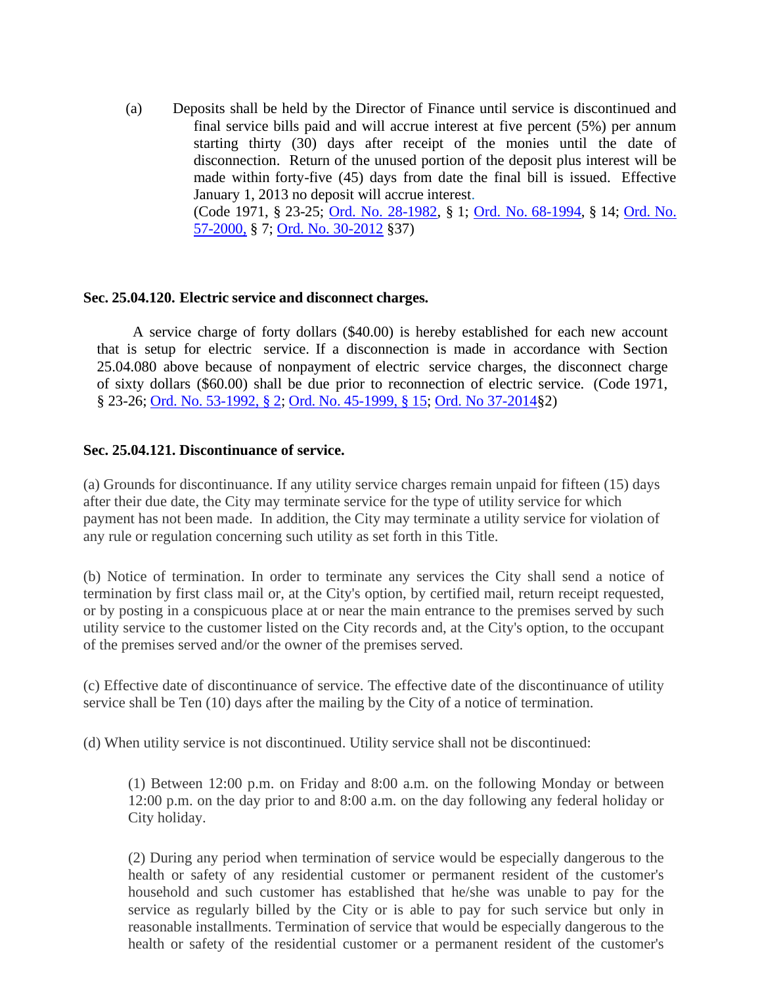(a) Deposits shall be held by the Director of Finance until service is discontinued and final service bills paid and will accrue interest at five percent (5%) per annum starting thirty (30) days after receipt of the monies until the date of disconnection. Return of the unused portion of the deposit plus interest will be made within forty-five (45) days from date the final bill is issued. Effective January 1, 2013 no deposit will accrue interest. (Code 1971, § 23-25; Ord. No. [28-1982,](http://205.170.51.183/WebLink8/DocView.aspx?id=34590&dbid=0) § 1; Ord. [No. 68-1994,](http://205.170.51.183/WebLink8/0/doc/3486/Page1.aspx) § 14; [Ord. No.](http://205.170.51.183/WebLink8/0/doc/10058/Page1.aspx) [57-2000,](http://205.170.51.183/WebLink8/0/doc/10058/Page1.aspx) § 7; [Ord. No. 30-2012](http://205.170.51.183/WebLink8/0/doc/185014/Page1.aspx) §37)

#### <span id="page-10-0"></span>**Sec. 25.04.120. Electric service and disconnect charges.**

A service charge of forty dollars (\$40.00) is hereby established for each new account that is setup for electric service. If a disconnection is made in accordance with Section 25.04.080 above because of nonpayment of electric service charges, the disconnect charge of sixty dollars (\$60.00) shall be due prior to reconnection of electric service. (Code 1971, § 23-26; Ord. No. [53-1992,](https://records.cityofaspen.com/WebLink/0/doc/4888/Page1.aspx) § 2; Ord. No. [45-1999,](https://records.cityofaspen.com/WebLink/0/doc/5651/Page1.aspx) § 15; [Ord. No 37-2014§](http://205.170.51.183/WebLink8/0/doc/205922/Page1.aspx)2)

## <span id="page-10-1"></span>**Sec. 25.04.121. Discontinuance of service.**

(a) Grounds for discontinuance. If any utility service charges remain unpaid for fifteen (15) days after their due date, the City may terminate service for the type of utility service for which payment has not been made. In addition, the City may terminate a utility service for violation of any rule or regulation concerning such utility as set forth in this Title.

(b) Notice of termination. In order to terminate any services the City shall send a notice of termination by first class mail or, at the City's option, by certified mail, return receipt requested, or by posting in a conspicuous place at or near the main entrance to the premises served by such utility service to the customer listed on the City records and, at the City's option, to the occupant of the premises served and/or the owner of the premises served.

(c) Effective date of discontinuance of service. The effective date of the discontinuance of utility service shall be Ten (10) days after the mailing by the City of a notice of termination.

(d) When utility service is not discontinued. Utility service shall not be discontinued:

(1) Between 12:00 p.m. on Friday and 8:00 a.m. on the following Monday or between 12:00 p.m. on the day prior to and 8:00 a.m. on the day following any federal holiday or City holiday.

(2) During any period when termination of service would be especially dangerous to the health or safety of any residential customer or permanent resident of the customer's household and such customer has established that he/she was unable to pay for the service as regularly billed by the City or is able to pay for such service but only in reasonable installments. Termination of service that would be especially dangerous to the health or safety of the residential customer or a permanent resident of the customer's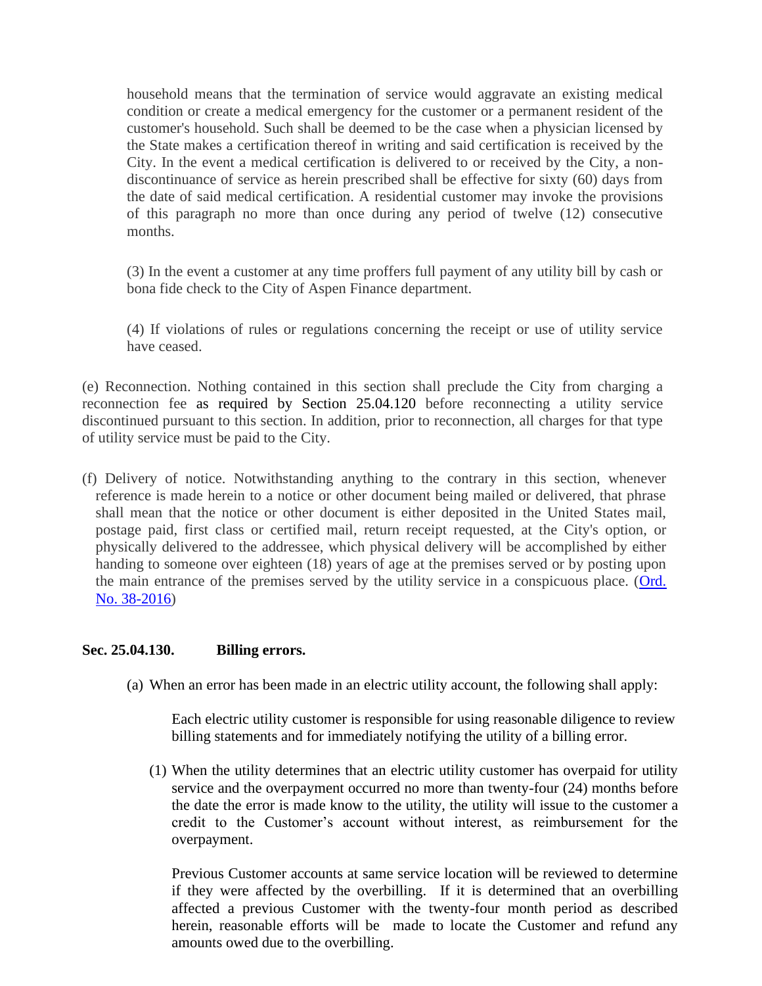household means that the termination of service would aggravate an existing medical condition or create a medical emergency for the customer or a permanent resident of the customer's household. Such shall be deemed to be the case when a physician licensed by the State makes a certification thereof in writing and said certification is received by the City. In the event a medical certification is delivered to or received by the City, a nondiscontinuance of service as herein prescribed shall be effective for sixty (60) days from the date of said medical certification. A residential customer may invoke the provisions of this paragraph no more than once during any period of twelve (12) consecutive months.

(3) In the event a customer at any time proffers full payment of any utility bill by cash or bona fide check to the City of Aspen Finance department.

(4) If violations of rules or regulations concerning the receipt or use of utility service have ceased.

(e) Reconnection. Nothing contained in this section shall preclude the City from charging a reconnection fee as required by Section 25.04.120 before reconnecting a utility service discontinued pursuant to this section. In addition, prior to reconnection, all charges for that type of utility service must be paid to the City.

(f) Delivery of notice. Notwithstanding anything to the contrary in this section, whenever reference is made herein to a notice or other document being mailed or delivered, that phrase shall mean that the notice or other document is either deposited in the United States mail, postage paid, first class or certified mail, return receipt requested, at the City's option, or physically delivered to the addressee, which physical delivery will be accomplished by either handing to someone over eighteen (18) years of age at the premises served or by posting upon the main entrance of the premises served by the utility service in a conspicuous place. (Ord. [No. 38-2016\)](http://205.170.51.183/WebLink/0/doc/471374/Page1.aspx)

#### <span id="page-11-0"></span>**Sec. 25.04.130. Billing errors.**

(a) When an error has been made in an electric utility account, the following shall apply:

Each electric utility customer is responsible for using reasonable diligence to review billing statements and for immediately notifying the utility of a billing error.

(1) When the utility determines that an electric utility customer has overpaid for utility service and the overpayment occurred no more than twenty-four (24) months before the date the error is made know to the utility, the utility will issue to the customer a credit to the Customer's account without interest, as reimbursement for the overpayment.

Previous Customer accounts at same service location will be reviewed to determine if they were affected by the overbilling. If it is determined that an overbilling affected a previous Customer with the twenty-four month period as described herein, reasonable efforts will be made to locate the Customer and refund any amounts owed due to the overbilling.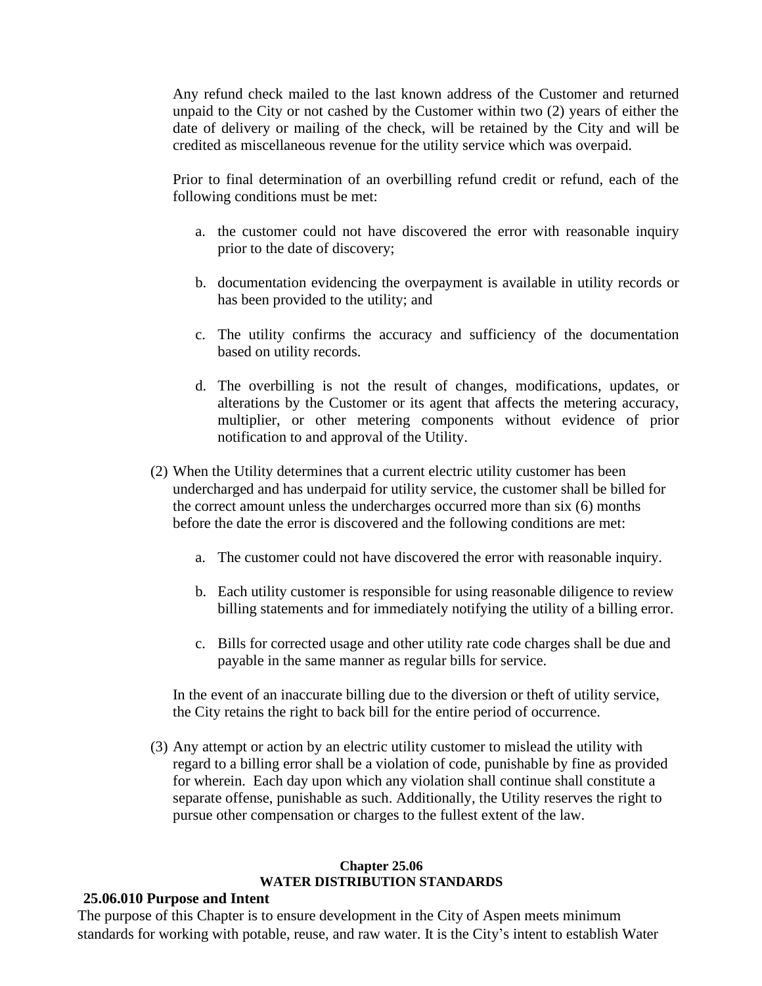Any refund check mailed to the last known address of the Customer and returned unpaid to the City or not cashed by the Customer within two (2) years of either the date of delivery or mailing of the check, will be retained by the City and will be credited as miscellaneous revenue for the utility service which was overpaid.

Prior to final determination of an overbilling refund credit or refund, each of the following conditions must be met:

- a. the customer could not have discovered the error with reasonable inquiry prior to the date of discovery;
- b. documentation evidencing the overpayment is available in utility records or has been provided to the utility; and
- c. The utility confirms the accuracy and sufficiency of the documentation based on utility records.
- d. The overbilling is not the result of changes, modifications, updates, or alterations by the Customer or its agent that affects the metering accuracy, multiplier, or other metering components without evidence of prior notification to and approval of the Utility.
- (2) When the Utility determines that a current electric utility customer has been undercharged and has underpaid for utility service, the customer shall be billed for the correct amount unless the undercharges occurred more than six (6) months before the date the error is discovered and the following conditions are met:
	- a. The customer could not have discovered the error with reasonable inquiry.
	- b. Each utility customer is responsible for using reasonable diligence to review billing statements and for immediately notifying the utility of a billing error.
	- c. Bills for corrected usage and other utility rate code charges shall be due and payable in the same manner as regular bills for service.

In the event of an inaccurate billing due to the diversion or theft of utility service, the City retains the right to back bill for the entire period of occurrence.

(3) Any attempt or action by an electric utility customer to mislead the utility with regard to a billing error shall be a violation of code, punishable by fine as provided for wherein. Each day upon which any violation shall continue shall constitute a separate offense, punishable as such. Additionally, the Utility reserves the right to pursue other compensation or charges to the fullest extent of the law.

#### **Chapter 25.06 WATER DISTRIBUTION STANDARDS**

## <span id="page-12-2"></span><span id="page-12-1"></span><span id="page-12-0"></span>**25.06.010 Purpose and Intent**

The purpose of this Chapter is to ensure development in the City of Aspen meets minimum standards for working with potable, reuse, and raw water. It is the City's intent to establish Water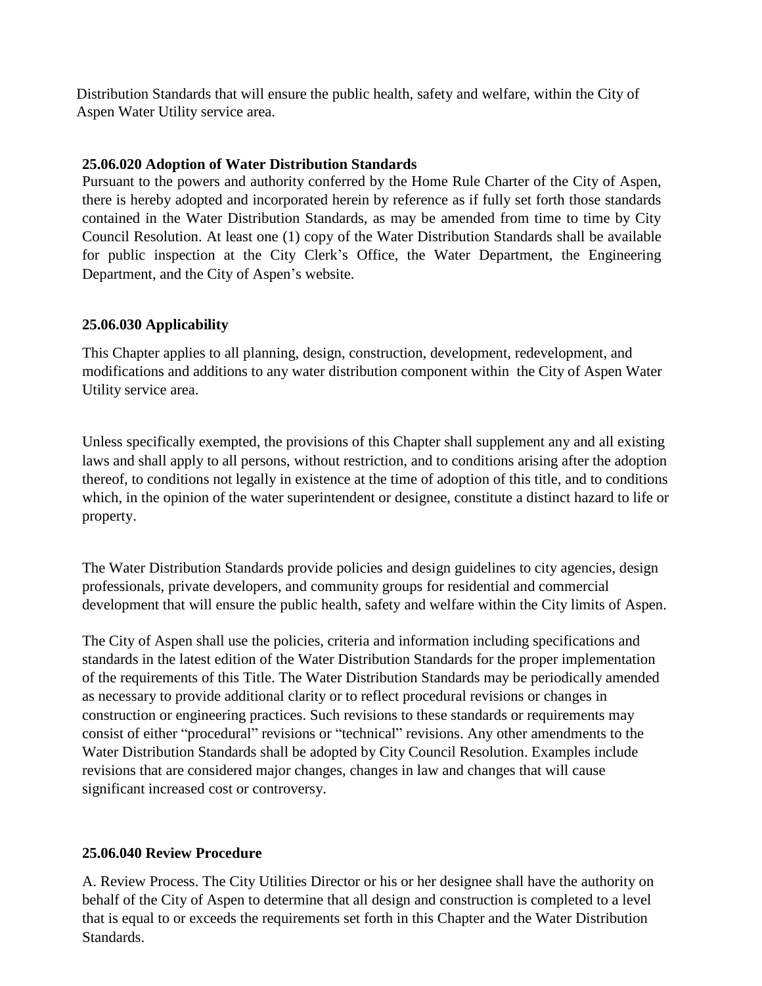Distribution Standards that will ensure the public health, safety and welfare, within the City of Aspen Water Utility service area.

# <span id="page-13-0"></span>**25.06.020 Adoption of Water Distribution Standards**

Pursuant to the powers and authority conferred by the Home Rule Charter of the City of Aspen, there is hereby adopted and incorporated herein by reference as if fully set forth those standards contained in the Water Distribution Standards, as may be amended from time to time by City Council Resolution. At least one (1) copy of the Water Distribution Standards shall be available for public inspection at the City Clerk's Office, the Water Department, the Engineering Department, and the City of Aspen's website.

# <span id="page-13-1"></span>**25.06.030 Applicability**

This Chapter applies to all planning, design, construction, development, redevelopment, and modifications and additions to any water distribution component within the City of Aspen Water Utility service area.

Unless specifically exempted, the provisions of this Chapter shall supplement any and all existing laws and shall apply to all persons, without restriction, and to conditions arising after the adoption thereof, to conditions not legally in existence at the time of adoption of this title, and to conditions which, in the opinion of the water superintendent or designee, constitute a distinct hazard to life or property.

The Water Distribution Standards provide policies and design guidelines to city agencies, design professionals, private developers, and community groups for residential and commercial development that will ensure the public health, safety and welfare within the City limits of Aspen.

The City of Aspen shall use the policies, criteria and information including specifications and standards in the latest edition of the Water Distribution Standards for the proper implementation of the requirements of this Title. The Water Distribution Standards may be periodically amended as necessary to provide additional clarity or to reflect procedural revisions or changes in construction or engineering practices. Such revisions to these standards or requirements may consist of either "procedural" revisions or "technical" revisions. Any other amendments to the Water Distribution Standards shall be adopted by City Council Resolution. Examples include revisions that are considered major changes, changes in law and changes that will cause significant increased cost or controversy.

# <span id="page-13-2"></span>**25.06.040 Review Procedure**

A. Review Process. The City Utilities Director or his or her designee shall have the authority on behalf of the City of Aspen to determine that all design and construction is completed to a level that is equal to or exceeds the requirements set forth in this Chapter and the Water Distribution Standards.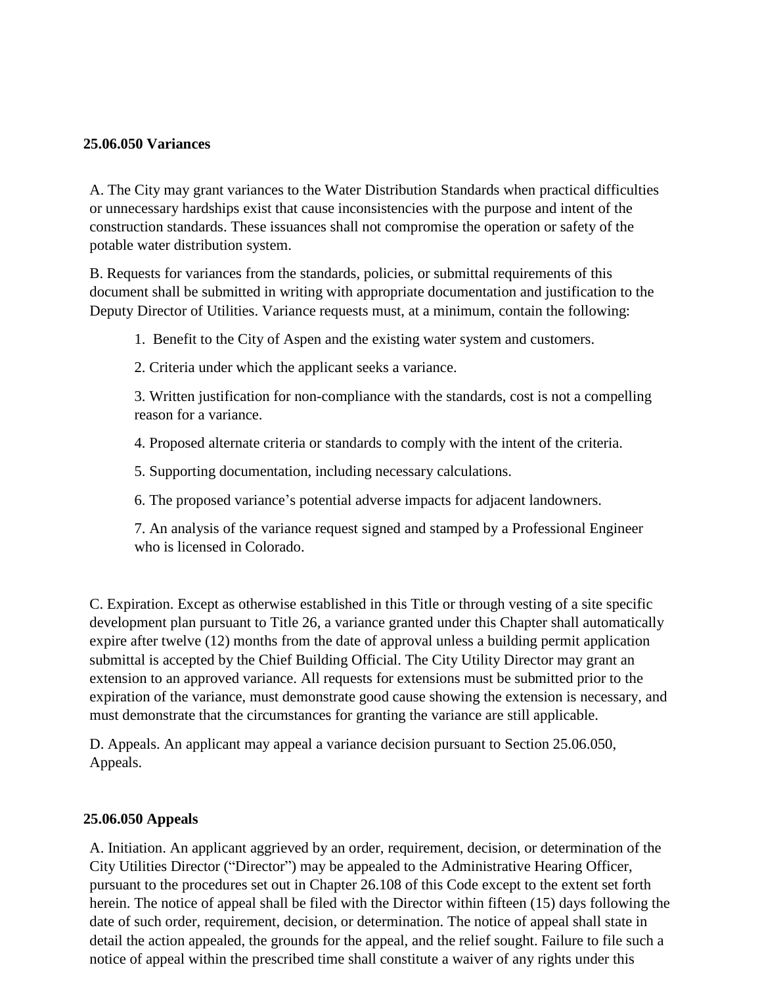## <span id="page-14-0"></span>**25.06.050 Variances**

A. The City may grant variances to the Water Distribution Standards when practical difficulties or unnecessary hardships exist that cause inconsistencies with the purpose and intent of the construction standards. These issuances shall not compromise the operation or safety of the potable water distribution system.

B. Requests for variances from the standards, policies, or submittal requirements of this document shall be submitted in writing with appropriate documentation and justification to the Deputy Director of Utilities. Variance requests must, at a minimum, contain the following:

1. Benefit to the City of Aspen and the existing water system and customers.

2. Criteria under which the applicant seeks a variance.

3. Written justification for non-compliance with the standards, cost is not a compelling reason for a variance.

4. Proposed alternate criteria or standards to comply with the intent of the criteria.

5. Supporting documentation, including necessary calculations.

6. The proposed variance's potential adverse impacts for adjacent landowners.

7. An analysis of the variance request signed and stamped by a Professional Engineer who is licensed in Colorado.

C. Expiration. Except as otherwise established in this Title or through vesting of a site specific development plan pursuant to Title 26, a variance granted under this Chapter shall automatically expire after twelve (12) months from the date of approval unless a building permit application submittal is accepted by the Chief Building Official. The City Utility Director may grant an extension to an approved variance. All requests for extensions must be submitted prior to the expiration of the variance, must demonstrate good cause showing the extension is necessary, and must demonstrate that the circumstances for granting the variance are still applicable.

D. Appeals. An applicant may appeal a variance decision pursuant to Section 25.06.050, Appeals.

# <span id="page-14-1"></span>**25.06.050 Appeals**

A. Initiation. An applicant aggrieved by an order, requirement, decision, or determination of the City Utilities Director ("Director") may be appealed to the Administrative Hearing Officer, pursuant to the procedures set out in Chapter 26.108 of this Code except to the extent set forth herein. The notice of appeal shall be filed with the Director within fifteen (15) days following the date of such order, requirement, decision, or determination. The notice of appeal shall state in detail the action appealed, the grounds for the appeal, and the relief sought. Failure to file such a notice of appeal within the prescribed time shall constitute a waiver of any rights under this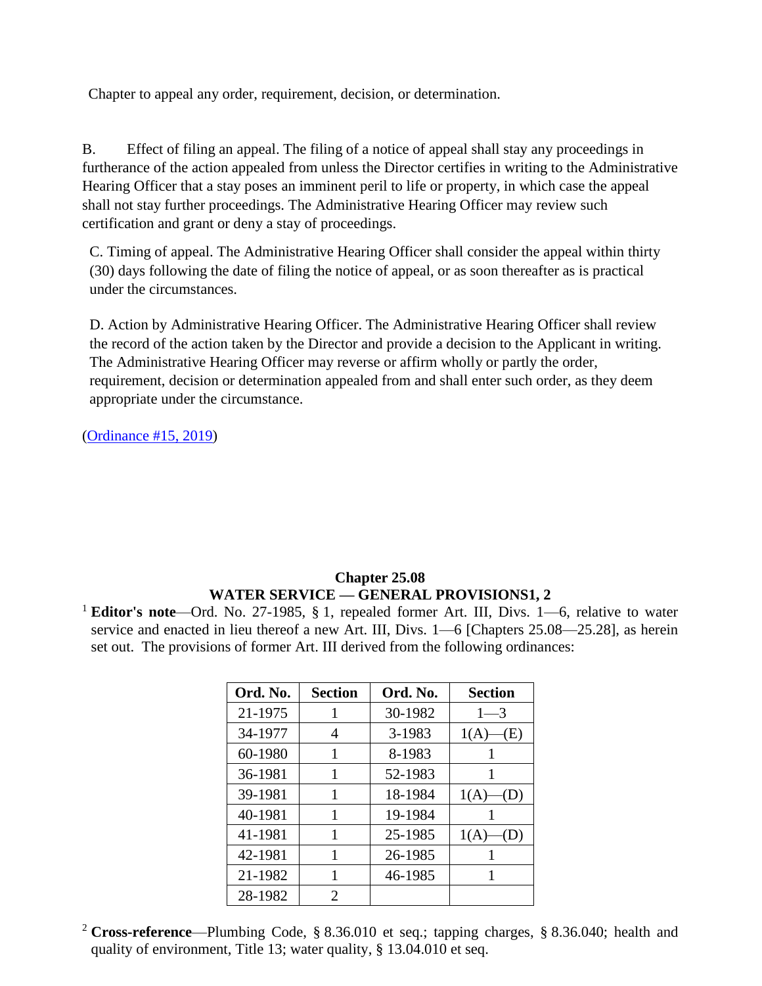Chapter to appeal any order, requirement, decision, or determination.

B. Effect of filing an appeal. The filing of a notice of appeal shall stay any proceedings in furtherance of the action appealed from unless the Director certifies in writing to the Administrative Hearing Officer that a stay poses an imminent peril to life or property, in which case the appeal shall not stay further proceedings. The Administrative Hearing Officer may review such certification and grant or deny a stay of proceedings.

C. Timing of appeal. The Administrative Hearing Officer shall consider the appeal within thirty (30) days following the date of filing the notice of appeal, or as soon thereafter as is practical under the circumstances.

D. Action by Administrative Hearing Officer. The Administrative Hearing Officer shall review the record of the action taken by the Director and provide a decision to the Applicant in writing. The Administrative Hearing Officer may reverse or affirm wholly or partly the order, requirement, decision or determination appealed from and shall enter such order, as they deem appropriate under the circumstance.

[\(Ordinance #15, 2019\)](https://records.cityofaspen.com/WebLink/0/doc/1835241/Page1.aspx)

# **Chapter 25.08 WATER SERVICE — GENERAL PROVISIONS1, 2**

<span id="page-15-1"></span><span id="page-15-0"></span><sup>1</sup> **Editor's note**—Ord. No. 27-1985, § 1, repealed former Art. III, Divs. 1—6, relative to water service and enacted in lieu thereof a new Art. III, Divs. 1—6 [Chapters 25.08—25.28], as herein set out. The provisions of former Art. III derived from the following ordinances:

| Ord. No. | <b>Section</b> | Ord. No. | <b>Section</b> |
|----------|----------------|----------|----------------|
| 21-1975  |                | 30-1982  | $1 - 3$        |
| 34-1977  | 4              | 3-1983   | 1(A)<br>(E)    |
| 60-1980  |                | 8-1983   |                |
| 36-1981  | 1              | 52-1983  | 1              |
| 39-1981  | 1              | 18-1984  | 1(A)<br>(D)    |
| 40-1981  | 1              | 19-1984  |                |
| 41-1981  | 1              | 25-1985  | 1(A)           |
| 42-1981  | 1              | 26-1985  |                |
| 21-1982  | 1              | 46-1985  |                |
| 28-1982  | 2              |          |                |

<sup>2</sup> **Cross-reference**—Plumbing Code, § 8.36.010 et seq.; tapping charges, § 8.36.040; health and quality of environment, Title 13; water quality, § 13.04.010 et seq.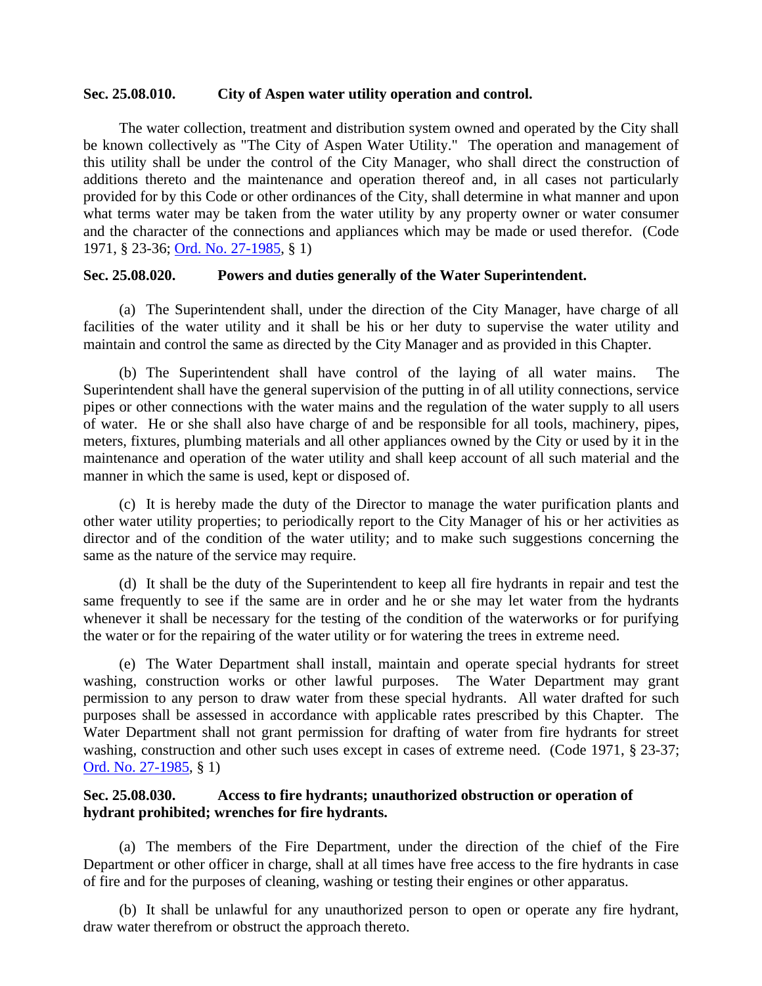#### <span id="page-16-0"></span>**Sec. 25.08.010. City of Aspen water utility operation and control.**

The water collection, treatment and distribution system owned and operated by the City shall be known collectively as "The City of Aspen Water Utility." The operation and management of this utility shall be under the control of the City Manager, who shall direct the construction of additions thereto and the maintenance and operation thereof and, in all cases not particularly provided for by this Code or other ordinances of the City, shall determine in what manner and upon what terms water may be taken from the water utility by any property owner or water consumer and the character of the connections and appliances which may be made or used therefor. (Code 1971, § 23-36; [Ord. No. 27-1985,](http://205.170.51.183/WebLink8/DocView.aspx?id=8829&dbid=0) § 1)

#### <span id="page-16-1"></span>**Sec. 25.08.020. Powers and duties generally of the Water Superintendent.**

(a) The Superintendent shall, under the direction of the City Manager, have charge of all facilities of the water utility and it shall be his or her duty to supervise the water utility and maintain and control the same as directed by the City Manager and as provided in this Chapter.

(b) The Superintendent shall have control of the laying of all water mains. The Superintendent shall have the general supervision of the putting in of all utility connections, service pipes or other connections with the water mains and the regulation of the water supply to all users of water. He or she shall also have charge of and be responsible for all tools, machinery, pipes, meters, fixtures, plumbing materials and all other appliances owned by the City or used by it in the maintenance and operation of the water utility and shall keep account of all such material and the manner in which the same is used, kept or disposed of.

(c) It is hereby made the duty of the Director to manage the water purification plants and other water utility properties; to periodically report to the City Manager of his or her activities as director and of the condition of the water utility; and to make such suggestions concerning the same as the nature of the service may require.

(d) It shall be the duty of the Superintendent to keep all fire hydrants in repair and test the same frequently to see if the same are in order and he or she may let water from the hydrants whenever it shall be necessary for the testing of the condition of the waterworks or for purifying the water or for the repairing of the water utility or for watering the trees in extreme need.

(e) The Water Department shall install, maintain and operate special hydrants for street washing, construction works or other lawful purposes. The Water Department may grant permission to any person to draw water from these special hydrants. All water drafted for such purposes shall be assessed in accordance with applicable rates prescribed by this Chapter. The Water Department shall not grant permission for drafting of water from fire hydrants for street washing, construction and other such uses except in cases of extreme need. (Code 1971, § 23-37; [Ord. No. 27-1985,](http://205.170.51.183/WebLink8/DocView.aspx?id=8829&dbid=0) § 1)

## <span id="page-16-2"></span>**Sec. 25.08.030. Access to fire hydrants; unauthorized obstruction or operation of hydrant prohibited; wrenches for fire hydrants.**

(a) The members of the Fire Department, under the direction of the chief of the Fire Department or other officer in charge, shall at all times have free access to the fire hydrants in case of fire and for the purposes of cleaning, washing or testing their engines or other apparatus.

(b) It shall be unlawful for any unauthorized person to open or operate any fire hydrant, draw water therefrom or obstruct the approach thereto.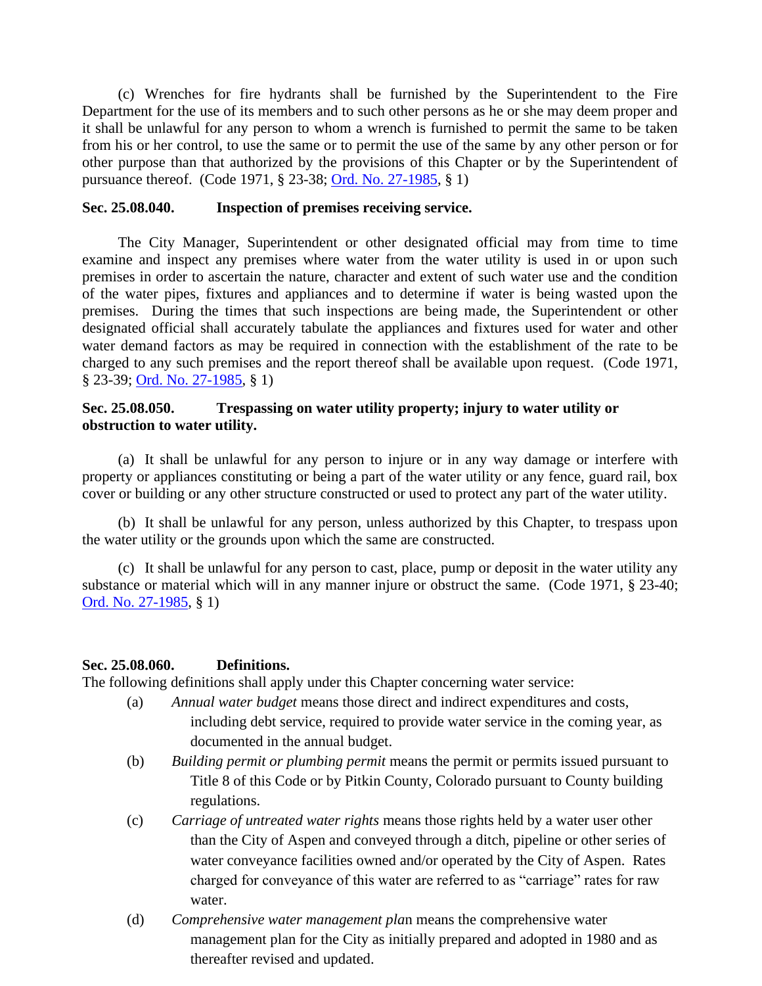(c) Wrenches for fire hydrants shall be furnished by the Superintendent to the Fire Department for the use of its members and to such other persons as he or she may deem proper and it shall be unlawful for any person to whom a wrench is furnished to permit the same to be taken from his or her control, to use the same or to permit the use of the same by any other person or for other purpose than that authorized by the provisions of this Chapter or by the Superintendent of pursuance thereof. (Code 1971, § 23-38; [Ord. No. 27-1985,](http://205.170.51.183/WebLink8/DocView.aspx?id=8829&dbid=0) § 1)

#### <span id="page-17-0"></span>**Sec. 25.08.040. Inspection of premises receiving service.**

The City Manager, Superintendent or other designated official may from time to time examine and inspect any premises where water from the water utility is used in or upon such premises in order to ascertain the nature, character and extent of such water use and the condition of the water pipes, fixtures and appliances and to determine if water is being wasted upon the premises. During the times that such inspections are being made, the Superintendent or other designated official shall accurately tabulate the appliances and fixtures used for water and other water demand factors as may be required in connection with the establishment of the rate to be charged to any such premises and the report thereof shall be available upon request. (Code 1971, § 23-39; [Ord. No. 27-1985,](http://205.170.51.183/WebLink8/DocView.aspx?id=8829&dbid=0) § 1)

## <span id="page-17-1"></span>**Sec. 25.08.050. Trespassing on water utility property; injury to water utility or obstruction to water utility.**

(a) It shall be unlawful for any person to injure or in any way damage or interfere with property or appliances constituting or being a part of the water utility or any fence, guard rail, box cover or building or any other structure constructed or used to protect any part of the water utility.

(b) It shall be unlawful for any person, unless authorized by this Chapter, to trespass upon the water utility or the grounds upon which the same are constructed.

(c) It shall be unlawful for any person to cast, place, pump or deposit in the water utility any substance or material which will in any manner injure or obstruct the same. (Code 1971, § 23-40; [Ord. No. 27-1985,](http://205.170.51.183/WebLink8/DocView.aspx?id=8829&dbid=0) § 1)

#### <span id="page-17-2"></span>**Sec. 25.08.060. Definitions.**

The following definitions shall apply under this Chapter concerning water service:

- (a) *Annual water budget* means those direct and indirect expenditures and costs, including debt service, required to provide water service in the coming year, as documented in the annual budget.
- (b) *Building permit or plumbing permit* means the permit or permits issued pursuant to Title 8 of this Code or by Pitkin County, Colorado pursuant to County building regulations.
- (c) *Carriage of untreated water rights* means those rights held by a water user other than the City of Aspen and conveyed through a ditch, pipeline or other series of water conveyance facilities owned and/or operated by the City of Aspen. Rates charged for conveyance of this water are referred to as "carriage" rates for raw water.
- (d) *Comprehensive water management pla*n means the comprehensive water management plan for the City as initially prepared and adopted in 1980 and as thereafter revised and updated.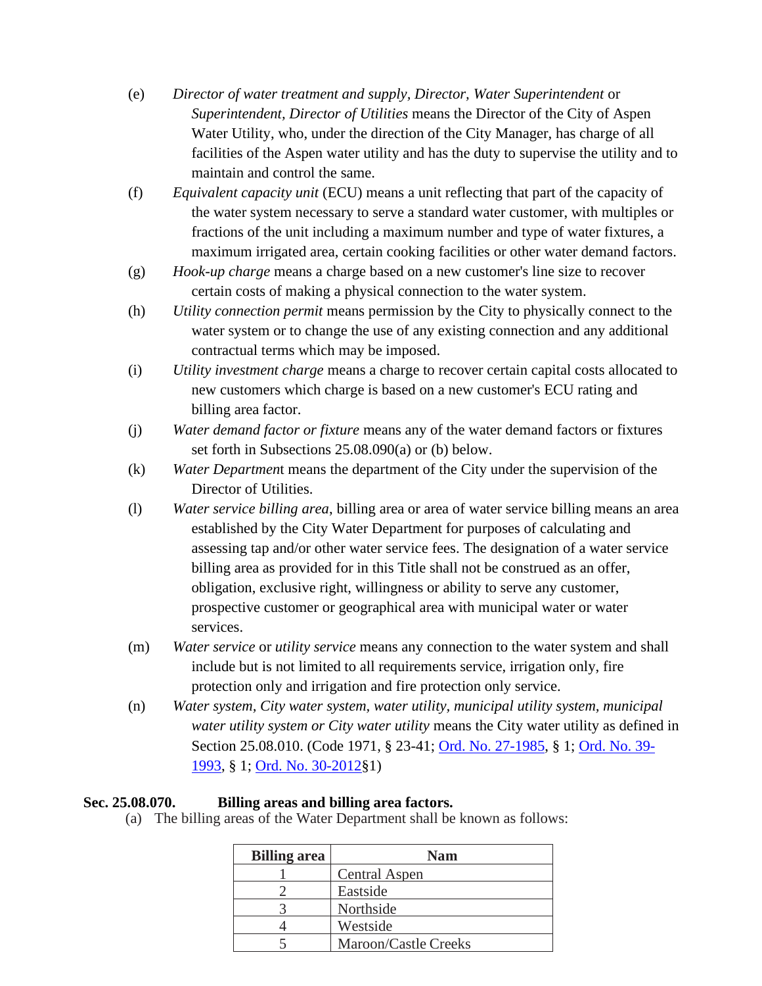- (e) *Director of water treatment and supply, Director, Water Superintendent* or *Superintendent, Director of Utilities* means the Director of the City of Aspen Water Utility, who, under the direction of the City Manager, has charge of all facilities of the Aspen water utility and has the duty to supervise the utility and to maintain and control the same.
- (f) *Equivalent capacity unit* (ECU) means a unit reflecting that part of the capacity of the water system necessary to serve a standard water customer, with multiples or fractions of the unit including a maximum number and type of water fixtures, a maximum irrigated area, certain cooking facilities or other water demand factors.
- (g) *Hook-up charge* means a charge based on a new customer's line size to recover certain costs of making a physical connection to the water system.
- (h) *Utility connection permit* means permission by the City to physically connect to the water system or to change the use of any existing connection and any additional contractual terms which may be imposed.
- (i) *Utility investment charge* means a charge to recover certain capital costs allocated to new customers which charge is based on a new customer's ECU rating and billing area factor.
- (j) *Water demand factor or fixture* means any of the water demand factors or fixtures set forth in Subsections 25.08.090(a) or (b) below.
- (k) *Water Departmen*t means the department of the City under the supervision of the Director of Utilities.
- (l) *Water service billing area*, billing area or area of water service billing means an area established by the City Water Department for purposes of calculating and assessing tap and/or other water service fees. The designation of a water service billing area as provided for in this Title shall not be construed as an offer, obligation, exclusive right, willingness or ability to serve any customer, prospective customer or geographical area with municipal water or water services.
- (m) *Water service* or *utility service* means any connection to the water system and shall include but is not limited to all requirements service, irrigation only, fire protection only and irrigation and fire protection only service.
- (n) *Water system, City water system, water utility, municipal utility system, municipal water utility system or City water utility* means the City water utility as defined in Section 25.08.010. (Code 1971, § 23-41; [Ord. No. 27-1985,](http://205.170.51.183/WebLink8/DocView.aspx?id=8829&dbid=0) § 1; [Ord. No. 39-](http://205.170.51.183/WebLink8/0/doc/3387/Page1.aspx) [1993,](http://205.170.51.183/WebLink8/0/doc/3387/Page1.aspx) § 1; [Ord. No. 30-2012§](http://205.170.51.183/WebLink8/0/doc/185014/Page1.aspx)1)

## <span id="page-18-0"></span>**Sec. 25.08.070. Billing areas and billing area factors.**

(a) The billing areas of the Water Department shall be known as follows:

| <b>Billing area</b> | <b>Nam</b>           |
|---------------------|----------------------|
|                     | <b>Central Aspen</b> |
|                     | Eastside             |
|                     | Northside            |
|                     | Westside             |
|                     | Maroon/Castle Creeks |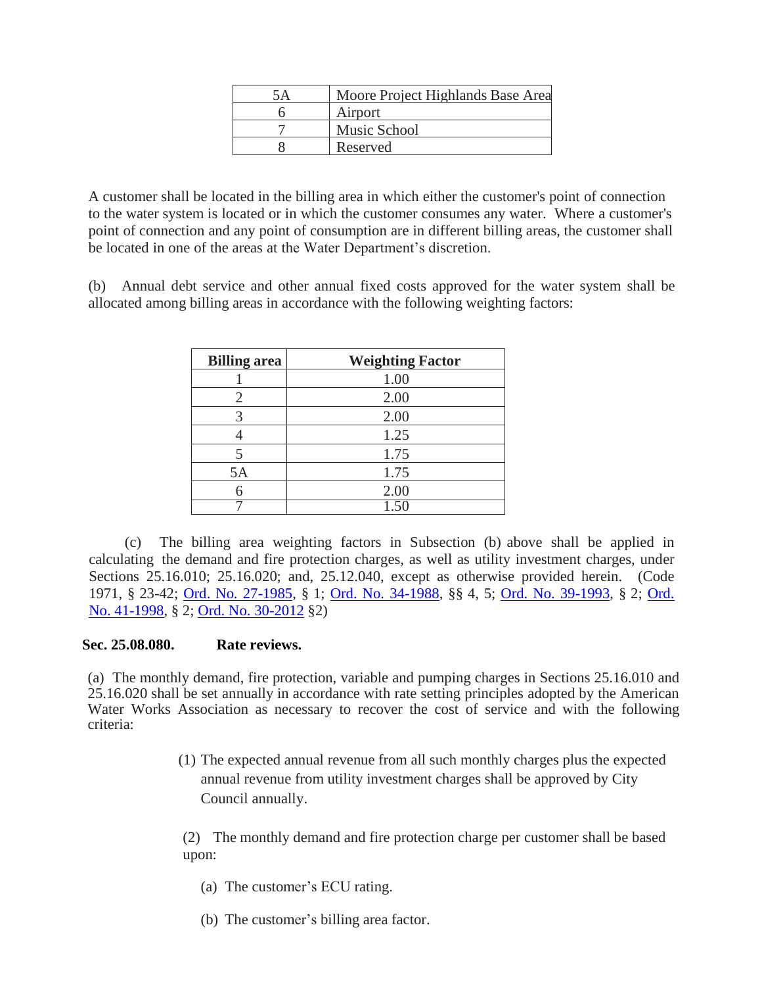| 5A | Moore Project Highlands Base Area |
|----|-----------------------------------|
|    | Airport                           |
|    | Music School                      |
|    | Reserved                          |

A customer shall be located in the billing area in which either the customer's point of connection to the water system is located or in which the customer consumes any water. Where a customer's point of connection and any point of consumption are in different billing areas, the customer shall be located in one of the areas at the Water Department's discretion.

(b) Annual debt service and other annual fixed costs approved for the water system shall be allocated among billing areas in accordance with the following weighting factors:

| <b>Billing</b> area | <b>Weighting Factor</b> |
|---------------------|-------------------------|
|                     | 1.00                    |
| 2                   | 2.00                    |
|                     | 2.00                    |
|                     | 1.25                    |
|                     | 1.75                    |
| 5A                  | 1.75                    |
|                     | 2.00                    |
|                     |                         |

(c) The billing area weighting factors in Subsection (b) above shall be applied in calculating the demand and fire protection charges, as well as utility investment charges, under Sections 25.16.010; 25.16.020; and, 25.12.040, except as otherwise provided herein. (Code 1971, § 23-42; Ord. No. [27-1985,](http://205.170.51.183/WebLink8/DocView.aspx?id=8829&dbid=0) § 1; Ord. No. [34-1988,](http://205.170.51.183/WebLink8/0/doc/3099/Page1.aspx) §§ 4, 5; Ord. No. [39-1993,](http://205.170.51.183/WebLink8/0/doc/3387/Page1.aspx) § 2; [Ord.](http://205.170.51.183/WebLink8/0/doc/2574/Page1.aspx)  [No. 41-1998,](http://205.170.51.183/WebLink8/0/doc/2574/Page1.aspx) § 2; [Ord. No. 30-2012](http://205.170.51.183/WebLink8/0/doc/185014/Page1.aspx) §2)

## <span id="page-19-0"></span>**Sec. 25.08.080. Rate reviews.**

(a) The monthly demand, fire protection, variable and pumping charges in Sections 25.16.010 and 25.16.020 shall be set annually in accordance with rate setting principles adopted by the American Water Works Association as necessary to recover the cost of service and with the following criteria:

> (1) The expected annual revenue from all such monthly charges plus the expected annual revenue from utility investment charges shall be approved by City Council annually.

(2) The monthly demand and fire protection charge per customer shall be based upon:

- (a) The customer's ECU rating.
- (b) The customer's billing area factor.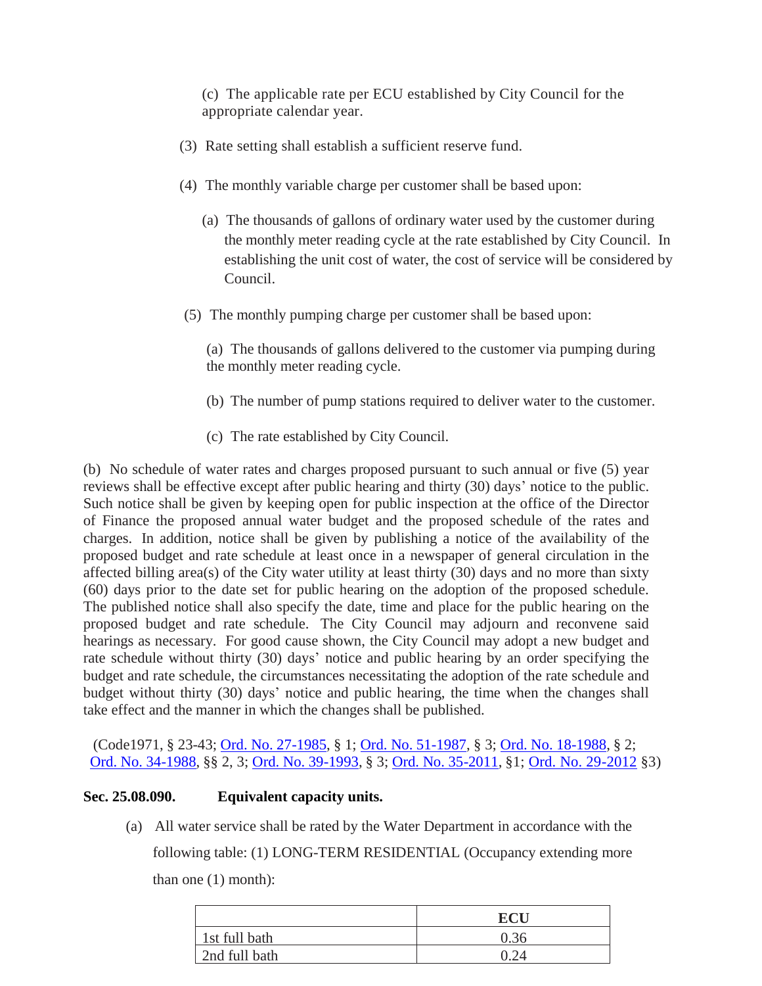(c) The applicable rate per ECU established by City Council for the appropriate calendar year.

- (3) Rate setting shall establish a sufficient reserve fund.
- (4) The monthly variable charge per customer shall be based upon:
	- (a) The thousands of gallons of ordinary water used by the customer during the monthly meter reading cycle at the rate established by City Council. In establishing the unit cost of water, the cost of service will be considered by Council.
- (5) The monthly pumping charge per customer shall be based upon:

(a) The thousands of gallons delivered to the customer via pumping during the monthly meter reading cycle.

- (b) The number of pump stations required to deliver water to the customer.
- (c) The rate established by City Council.

(b) No schedule of water rates and charges proposed pursuant to such annual or five (5) year reviews shall be effective except after public hearing and thirty (30) days' notice to the public. Such notice shall be given by keeping open for public inspection at the office of the Director of Finance the proposed annual water budget and the proposed schedule of the rates and charges. In addition, notice shall be given by publishing a notice of the availability of the proposed budget and rate schedule at least once in a newspaper of general circulation in the affected billing area(s) of the City water utility at least thirty  $(30)$  days and no more than sixty (60) days prior to the date set for public hearing on the adoption of the proposed schedule. The published notice shall also specify the date, time and place for the public hearing on the proposed budget and rate schedule. The City Council may adjourn and reconvene said hearings as necessary. For good cause shown, the City Council may adopt a new budget and rate schedule without thirty (30) days' notice and public hearing by an order specifying the budget and rate schedule, the circumstances necessitating the adoption of the rate schedule and budget without thirty (30) days' notice and public hearing, the time when the changes shall take effect and the manner in which the changes shall be published.

(Code1971, § 23-43; Ord. No. [27-1985,](http://205.170.51.183/WebLink8/DocView.aspx?id=8829&dbid=0) § 1; Ord. No. [51-1987,](http://205.170.51.183/WebLink8/0/doc/3047/Page1.aspx) § 3; Ord. No. [18-1988,](http://205.170.51.183/WebLink8/DocView.aspx?id=3085&dbid=0) § 2; Ord. No. [34-1988,](http://205.170.51.183/WebLink8/0/doc/3099/Page1.aspx) §§ 2, 3; Ord. No. [39-1993,](http://205.170.51.183/WebLink8/0/doc/3387/Page1.aspx) § 3; Ord. No. [35-2011,](http://205.170.51.183/WebLink8/0/doc/163540/Page1.aspx) §1; [Ord. No. 29-2012](http://205.170.51.183/WebLink8/0/doc/185748/Page1.aspx) §3)

## <span id="page-20-0"></span>**Sec. 25.08.090. Equivalent capacity units.**

(a) All water service shall be rated by the Water Department in accordance with the following table: (1) LONG-TERM RESIDENTIAL (Occupancy extending more than one (1) month):

|               | <b>ECI</b> |
|---------------|------------|
| 1st full bath | 0.36       |
| 2nd full bath |            |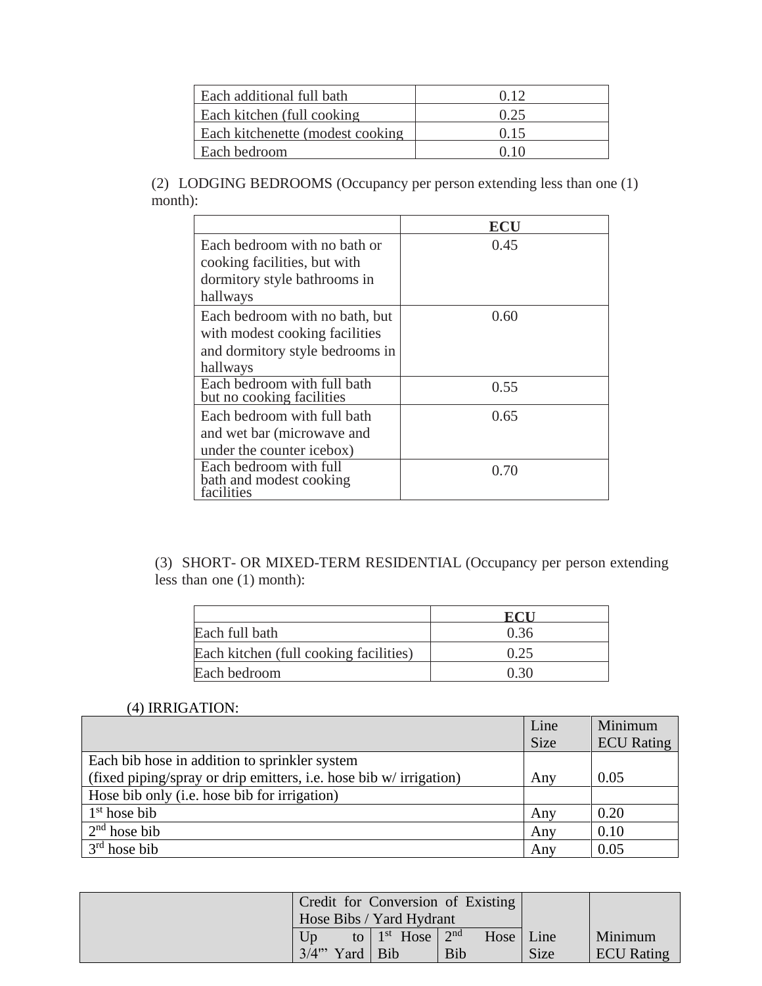| Each additional full bath         | 0.12 |
|-----------------------------------|------|
| Each kitchen (full cooking)       | 0.25 |
| Each kitchenette (modest cooking) | 0.15 |
| Each bedroom                      | 0.10 |

(2) LODGING BEDROOMS (Occupancy per person extending less than one (1) month):

|                                                                 | ECU  |
|-----------------------------------------------------------------|------|
| Each bedroom with no bath or                                    | 0.45 |
| cooking facilities, but with                                    |      |
| dormitory style bathrooms in                                    |      |
| hallways                                                        |      |
| Each bedroom with no bath, but                                  | 0.60 |
| with modest cooking facilities                                  |      |
| and dormitory style bedrooms in                                 |      |
| hallways                                                        |      |
| Each bedroom with full bath<br>but no cooking facilities        | 0.55 |
| Each bedroom with full bath                                     | 0.65 |
| and wet bar (microwave and                                      |      |
| under the counter icebox)                                       |      |
| Each bedroom with full<br>bath and modest cooking<br>facilities | 0.70 |

(3) SHORT- OR MIXED-TERM RESIDENTIAL (Occupancy per person extending less than one (1) month):

|                                        | RT 1 |
|----------------------------------------|------|
| Each full bath                         | 0.36 |
| Each kitchen (full cooking facilities) | 0.25 |
| Each bedroom                           | 0.30 |

# (4) IRRIGATION:

|                                                                    | Line        | Minimum           |
|--------------------------------------------------------------------|-------------|-------------------|
|                                                                    | <b>Size</b> | <b>ECU</b> Rating |
| Each bib hose in addition to sprinkler system                      |             |                   |
| (fixed piping/spray or drip emitters, i.e. hose bib w/ irrigation) | Any         | 0.05              |
| Hose bib only (i.e. hose bib for irrigation)                       |             |                   |
| $1st$ hose bib                                                     | Any         | 0.20              |
| $2nd$ hose bib                                                     | Any         | 0.10              |
| $3rd$ hose bib                                                     | Any         | 0.05              |

|                          |                     | Credit for Conversion of Existing |             |                   |
|--------------------------|---------------------|-----------------------------------|-------------|-------------------|
| Hose Bibs / Yard Hydrant |                     |                                   |             |                   |
| I Jn                     | to $1st$ Hose $2nd$ | Hose   Line                       |             | Minimum           |
| 3/4"<br>Yard   Bib       |                     | Bib                               | <b>Size</b> | <b>ECU</b> Rating |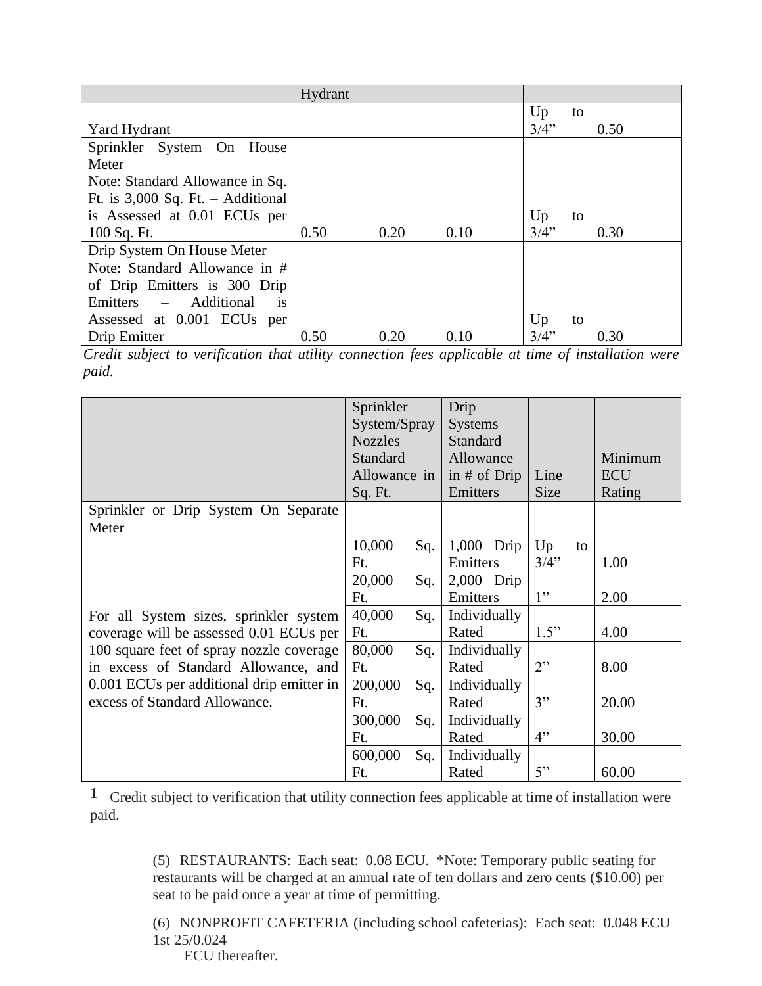|                                                     | Hydrant |      |      |          |      |
|-----------------------------------------------------|---------|------|------|----------|------|
|                                                     |         |      |      | Up<br>to |      |
| Yard Hydrant                                        |         |      |      | 3/4"     | 0.50 |
| Sprinkler System On House                           |         |      |      |          |      |
| Meter                                               |         |      |      |          |      |
| Note: Standard Allowance in Sq.                     |         |      |      |          |      |
| Ft. is $3,000$ Sq. Ft. - Additional                 |         |      |      |          |      |
| is Assessed at 0.01 ECUs per                        |         |      |      | Up<br>to |      |
| 100 Sq. Ft.                                         | 0.50    | 0.20 | 0.10 | 3/4"     | 0.30 |
| Drip System On House Meter                          |         |      |      |          |      |
| Note: Standard Allowance in #                       |         |      |      |          |      |
| of Drip Emitters is 300 Drip                        |         |      |      |          |      |
| Additional<br>Emitters<br>$\equiv$<br><sup>is</sup> |         |      |      |          |      |
| Assessed at 0.001 ECUs per                          |         |      |      | Up<br>to |      |
| Drip Emitter                                        | 0.50    | 0.20 | 0.10 | 3/4"     | 0.30 |

*Credit subject to verification that utility connection fees applicable at time of installation were paid.*

|                                                                                   | Sprinkler<br>System/Spray<br><b>Nozzles</b><br><b>Standard</b><br>Allowance in<br>Sq. Ft. |     | Drip<br><b>Systems</b><br>Standard<br>Allowance<br>in $#$ of Drip<br>Emitters | Line<br><b>Size</b> | Minimum<br><b>ECU</b><br>Rating |
|-----------------------------------------------------------------------------------|-------------------------------------------------------------------------------------------|-----|-------------------------------------------------------------------------------|---------------------|---------------------------------|
| Sprinkler or Drip System On Separate<br>Meter                                     |                                                                                           |     |                                                                               |                     |                                 |
|                                                                                   | 10,000<br>Ft.                                                                             | Sq. | 1,000 Drip<br>Emitters                                                        | Up<br>to<br>3/4"    | 1.00                            |
|                                                                                   | 20,000<br>Ft.                                                                             | Sq. | $2,000$ Drip<br>Emitters                                                      | 1"                  | 2.00                            |
| For all System sizes, sprinkler system<br>coverage will be assessed 0.01 ECUs per | 40,000<br>Ft.                                                                             | Sq. | Individually<br>Rated                                                         | 1.5"                | 4.00                            |
| 100 square feet of spray nozzle coverage<br>in excess of Standard Allowance, and  | 80,000<br>Ft.                                                                             | Sq. | Individually<br>Rated                                                         | 2"                  | 8.00                            |
| 0.001 ECUs per additional drip emitter in<br>excess of Standard Allowance.        | 200,000<br>Ft.                                                                            | Sq. | Individually<br>Rated                                                         | 3"                  | 20.00                           |
|                                                                                   | 300,000<br>Ft.                                                                            | Sq. | Individually<br>Rated                                                         | 4"                  | 30.00                           |
|                                                                                   | 600,000<br>Ft.                                                                            | Sq. | Individually<br>Rated                                                         | 5"                  | 60.00                           |

1 Credit subject to verification that utility connection fees applicable at time of installation were paid.

- (5) RESTAURANTS: Each seat: 0.08 ECU. \*Note: Temporary public seating for restaurants will be charged at an annual rate of ten dollars and zero cents (\$10.00) per seat to be paid once a year at time of permitting.
- (6) NONPROFIT CAFETERIA (including school cafeterias): Each seat: 0.048 ECU 1st 25/0.024
	- ECU thereafter.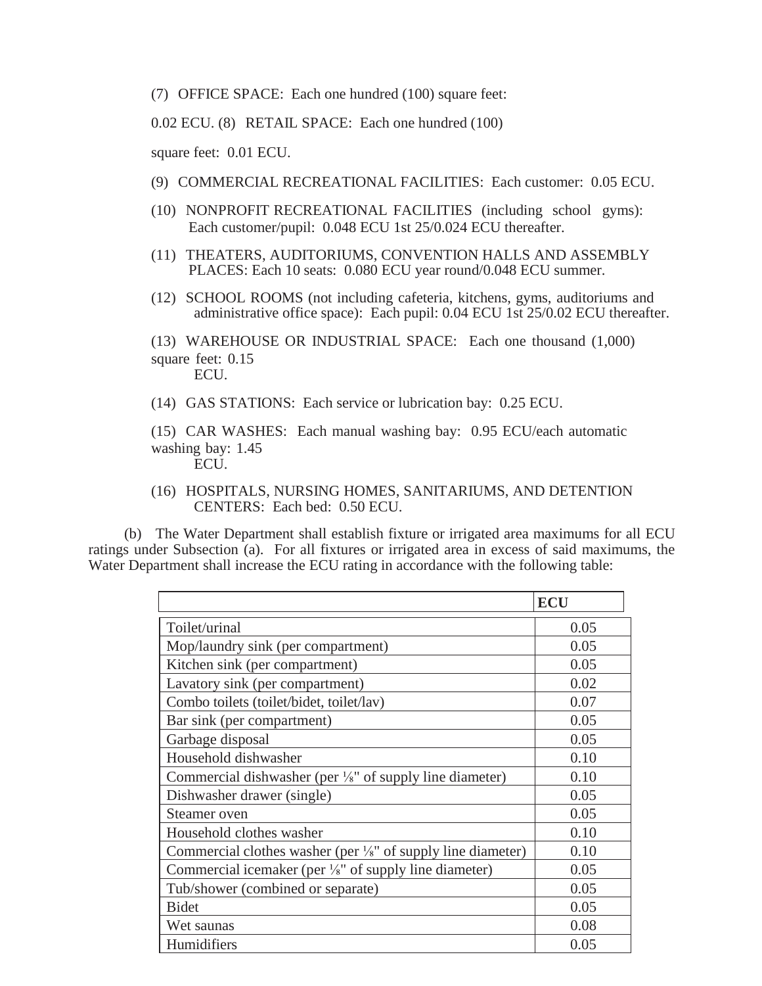(7) OFFICE SPACE: Each one hundred (100) square feet:

0.02 ECU. (8) RETAIL SPACE: Each one hundred (100)

square feet: 0.01 ECU.

- (9) COMMERCIAL RECREATIONAL FACILITIES: Each customer: 0.05 ECU.
- (10) NONPROFIT RECREATIONAL FACILITIES (including school gyms): Each customer/pupil: 0.048 ECU 1st 25/0.024 ECU thereafter.
- (11) THEATERS, AUDITORIUMS, CONVENTION HALLS AND ASSEMBLY PLACES: Each 10 seats: 0.080 ECU year round/0.048 ECU summer.
- (12) SCHOOL ROOMS (not including cafeteria, kitchens, gyms, auditoriums and administrative office space): Each pupil: 0.04 ECU 1st 25/0.02 ECU thereafter.

(13) WAREHOUSE OR INDUSTRIAL SPACE: Each one thousand (1,000) square feet:  $0.15$ ECU.

(14) GAS STATIONS: Each service or lubrication bay: 0.25 ECU.

(15) CAR WASHES: Each manual washing bay: 0.95 ECU/each automatic washing bay: 1.45 ECU.

(16) HOSPITALS, NURSING HOMES, SANITARIUMS, AND DETENTION CENTERS: Each bed: 0.50 ECU.

(b) The Water Department shall establish fixture or irrigated area maximums for all ECU ratings under Subsection (a). For all fixtures or irrigated area in excess of said maximums, the Water Department shall increase the ECU rating in accordance with the following table:

|                                                                         | <b>ECU</b> |
|-------------------------------------------------------------------------|------------|
| Toilet/urinal                                                           | 0.05       |
| Mop/laundry sink (per compartment)                                      | 0.05       |
| Kitchen sink (per compartment)                                          | 0.05       |
| Lavatory sink (per compartment)                                         | 0.02       |
| Combo toilets (toilet/bidet, toilet/lav)                                | 0.07       |
| Bar sink (per compartment)                                              | 0.05       |
| Garbage disposal                                                        | 0.05       |
| Household dishwasher                                                    | 0.10       |
| Commercial dishwasher (per 1/8" of supply line diameter)                | 0.10       |
| Dishwasher drawer (single)                                              | 0.05       |
| Steamer oven                                                            | 0.05       |
| Household clothes washer                                                | 0.10       |
| Commercial clothes washer (per $\frac{1}{8}$ " of supply line diameter) | 0.10       |
| Commercial icemaker (per 1/8" of supply line diameter)                  | 0.05       |
| Tub/shower (combined or separate)                                       | 0.05       |
| <b>Bidet</b>                                                            | 0.05       |
| Wet saunas                                                              | 0.08       |
| Humidifiers                                                             | 0.05       |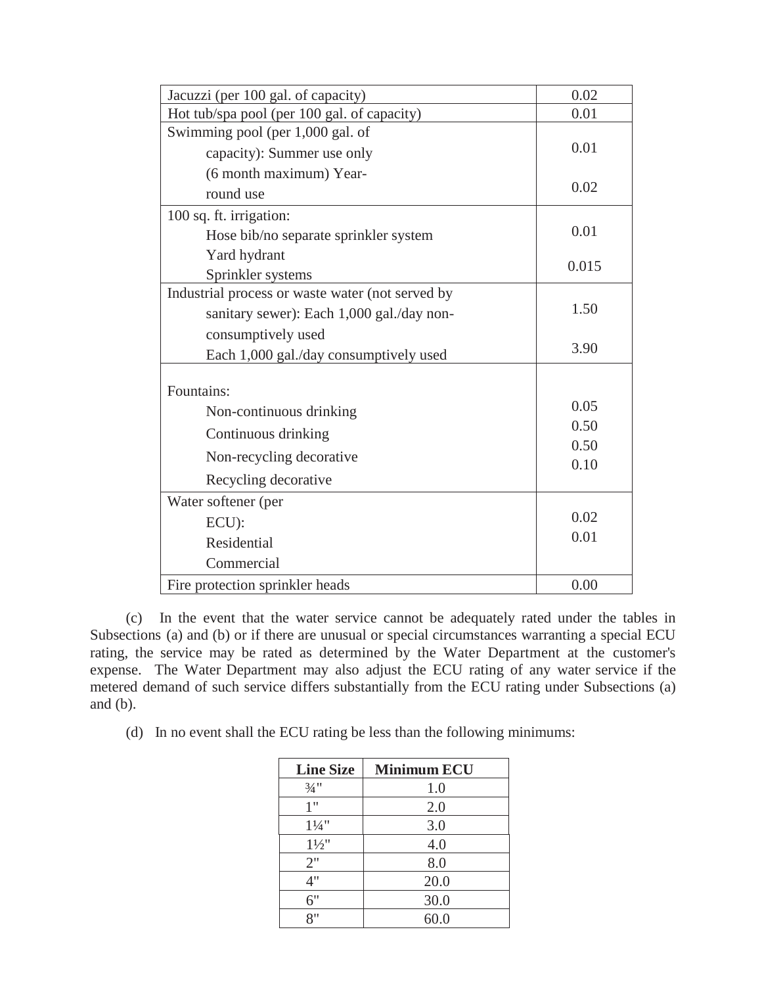| Jacuzzi (per 100 gal. of capacity)               | 0.02         |
|--------------------------------------------------|--------------|
| Hot tub/spa pool (per 100 gal. of capacity)      | 0.01         |
| Swimming pool (per 1,000 gal. of                 |              |
| capacity): Summer use only                       | 0.01         |
| (6 month maximum) Year-                          |              |
| round use                                        | 0.02         |
| 100 sq. ft. irrigation:                          |              |
| Hose bib/no separate sprinkler system            | 0.01         |
| Yard hydrant                                     |              |
| Sprinkler systems                                | 0.015        |
| Industrial process or waste water (not served by |              |
| sanitary sewer): Each 1,000 gal./day non-        | 1.50         |
| consumptively used                               |              |
| Each 1,000 gal./day consumptively used           | 3.90         |
|                                                  |              |
| Fountains:                                       |              |
| Non-continuous drinking                          | 0.05         |
| Continuous drinking                              | 0.50         |
| Non-recycling decorative                         | 0.50<br>0.10 |
| Recycling decorative                             |              |
| Water softener (per                              |              |
| ECU):                                            | 0.02         |
| Residential                                      | 0.01         |
| Commercial                                       |              |
| Fire protection sprinkler heads                  | 0.00         |

(c) In the event that the water service cannot be adequately rated under the tables in Subsections (a) and (b) or if there are unusual or special circumstances warranting a special ECU rating, the service may be rated as determined by the Water Department at the customer's expense. The Water Department may also adjust the ECU rating of any water service if the metered demand of such service differs substantially from the ECU rating under Subsections (a) and (b).

(d) In no event shall the ECU rating be less than the following minimums:

| <b>Line Size</b>  | <b>Minimum ECU</b> |
|-------------------|--------------------|
| $\frac{3}{4}$ "   | 1.0                |
| 1"                | 2.0                |
| $1\frac{1}{4}$ "  | 3.0                |
| $1\frac{1}{2}$ "  | 4.0                |
| 2"                | 8.0                |
| 4"                | 20.0               |
| 6"                | 30.0               |
| $Q$ <sup>11</sup> | 60.0               |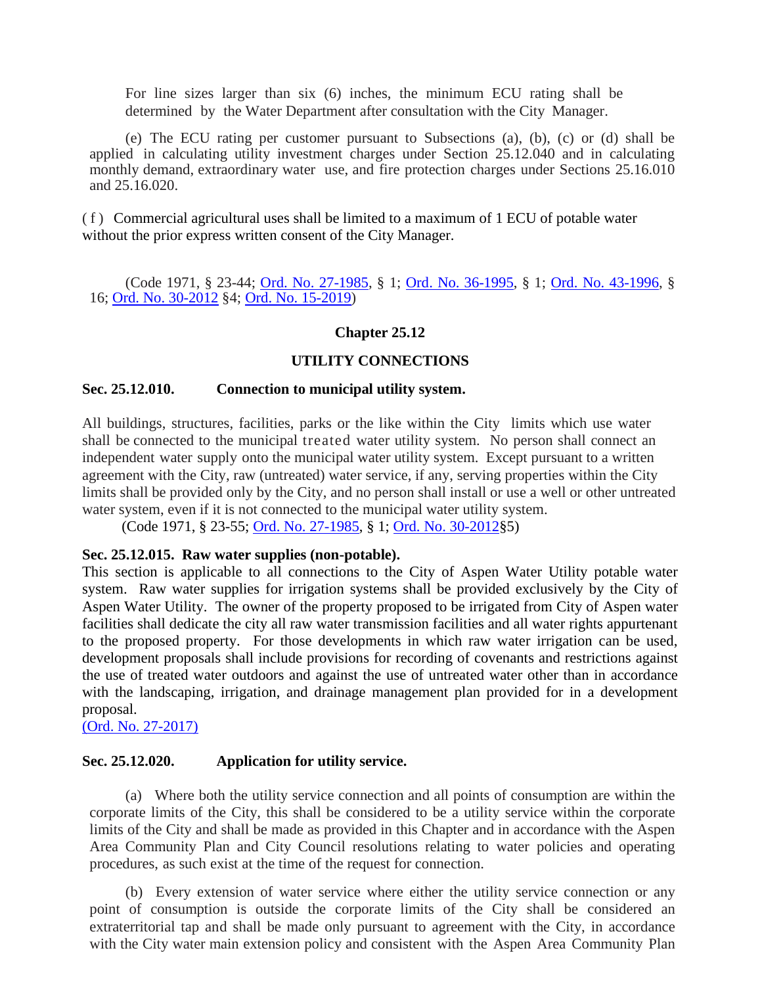For line sizes larger than six (6) inches, the minimum ECU rating shall be determined by the Water Department after consultation with the City Manager.

(e) The ECU rating per customer pursuant to Subsections (a), (b), (c) or (d) shall be applied in calculating utility investment charges under Section 25.12.040 and in calculating monthly demand, extraordinary water use, and fire protection charges under Sections 25.16.010 and 25.16.020.

(f) Commercial agricultural uses shall be limited to a maximum of 1 ECU of potable water without the prior express written consent of the City Manager.

(Code 1971, § 23-44; [Ord. No. 27-1985,](http://205.170.51.183/WebLink8/DocView.aspx?id=8829&dbid=0) § 1; [Ord. No.](http://205.170.51.183/WebLink8/0/doc/3530/Page1.aspx) 36-1995, § 1; [Ord. No. 43-1996,](http://205.170.51.183/WebLink8/0/doc/3640/Page1.aspx) § 16; [Ord. No. 30-2012](http://205.170.51.183/WebLink8/0/doc/185014/Page1.aspx) §4; [Ord. No. 15-2019\)](https://records.cityofaspen.com/WebLink/0/doc/1835241/Page1.aspx)

## **Chapter 25.12**

#### **UTILITY CONNECTIONS**

#### <span id="page-25-0"></span>**Sec. 25.12.010. Connection to municipal utility system.**

All buildings, structures, facilities, parks or the like within the City limits which use water shall be connected to the municipal treated water utility system. No person shall connect an independent water supply onto the municipal water utility system. Except pursuant to a written agreement with the City, raw (untreated) water service, if any, serving properties within the City limits shall be provided only by the City, and no person shall install or use a well or other untreated water system, even if it is not connected to the municipal water utility system.

(Code 1971, § 23-55; [Ord. No. 27-1985,](http://205.170.51.183/WebLink8/DocView.aspx?id=8829&dbid=0) § 1; [Ord. No. 30-2012§](http://205.170.51.183/WebLink8/0/doc/185014/Page1.aspx)5)

#### <span id="page-25-1"></span>**Sec. 25.12.015. Raw water supplies (non-potable).**

This section is applicable to all connections to the City of Aspen Water Utility potable water system. Raw water supplies for irrigation systems shall be provided exclusively by the City of Aspen Water Utility. The owner of the property proposed to be irrigated from City of Aspen water facilities shall dedicate the city all raw water transmission facilities and all water rights appurtenant to the proposed property. For those developments in which raw water irrigation can be used, development proposals shall include provisions for recording of covenants and restrictions against the use of treated water outdoors and against the use of untreated water other than in accordance with the landscaping, irrigation, and drainage management plan provided for in a development proposal.

[\(Ord. No. 27-2017\)](https://records.cityofaspen.com/WebLink/0/doc/649832/Page1.aspx)

#### <span id="page-25-2"></span>**Sec. 25.12.020. Application for utility service.**

(a) Where both the utility service connection and all points of consumption are within the corporate limits of the City, this shall be considered to be a utility service within the corporate limits of the City and shall be made as provided in this Chapter and in accordance with the Aspen Area Community Plan and City Council resolutions relating to water policies and operating procedures, as such exist at the time of the request for connection.

(b) Every extension of water service where either the utility service connection or any point of consumption is outside the corporate limits of the City shall be considered an extraterritorial tap and shall be made only pursuant to agreement with the City, in accordance with the City water main extension policy and consistent with the Aspen Area Community Plan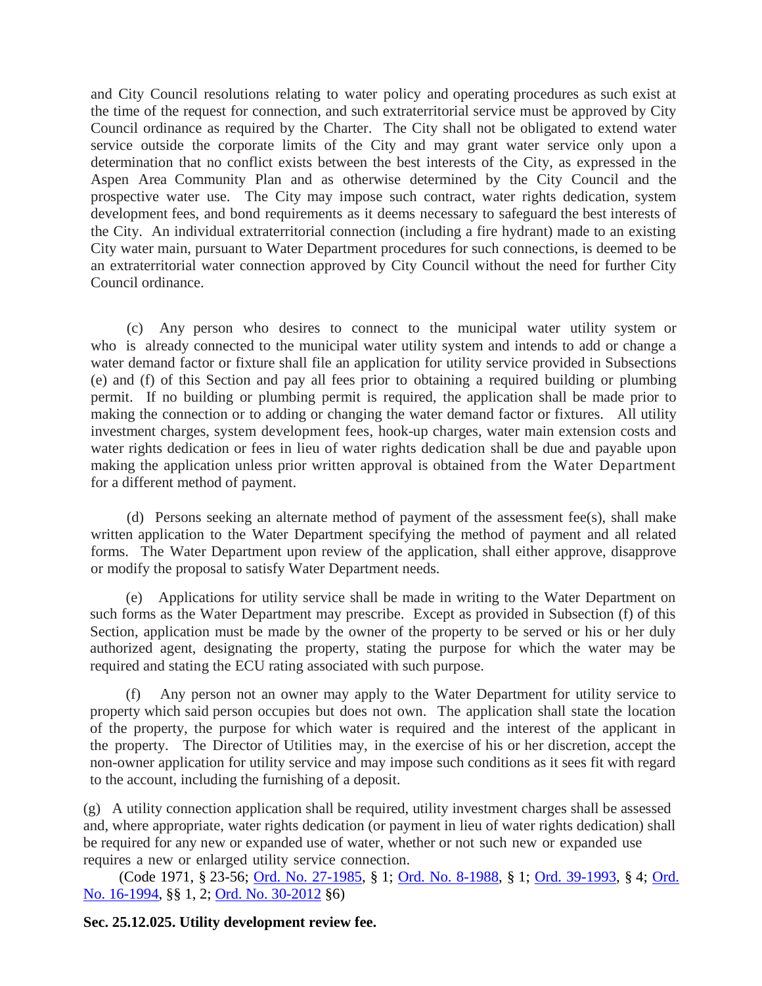and City Council resolutions relating to water policy and operating procedures as such exist at the time of the request for connection, and such extraterritorial service must be approved by City Council ordinance as required by the Charter. The City shall not be obligated to extend water service outside the corporate limits of the City and may grant water service only upon a determination that no conflict exists between the best interests of the City, as expressed in the Aspen Area Community Plan and as otherwise determined by the City Council and the prospective water use. The City may impose such contract, water rights dedication, system development fees, and bond requirements as it deems necessary to safeguard the best interests of the City. An individual extraterritorial connection (including a fire hydrant) made to an existing City water main, pursuant to Water Department procedures for such connections, is deemed to be an extraterritorial water connection approved by City Council without the need for further City Council ordinance.

(c) Any person who desires to connect to the municipal water utility system or who is already connected to the municipal water utility system and intends to add or change a water demand factor or fixture shall file an application for utility service provided in Subsections (e) and (f) of this Section and pay all fees prior to obtaining a required building or plumbing permit. If no building or plumbing permit is required, the application shall be made prior to making the connection or to adding or changing the water demand factor or fixtures. All utility investment charges, system development fees, hook-up charges, water main extension costs and water rights dedication or fees in lieu of water rights dedication shall be due and payable upon making the application unless prior written approval is obtained from the Water Department for a different method of payment.

(d) Persons seeking an alternate method of payment of the assessment fee(s), shall make written application to the Water Department specifying the method of payment and all related forms. The Water Department upon review of the application, shall either approve, disapprove or modify the proposal to satisfy Water Department needs.

(e) Applications for utility service shall be made in writing to the Water Department on such forms as the Water Department may prescribe. Except as provided in Subsection (f) of this Section, application must be made by the owner of the property to be served or his or her duly authorized agent, designating the property, stating the purpose for which the water may be required and stating the ECU rating associated with such purpose.

(f) Any person not an owner may apply to the Water Department for utility service to property which said person occupies but does not own. The application shall state the location of the property, the purpose for which water is required and the interest of the applicant in the property. The Director of Utilities may, in the exercise of his or her discretion, accept the non-owner application for utility service and may impose such conditions as it sees fit with regard to the account, including the furnishing of a deposit.

(g) A utility connection application shall be required, utility investment charges shall be assessed and, where appropriate, water rights dedication (or payment in lieu of water rights dedication) shall be required for any new or expanded use of water, whether or not such new or expanded use requires a new or enlarged utility service connection.

(Code 1971, § 23-56; [Ord. No. 27-1985,](http://205.170.51.183/WebLink8/DocView.aspx?id=8829&dbid=0) § 1; [Ord. No. 8-1988,](http://205.170.51.183/WebLink8/DocView.aspx?id=3075&dbid=0) § 1; [Ord. 39-1993,](http://205.170.51.183/WebLink8/0/doc/3387/Page1.aspx) § 4; [Ord.](http://205.170.51.183/WebLink8/DocView.aspx?id=3435&dbid=0)  [No. 16-1994,](http://205.170.51.183/WebLink8/DocView.aspx?id=3435&dbid=0) §§ 1, 2; [Ord. No. 30-2012](http://205.170.51.183/WebLink8/0/doc/185014/Page1.aspx) §6)

<span id="page-26-0"></span>**Sec. 25.12.025. Utility development review fee.**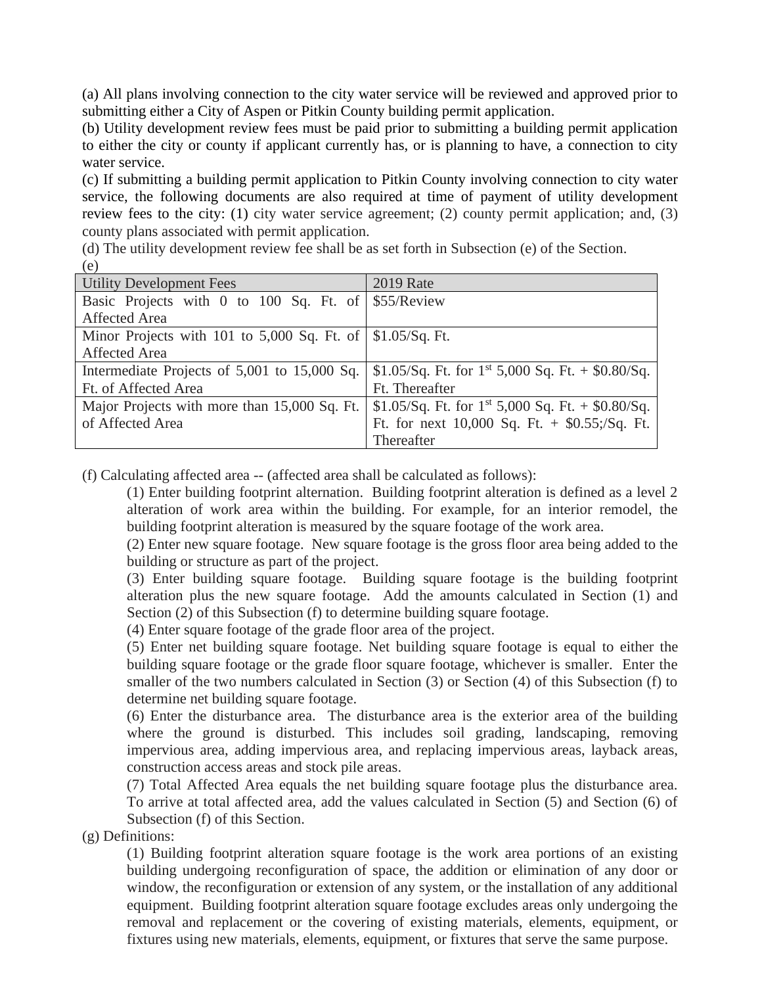(a) All plans involving connection to the city water service will be reviewed and approved prior to submitting either a City of Aspen or Pitkin County building permit application.

(b) Utility development review fees must be paid prior to submitting a building permit application to either the city or county if applicant currently has, or is planning to have, a connection to city water service.

(c) If submitting a building permit application to Pitkin County involving connection to city water service, the following documents are also required at time of payment of utility development review fees to the city: (1) city water service agreement; (2) county permit application; and, (3) county plans associated with permit application.

(d) The utility development review fee shall be as set forth in Subsection (e) of the Section. (e)

| <b>Utility Development Fees</b>                                           | <b>2019 Rate</b>                                       |
|---------------------------------------------------------------------------|--------------------------------------------------------|
| Basic Projects with 0 to 100 Sq. Ft. of $\frac{55}{\text{Re}}$ S55/Review |                                                        |
| <b>Affected Area</b>                                                      |                                                        |
| Minor Projects with 101 to 5,000 Sq. Ft. of $\frac{\$1.05}{Sq}$ . Ft.     |                                                        |
| <b>Affected Area</b>                                                      |                                                        |
| Intermediate Projects of 5,001 to 15,000 Sq.                              | \$1.05/Sq. Ft. for $1^{st}$ 5,000 Sq. Ft. + \$0.80/Sq. |
| Ft. of Affected Area                                                      | Ft. Thereafter                                         |
| Major Projects with more than 15,000 Sq. Ft.                              | \$1.05/Sq. Ft. for $1^{st}$ 5,000 Sq. Ft. + \$0.80/Sq. |
| of Affected Area                                                          | Ft. for next $10,000$ Sq. Ft. + \$0.55;/Sq. Ft.        |
|                                                                           | Thereafter                                             |

(f) Calculating affected area -- (affected area shall be calculated as follows):

(1) Enter building footprint alternation. Building footprint alteration is defined as a level 2 alteration of work area within the building. For example, for an interior remodel, the building footprint alteration is measured by the square footage of the work area.

(2) Enter new square footage. New square footage is the gross floor area being added to the building or structure as part of the project.

(3) Enter building square footage. Building square footage is the building footprint alteration plus the new square footage. Add the amounts calculated in Section (1) and Section (2) of this Subsection (f) to determine building square footage.

(4) Enter square footage of the grade floor area of the project.

(5) Enter net building square footage. Net building square footage is equal to either the building square footage or the grade floor square footage, whichever is smaller. Enter the smaller of the two numbers calculated in Section (3) or Section (4) of this Subsection (f) to determine net building square footage.

(6) Enter the disturbance area. The disturbance area is the exterior area of the building where the ground is disturbed. This includes soil grading, landscaping, removing impervious area, adding impervious area, and replacing impervious areas, layback areas, construction access areas and stock pile areas.

(7) Total Affected Area equals the net building square footage plus the disturbance area. To arrive at total affected area, add the values calculated in Section (5) and Section (6) of Subsection (f) of this Section.

(g) Definitions:

(1) Building footprint alteration square footage is the work area portions of an existing building undergoing reconfiguration of space, the addition or elimination of any door or window, the reconfiguration or extension of any system, or the installation of any additional equipment. Building footprint alteration square footage excludes areas only undergoing the removal and replacement or the covering of existing materials, elements, equipment, or fixtures using new materials, elements, equipment, or fixtures that serve the same purpose.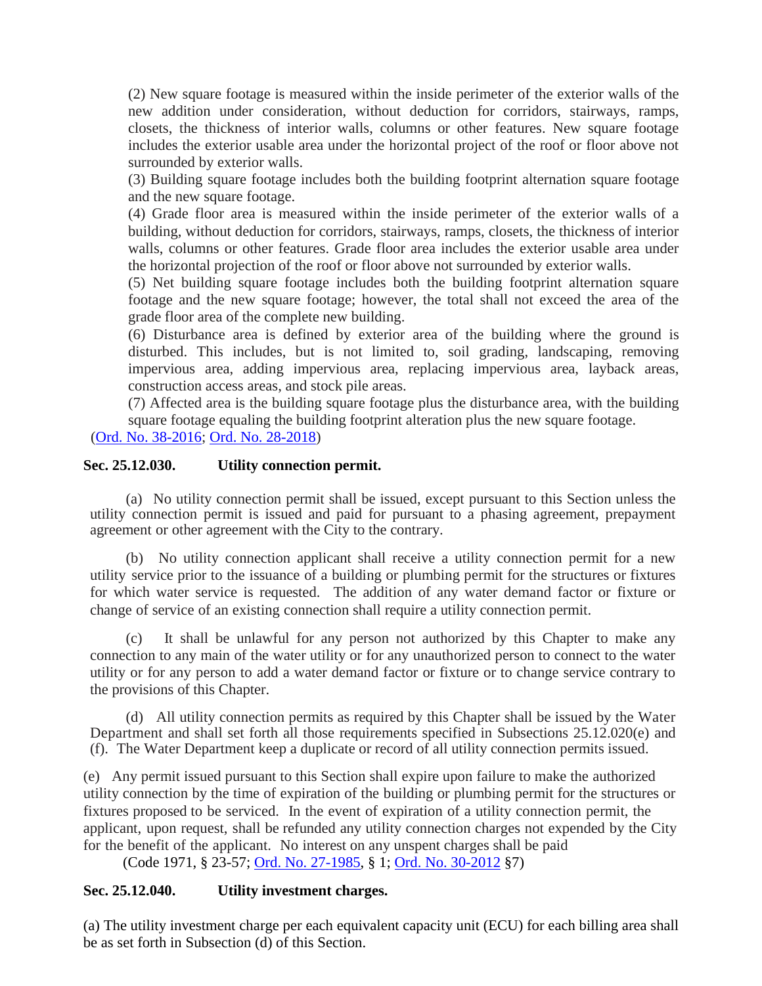(2) New square footage is measured within the inside perimeter of the exterior walls of the new addition under consideration, without deduction for corridors, stairways, ramps, closets, the thickness of interior walls, columns or other features. New square footage includes the exterior usable area under the horizontal project of the roof or floor above not surrounded by exterior walls.

(3) Building square footage includes both the building footprint alternation square footage and the new square footage.

(4) Grade floor area is measured within the inside perimeter of the exterior walls of a building, without deduction for corridors, stairways, ramps, closets, the thickness of interior walls, columns or other features. Grade floor area includes the exterior usable area under the horizontal projection of the roof or floor above not surrounded by exterior walls.

(5) Net building square footage includes both the building footprint alternation square footage and the new square footage; however, the total shall not exceed the area of the grade floor area of the complete new building.

(6) Disturbance area is defined by exterior area of the building where the ground is disturbed. This includes, but is not limited to, soil grading, landscaping, removing impervious area, adding impervious area, replacing impervious area, layback areas, construction access areas, and stock pile areas.

(7) Affected area is the building square footage plus the disturbance area, with the building square footage equaling the building footprint alteration plus the new square footage.

[\(Ord. No. 38-2016;](http://205.170.51.183/WebLink/0/doc/471374/Page1.aspx) [Ord. No. 28-2018\)](https://records.cityofaspen.com/WebLink/0/doc/1412784/Page1.aspx.)

## <span id="page-28-0"></span>**Sec. 25.12.030. Utility connection permit.**

(a) No utility connection permit shall be issued, except pursuant to this Section unless the utility connection permit is issued and paid for pursuant to a phasing agreement, prepayment agreement or other agreement with the City to the contrary.

(b) No utility connection applicant shall receive a utility connection permit for a new utility service prior to the issuance of a building or plumbing permit for the structures or fixtures for which water service is requested. The addition of any water demand factor or fixture or change of service of an existing connection shall require a utility connection permit.

(c) It shall be unlawful for any person not authorized by this Chapter to make any connection to any main of the water utility or for any unauthorized person to connect to the water utility or for any person to add a water demand factor or fixture or to change service contrary to the provisions of this Chapter.

(d) All utility connection permits as required by this Chapter shall be issued by the Water Department and shall set forth all those requirements specified in Subsections 25.12.020(e) and (f). The Water Department keep a duplicate or record of all utility connection permits issued.

(e) Any permit issued pursuant to this Section shall expire upon failure to make the authorized utility connection by the time of expiration of the building or plumbing permit for the structures or fixtures proposed to be serviced. In the event of expiration of a utility connection permit, the applicant, upon request, shall be refunded any utility connection charges not expended by the City for the benefit of the applicant. No interest on any unspent charges shall be paid

(Code 1971, § 23-57; [Ord. No. 27-1985,](http://205.170.51.183/WebLink8/DocView.aspx?id=8829&dbid=0) § 1; [Ord. No. 30-2012](http://205.170.51.183/WebLink8/0/doc/185014/Page1.aspx) §7)

# <span id="page-28-1"></span>**Sec. 25.12.040. Utility investment charges.**

(a) The utility investment charge per each equivalent capacity unit (ECU) for each billing area shall be as set forth in Subsection (d) of this Section.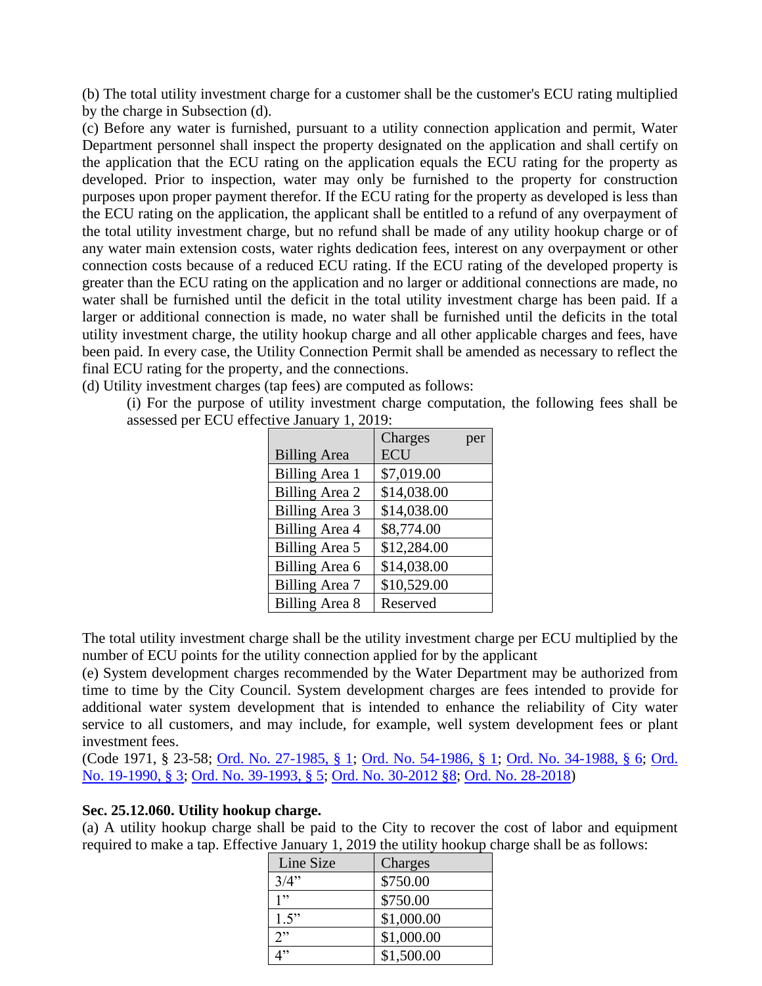(b) The total utility investment charge for a customer shall be the customer's ECU rating multiplied by the charge in Subsection (d).

(c) Before any water is furnished, pursuant to a utility connection application and permit, Water Department personnel shall inspect the property designated on the application and shall certify on the application that the ECU rating on the application equals the ECU rating for the property as developed. Prior to inspection, water may only be furnished to the property for construction purposes upon proper payment therefor. If the ECU rating for the property as developed is less than the ECU rating on the application, the applicant shall be entitled to a refund of any overpayment of the total utility investment charge, but no refund shall be made of any utility hookup charge or of any water main extension costs, water rights dedication fees, interest on any overpayment or other connection costs because of a reduced ECU rating. If the ECU rating of the developed property is greater than the ECU rating on the application and no larger or additional connections are made, no water shall be furnished until the deficit in the total utility investment charge has been paid. If a larger or additional connection is made, no water shall be furnished until the deficits in the total utility investment charge, the utility hookup charge and all other applicable charges and fees, have been paid. In every case, the Utility Connection Permit shall be amended as necessary to reflect the final ECU rating for the property, and the connections.

(d) Utility investment charges (tap fees) are computed as follows:

(i) For the purpose of utility investment charge computation, the following fees shall be assessed per ECU effective January 1, 2019:

|                       | Charges<br>per |
|-----------------------|----------------|
| <b>Billing Area</b>   | <b>ECU</b>     |
| <b>Billing Area 1</b> | \$7,019.00     |
| Billing Area 2        | \$14,038.00    |
| Billing Area 3        | \$14,038.00    |
| Billing Area 4        | \$8,774.00     |
| Billing Area 5        | \$12,284.00    |
| Billing Area 6        | \$14,038.00    |
| <b>Billing Area 7</b> | \$10,529.00    |
| Billing Area 8        | Reserved       |

The total utility investment charge shall be the utility investment charge per ECU multiplied by the number of ECU points for the utility connection applied for by the applicant

(e) System development charges recommended by the Water Department may be authorized from time to time by the City Council. System development charges are fees intended to provide for additional water system development that is intended to enhance the reliability of City water service to all customers, and may include, for example, well system development fees or plant investment fees.

(Code 1971, § 23-58; [Ord. No. 27-1985, § 1;](https://records.cityofaspen.com/WebLink/0/doc/8829/Page1.aspx) [Ord. No. 54-1986, § 1;](https://records.cityofaspen.com/WebLink/0/doc/2987/Page1.aspx) [Ord. No. 34-1988, § 6;](https://records.cityofaspen.com/WebLink/0/doc/3099/Page1.aspx) [Ord.](https://records.cityofaspen.com/WebLink/0/doc/3230/Page1.aspx)  [No. 19-1990, § 3;](https://records.cityofaspen.com/WebLink/0/doc/3230/Page1.aspx) [Ord. No. 39-1993, § 5;](https://records.cityofaspen.com/WebLink/0/doc/3387/Page1.aspx) [Ord. No. 30-2012 §8;](https://records.cityofaspen.com/WebLink/0/doc/185014/Page1.aspx) [Ord. No. 28-2018\)](https://records.cityofaspen.com/WebLink/0/doc/1412784/Page1.aspx.)

# **Sec. 25.12.060. Utility hookup charge.**

(a) A utility hookup charge shall be paid to the City to recover the cost of labor and equipment required to make a tap. Effective January 1, 2019 the utility hookup charge shall be as follows:

| Line Size | Charges    |
|-----------|------------|
| 3/4"      | \$750.00   |
| 1"        | \$750.00   |
| 1.5"      | \$1,000.00 |
| 2         | \$1,000.00 |
| 1"        | \$1,500.00 |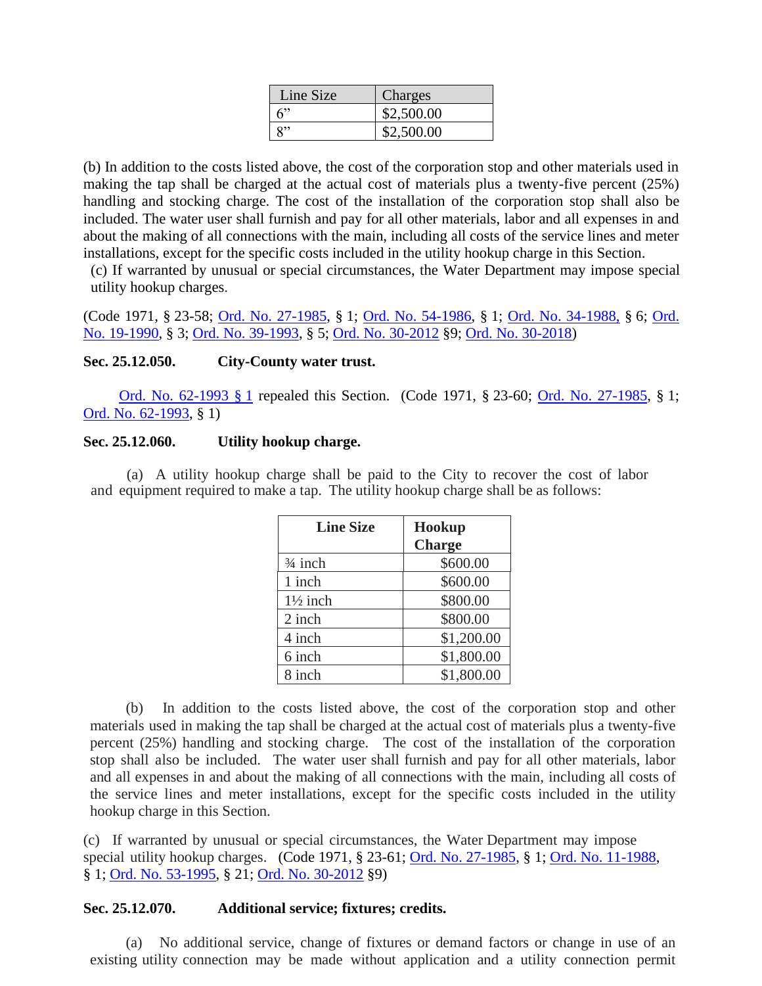| Line Size | Charges    |
|-----------|------------|
| ና"        | \$2,500.00 |
| R,,       | \$2,500.00 |

(b) In addition to the costs listed above, the cost of the corporation stop and other materials used in making the tap shall be charged at the actual cost of materials plus a twenty-five percent (25%) handling and stocking charge. The cost of the installation of the corporation stop shall also be included. The water user shall furnish and pay for all other materials, labor and all expenses in and about the making of all connections with the main, including all costs of the service lines and meter installations, except for the specific costs included in the utility hookup charge in this Section.

(c) If warranted by unusual or special circumstances, the Water Department may impose special utility hookup charges.

(Code 1971, § 23-58; [Ord. No. 27-1985,](http://205.170.51.183/WebLink8/DocView.aspx?id=8829&dbid=0) § 1; [Ord. No. 54-1986,](http://205.170.51.183/WebLink8/0/doc/2987/Page1.aspx) § 1; [Ord. No. 34-1988,](http://205.170.51.183/WebLink8/0/doc/3099/Page1.aspx) § 6; Ord. [No. 19-1990,](http://205.170.51.183/WebLink8/DocView.aspx?id=3230&dbid=0) § 3; [Ord. No. 39-1993,](http://205.170.51.183/WebLink8/0/doc/3387/Page1.aspx) § 5; [Ord. No. 30-2012](http://205.170.51.183/WebLink8/0/doc/185014/Page1.aspx) §9; [Ord. No. 30-2018\)](https://records.cityofaspen.com/WebLink/0/doc/1412784/Page1.aspx.)

## <span id="page-30-0"></span>**Sec. 25.12.050. City-County water trust.**

[Ord. No. 62-1993 §](https://records.cityofaspen.com/WebLink/0/doc/3409/Page1.aspx) 1 repealed this Section. (Code 1971, § 23-60; [Ord. No. 27-1985,](http://205.170.51.183/WebLink8/DocView.aspx?id=8829&dbid=0) § 1; [Ord. No. 62-1993,](http://205.170.51.183/WebLink8/0/doc/3409/Page1.aspx) § 1)

## <span id="page-30-1"></span>**Sec. 25.12.060. Utility hookup charge.**

(a) A utility hookup charge shall be paid to the City to recover the cost of labor and equipment required to make a tap. The utility hookup charge shall be as follows:

| <b>Line Size</b>    | Hookup<br><b>Charge</b> |
|---------------------|-------------------------|
| $\frac{3}{4}$ inch  | \$600.00                |
| 1 inch              | \$600.00                |
| $1\frac{1}{2}$ inch | \$800.00                |
| 2 inch              | \$800.00                |
| 4 inch              | \$1,200.00              |
| 6 inch              | \$1,800.00              |
| 8 inch              | \$1,800.00              |

(b) In addition to the costs listed above, the cost of the corporation stop and other materials used in making the tap shall be charged at the actual cost of materials plus a twenty-five percent (25%) handling and stocking charge. The cost of the installation of the corporation stop shall also be included. The water user shall furnish and pay for all other materials, labor and all expenses in and about the making of all connections with the main, including all costs of the service lines and meter installations, except for the specific costs included in the utility hookup charge in this Section.

(c) If warranted by unusual or special circumstances, the Water Department may impose special utility hookup charges. (Code 1971, § 23-61; [Ord. No. 27-1985,](http://205.170.51.183/WebLink8/DocView.aspx?id=8829&dbid=0) § 1; [Ord. No. 11-1988,](http://205.170.51.183/WebLink8/DocView.aspx?id=3078&dbid=0) § 1; [Ord. No. 53-1995,](http://205.170.51.183/WebLink8/0/doc/3545/Page1.aspx) § 21; [Ord. No. 30-2012](http://205.170.51.183/WebLink8/0/doc/185014/Page1.aspx) §9)

## <span id="page-30-2"></span>**Sec. 25.12.070. Additional service; fixtures; credits.**

(a) No additional service, change of fixtures or demand factors or change in use of an existing utility connection may be made without application and a utility connection permit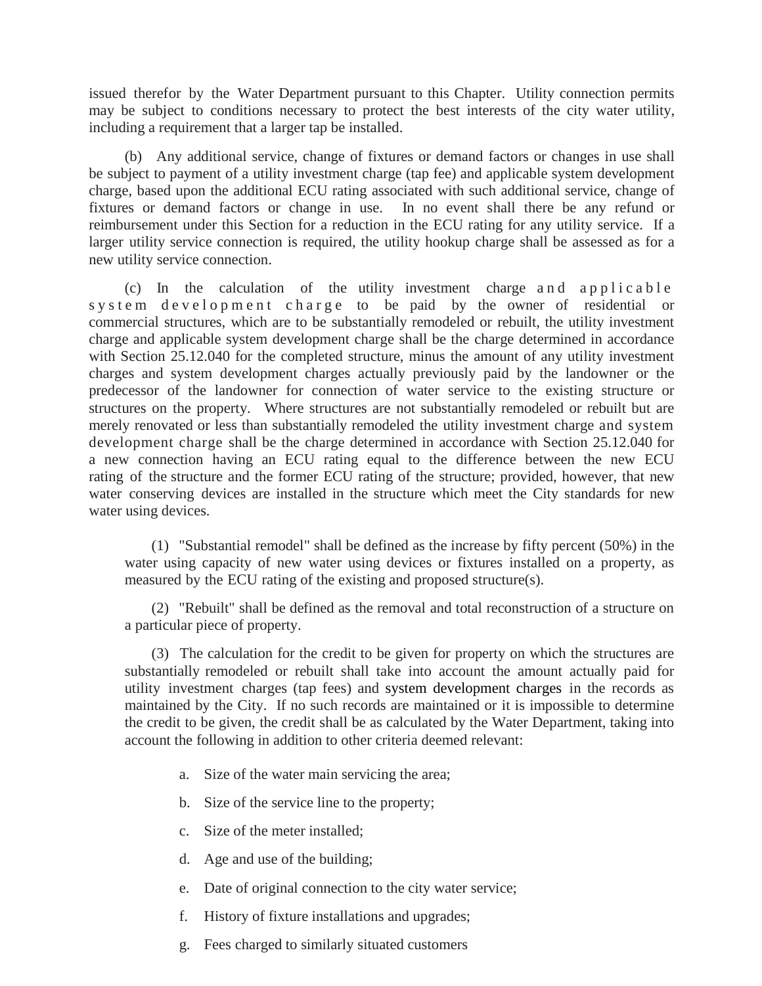issued therefor by the Water Department pursuant to this Chapter. Utility connection permits may be subject to conditions necessary to protect the best interests of the city water utility, including a requirement that a larger tap be installed.

(b) Any additional service, change of fixtures or demand factors or changes in use shall be subject to payment of a utility investment charge (tap fee) and applicable system development charge, based upon the additional ECU rating associated with such additional service, change of fixtures or demand factors or change in use. In no event shall there be any refund or reimbursement under this Section for a reduction in the ECU rating for any utility service. If a larger utility service connection is required, the utility hookup charge shall be assessed as for a new utility service connection.

(c) In the calculation of the utility investment charge and applicable system development charge to be paid by the owner of residential or commercial structures, which are to be substantially remodeled or rebuilt, the utility investment charge and applicable system development charge shall be the charge determined in accordance with Section 25.12.040 for the completed structure, minus the amount of any utility investment charges and system development charges actually previously paid by the landowner or the predecessor of the landowner for connection of water service to the existing structure or structures on the property. Where structures are not substantially remodeled or rebuilt but are merely renovated or less than substantially remodeled the utility investment charge and system development charge shall be the charge determined in accordance with Section 25.12.040 for a new connection having an ECU rating equal to the difference between the new ECU rating of the structure and the former ECU rating of the structure; provided, however, that new water conserving devices are installed in the structure which meet the City standards for new water using devices.

(1) "Substantial remodel" shall be defined as the increase by fifty percent (50%) in the water using capacity of new water using devices or fixtures installed on a property, as measured by the ECU rating of the existing and proposed structure(s).

(2) "Rebuilt" shall be defined as the removal and total reconstruction of a structure on a particular piece of property.

(3) The calculation for the credit to be given for property on which the structures are substantially remodeled or rebuilt shall take into account the amount actually paid for utility investment charges (tap fees) and system development charges in the records as maintained by the City. If no such records are maintained or it is impossible to determine the credit to be given, the credit shall be as calculated by the Water Department, taking into account the following in addition to other criteria deemed relevant:

- a. Size of the water main servicing the area;
- b. Size of the service line to the property;
- c. Size of the meter installed;
- d. Age and use of the building;
- e. Date of original connection to the city water service;
- f. History of fixture installations and upgrades;
- g. Fees charged to similarly situated customers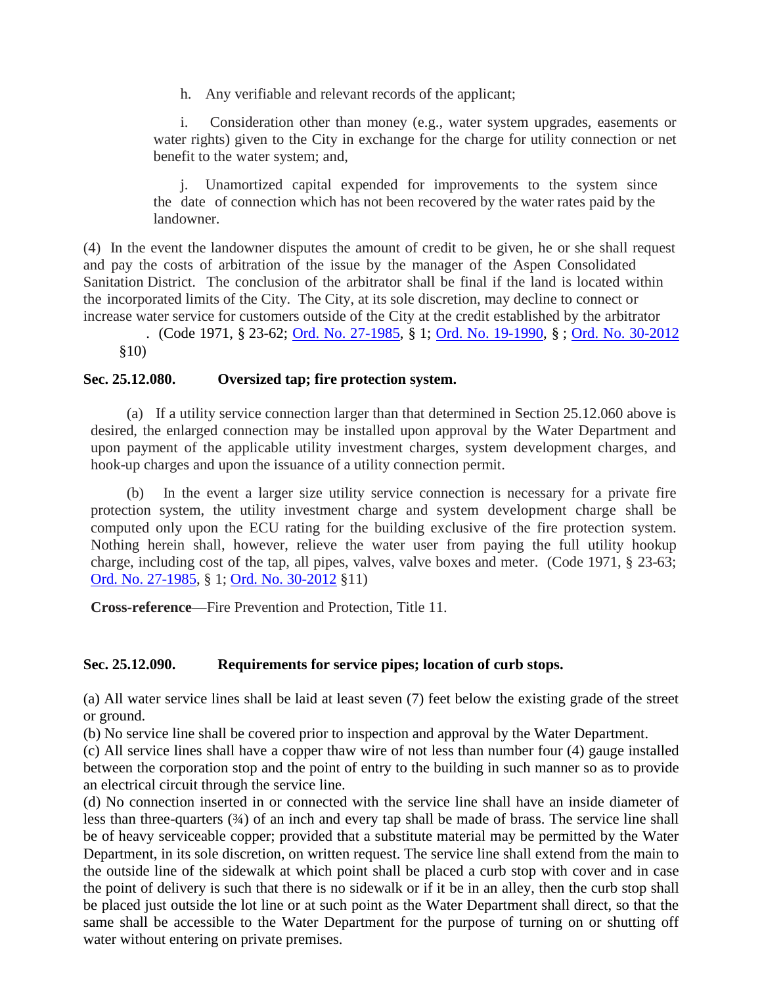h. Any verifiable and relevant records of the applicant;

i. Consideration other than money (e.g., water system upgrades, easements or water rights) given to the City in exchange for the charge for utility connection or net benefit to the water system; and,

j. Unamortized capital expended for improvements to the system since the date of connection which has not been recovered by the water rates paid by the landowner.

(4) In the event the landowner disputes the amount of credit to be given, he or she shall request and pay the costs of arbitration of the issue by the manager of the Aspen Consolidated Sanitation District. The conclusion of the arbitrator shall be final if the land is located within the incorporated limits of the City. The City, at its sole discretion, may decline to connect or increase water service for customers outside of the City at the credit established by the arbitrator

. (Code 1971, § 23-62; [Ord. No. 27-1985,](http://205.170.51.183/WebLink8/DocView.aspx?id=8829&dbid=0) § 1; [Ord. No. 19-1990,](http://205.170.51.183/WebLink8/DocView.aspx?id=3230&dbid=0) § ; [Ord. No. 30-2012](http://205.170.51.183/WebLink8/0/doc/185014/Page1.aspx) §10)

# <span id="page-32-0"></span>**Sec. 25.12.080. Oversized tap; fire protection system.**

(a) If a utility service connection larger than that determined in Section 25.12.060 above is desired, the enlarged connection may be installed upon approval by the Water Department and upon payment of the applicable utility investment charges, system development charges, and hook-up charges and upon the issuance of a utility connection permit.

(b) In the event a larger size utility service connection is necessary for a private fire protection system, the utility investment charge and system development charge shall be computed only upon the ECU rating for the building exclusive of the fire protection system. Nothing herein shall, however, relieve the water user from paying the full utility hookup charge, including cost of the tap, all pipes, valves, valve boxes and meter. (Code 1971, § 23-63[;](http://205.170.51.183/WebLink8/DocView.aspx?id=8829&dbid=0) [Ord. No. 27-1985,](http://205.170.51.183/WebLink8/DocView.aspx?id=8829&dbid=0) § 1; [Ord. No. 30-2012](http://205.170.51.183/WebLink8/0/doc/185014/Page1.aspx) §11)

**Cross-reference**—Fire Prevention and Protection, Title 11.

# <span id="page-32-1"></span>**Sec. 25.12.090. Requirements for service pipes; location of curb stops.**

(a) All water service lines shall be laid at least seven (7) feet below the existing grade of the street or ground.

(b) No service line shall be covered prior to inspection and approval by the Water Department.

(c) All service lines shall have a copper thaw wire of not less than number four (4) gauge installed between the corporation stop and the point of entry to the building in such manner so as to provide an electrical circuit through the service line.

(d) No connection inserted in or connected with the service line shall have an inside diameter of less than three-quarters (¾) of an inch and every tap shall be made of brass. The service line shall be of heavy serviceable copper; provided that a substitute material may be permitted by the Water Department, in its sole discretion, on written request. The service line shall extend from the main to the outside line of the sidewalk at which point shall be placed a curb stop with cover and in case the point of delivery is such that there is no sidewalk or if it be in an alley, then the curb stop shall be placed just outside the lot line or at such point as the Water Department shall direct, so that the same shall be accessible to the Water Department for the purpose of turning on or shutting off water without entering on private premises.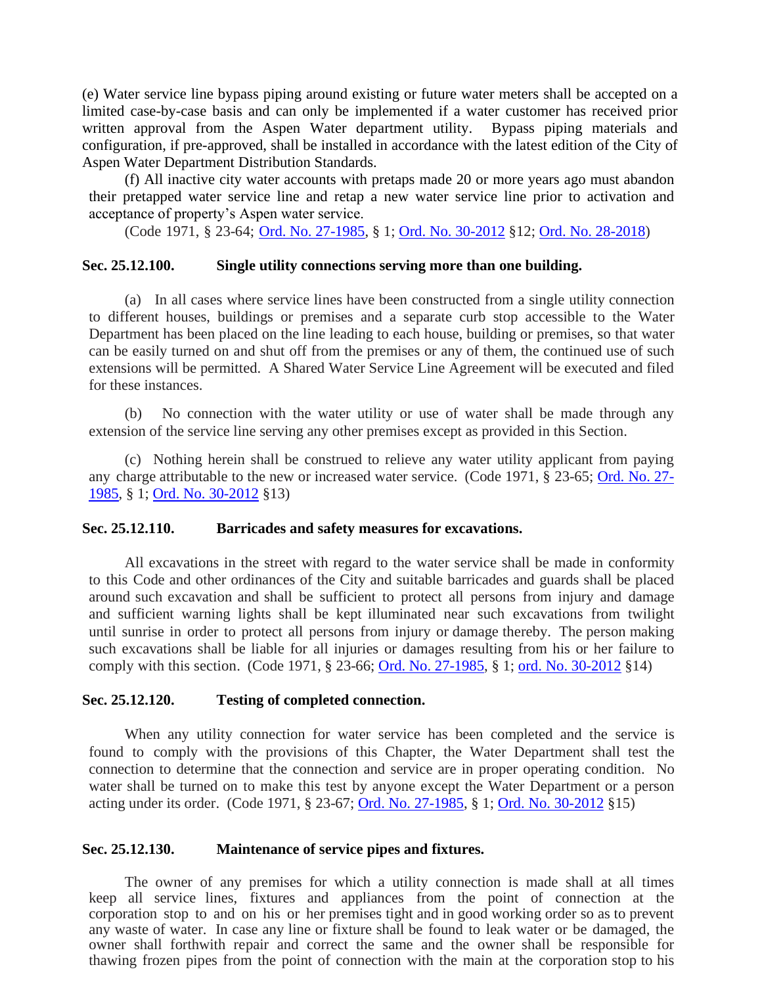(e) Water service line bypass piping around existing or future water meters shall be accepted on a limited case-by-case basis and can only be implemented if a water customer has received prior written approval from the Aspen Water department utility. Bypass piping materials and configuration, if pre-approved, shall be installed in accordance with the latest edition of the City of Aspen Water Department Distribution Standards.

(f) All inactive city water accounts with pretaps made 20 or more years ago must abandon their pretapped water service line and retap a new water service line prior to activation and acceptance of property's Aspen water service.

(Code 1971, § 23-64; [Ord. No. 27-1985,](http://205.170.51.183/WebLink8/DocView.aspx?id=8829&dbid=0) § 1; [Ord. No. 30-2012](http://205.170.51.183/WebLink8/0/doc/185014/Page1.aspx) §12; [Ord. No. 28-2018\)](https://records.cityofaspen.com/WebLink/0/doc/1412784/Page1.aspx.)

#### <span id="page-33-0"></span>**Sec. 25.12.100. Single utility connections serving more than one building.**

(a) In all cases where service lines have been constructed from a single utility connection to different houses, buildings or premises and a separate curb stop accessible to the Water Department has been placed on the line leading to each house, building or premises, so that water can be easily turned on and shut off from the premises or any of them, the continued use of such extensions will be permitted. A Shared Water Service Line Agreement will be executed and filed for these instances.

(b) No connection with the water utility or use of water shall be made through any extension of the service line serving any other premises except as provided in this Section.

(c) Nothing herein shall be construed to relieve any water utility applicant from paying any charge attributable to the new or increased water service. (Code 1971, § 23-65; [Ord. No.](http://205.170.51.183/WebLink8/DocView.aspx?id=8829&dbid=0) 27- [1985,](http://205.170.51.183/WebLink8/DocView.aspx?id=8829&dbid=0) § 1; [Ord. No. 30-2012](http://205.170.51.183/WebLink8/0/doc/185014/Page1.aspx) §13)

#### <span id="page-33-1"></span>**Sec. 25.12.110. Barricades and safety measures for excavations.**

All excavations in the street with regard to the water service shall be made in conformity to this Code and other ordinances of the City and suitable barricades and guards shall be placed around such excavation and shall be sufficient to protect all persons from injury and damage and sufficient warning lights shall be kept illuminated near such excavations from twilight until sunrise in order to protect all persons from injury or damage thereby. The person making such excavations shall be liable for all injuries or damages resulting from his or her failure to comply with this section. (Code 1971, § 23-66; Ord. [No. 27-1985,](http://205.170.51.183/WebLink8/DocView.aspx?id=8829&dbid=0) § 1; [ord. No. 30-2012](http://205.170.51.183/WebLink8/0/doc/185014/Page1.aspx) §14)

#### <span id="page-33-2"></span>**Sec. 25.12.120. Testing of completed connection.**

When any utility connection for water service has been completed and the service is found to comply with the provisions of this Chapter, the Water Department shall test the connection to determine that the connection and service are in proper operating condition. No water shall be turned on to make this test by anyone except the Water Department or a person acting under its order. (Code 1971, § 23-67; [Ord. No. 27-1985,](http://205.170.51.183/WebLink8/DocView.aspx?id=8829&dbid=0) § 1; [Ord. No. 30-2012](http://205.170.51.183/WebLink8/0/doc/185014/Page1.aspx) §15)

#### <span id="page-33-3"></span>**Sec. 25.12.130. Maintenance of service pipes and fixtures.**

The owner of any premises for which a utility connection is made shall at all times keep all service lines, fixtures and appliances from the point of connection at the corporation stop to and on his or her premises tight and in good working order so as to prevent any waste of water. In case any line or fixture shall be found to leak water or be damaged, the owner shall forthwith repair and correct the same and the owner shall be responsible for thawing frozen pipes from the point of connection with the main at the corporation stop to his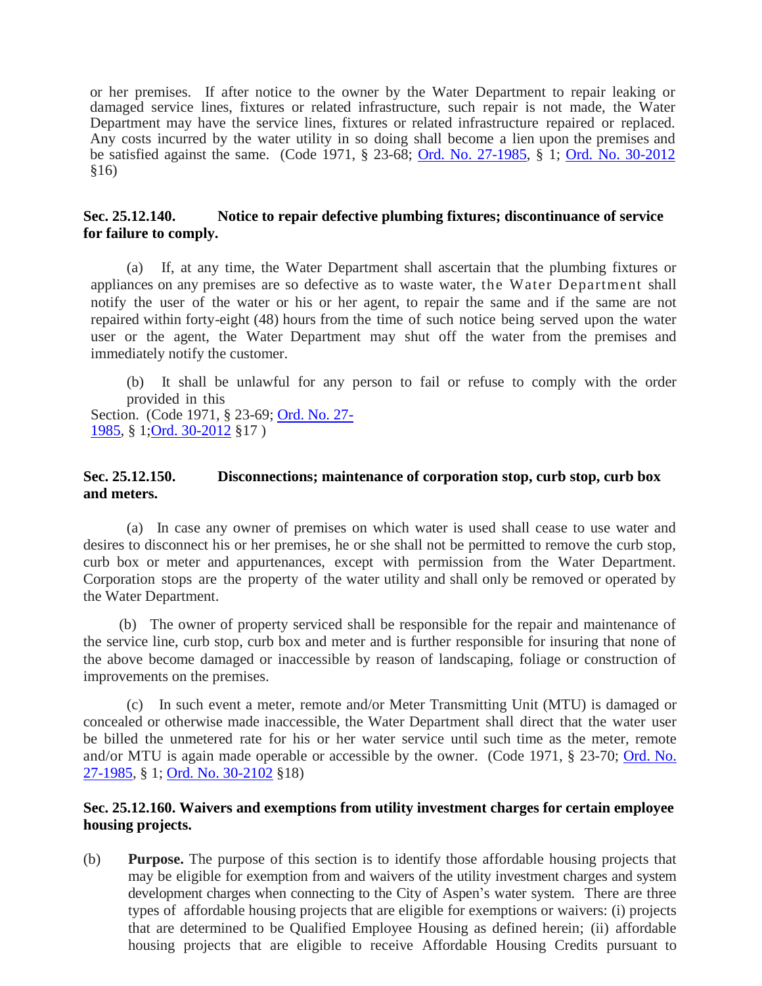or her premises. If after notice to the owner by the Water Department to repair leaking or damaged service lines, fixtures or related infrastructure, such repair is not made, the Water Department may have the service lines, fixtures or related infrastructure repaired or replaced. Any costs incurred by the water utility in so doing shall become a lien upon the premises and be satisfied against the same. (Code 1971, § 23-68; Ord. [No. 27-1985,](http://205.170.51.183/WebLink8/DocView.aspx?id=8829&dbid=0) § 1; [Ord. No. 30-2012](http://205.170.51.183/WebLink8/0/doc/185014/Page1.aspx) §16)

# <span id="page-34-0"></span>**Sec. 25.12.140. Notice to repair defective plumbing fixtures; discontinuance of service for failure to comply.**

(a) If, at any time, the Water Department shall ascertain that the plumbing fixtures or appliances on any premises are so defective as to waste water, the Water Department shall notify the user of the water or his or her agent, to repair the same and if the same are not repaired within forty-eight (48) hours from the time of such notice being served upon the water user or the agent, the Water Department may shut off the water from the premises and immediately notify the customer.

(b) It shall be unlawful for any person to fail or refuse to comply with the order provided in this Section. (Code 1971, § 23-69; Ord. [No. 27-](http://205.170.51.183/WebLink8/DocView.aspx?id=8829&dbid=0)

[1985,](http://205.170.51.183/WebLink8/DocView.aspx?id=8829&dbid=0) § 1[;Ord. 30-2012](http://205.170.51.183/WebLink8/0/doc/185014/Page1.aspx) §17 )

## <span id="page-34-1"></span>**Sec. 25.12.150. Disconnections; maintenance of corporation stop, curb stop, curb box and meters.**

(a) In case any owner of premises on which water is used shall cease to use water and desires to disconnect his or her premises, he or she shall not be permitted to remove the curb stop, curb box or meter and appurtenances, except with permission from the Water Department. Corporation stops are the property of the water utility and shall only be removed or operated by the Water Department.

(b) The owner of property serviced shall be responsible for the repair and maintenance of the service line, curb stop, curb box and meter and is further responsible for insuring that none of the above become damaged or inaccessible by reason of landscaping, foliage or construction of improvements on the premises.

(c) In such event a meter, remote and/or Meter Transmitting Unit (MTU) is damaged or concealed or otherwise made inaccessible, the Water Department shall direct that the water user be billed the unmetered rate for his or her water service until such time as the meter, remote and/or MTU is again made operable or accessible by the owner. (Code 1971, § 23-70; [Ord.](http://205.170.51.183/WebLink8/DocView.aspx?id=8829&dbid=0) No. [27-1985,](http://205.170.51.183/WebLink8/DocView.aspx?id=8829&dbid=0) § 1; [Ord. No. 30-2102](http://205.170.51.183/WebLink8/0/doc/185014/Page1.aspx) §18)

# <span id="page-34-2"></span>**Sec. 25.12.160. Waivers and exemptions from utility investment charges for certain employee housing projects.**

(b) **Purpose.** The purpose of this section is to identify those affordable housing projects that may be eligible for exemption from and waivers of the utility investment charges and system development charges when connecting to the City of Aspen's water system. There are three types of affordable housing projects that are eligible for exemptions or waivers: (i) projects that are determined to be Qualified Employee Housing as defined herein; (ii) affordable housing projects that are eligible to receive Affordable Housing Credits pursuant to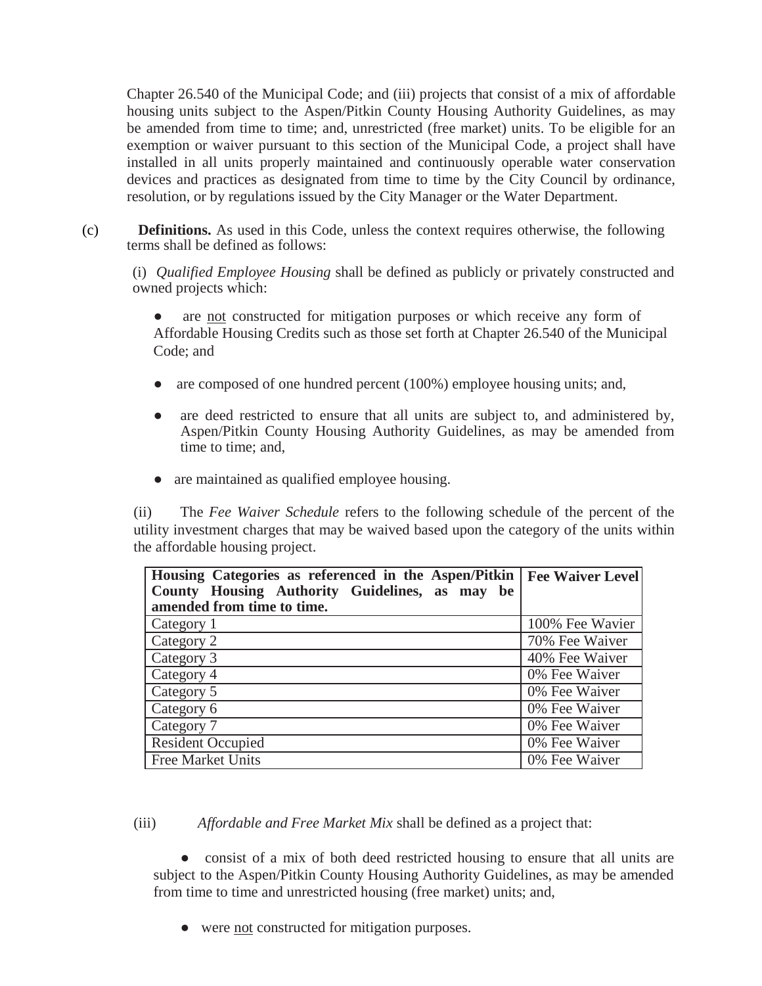Chapter 26.540 of the Municipal Code; and (iii) projects that consist of a mix of affordable housing units subject to the Aspen/Pitkin County Housing Authority Guidelines, as may be amended from time to time; and, unrestricted (free market) units. To be eligible for an exemption or waiver pursuant to this section of the Municipal Code, a project shall have installed in all units properly maintained and continuously operable water conservation devices and practices as designated from time to time by the City Council by ordinance, resolution, or by regulations issued by the City Manager or the Water Department.

(c) **Definitions.** As used in this Code, unless the context requires otherwise, the following terms shall be defined as follows:

(i) *Qualified Employee Housing* shall be defined as publicly or privately constructed and owned projects which:

are not constructed for mitigation purposes or which receive any form of Affordable Housing Credits such as those set forth at Chapter 26.540 of the Municipal Code; and

- are composed of one hundred percent (100%) employee housing units; and,
- are deed restricted to ensure that all units are subject to, and administered by, Aspen/Pitkin County Housing Authority Guidelines, as may be amended from time to time; and,
- are maintained as qualified employee housing.

(ii) The *Fee Waiver Schedule* refers to the following schedule of the percent of the utility investment charges that may be waived based upon the category of the units within the affordable housing project.

| Housing Categories as referenced in the Aspen/Pitkin   Fee Waiver Level |                 |
|-------------------------------------------------------------------------|-----------------|
| County Housing Authority Guidelines, as may be                          |                 |
| amended from time to time.                                              |                 |
| Category 1                                                              | 100% Fee Wavier |
| Category 2                                                              | 70% Fee Waiver  |
| Category 3                                                              | 40% Fee Waiver  |
| Category 4                                                              | 0% Fee Waiver   |
| Category 5                                                              | 0% Fee Waiver   |
| Category 6                                                              | 0% Fee Waiver   |
| Category 7                                                              | 0% Fee Waiver   |
| <b>Resident Occupied</b>                                                | 0% Fee Waiver   |
| <b>Free Market Units</b>                                                | 0% Fee Waiver   |

(iii) *Affordable and Free Market Mix* shall be defined as a project that:

• consist of a mix of both deed restricted housing to ensure that all units are subject to the Aspen/Pitkin County Housing Authority Guidelines, as may be amended from time to time and unrestricted housing (free market) units; and,

● were not constructed for mitigation purposes.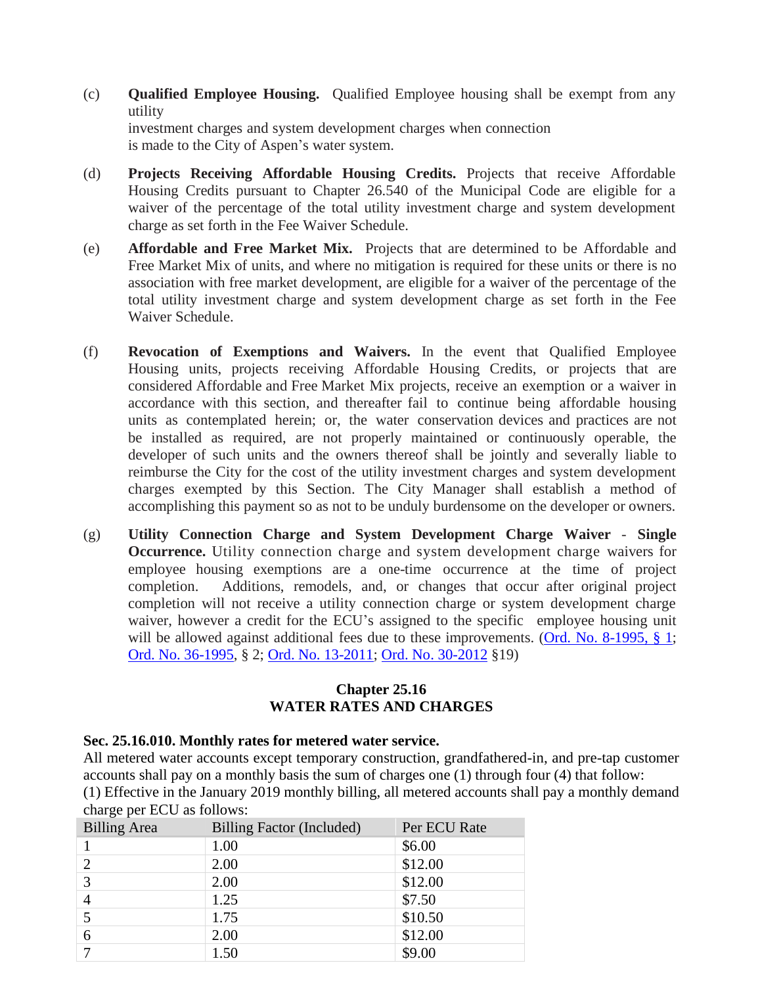- (c) **Qualified Employee Housing.** Qualified Employee housing shall be exempt from any utility investment charges and system development charges when connection is made to the City of Aspen's water system.
- (d) **Projects Receiving Affordable Housing Credits.** Projects that receive Affordable Housing Credits pursuant to Chapter 26.540 of the Municipal Code are eligible for a waiver of the percentage of the total utility investment charge and system development charge as set forth in the Fee Waiver Schedule.
- (e) **Affordable and Free Market Mix.** Projects that are determined to be Affordable and Free Market Mix of units, and where no mitigation is required for these units or there is no association with free market development, are eligible for a waiver of the percentage of the total utility investment charge and system development charge as set forth in the Fee Waiver Schedule.
- (f) **Revocation of Exemptions and Waivers.** In the event that Qualified Employee Housing units, projects receiving Affordable Housing Credits, or projects that are considered Affordable and Free Market Mix projects, receive an exemption or a waiver in accordance with this section, and thereafter fail to continue being affordable housing units as contemplated herein; or, the water conservation devices and practices are not be installed as required, are not properly maintained or continuously operable, the developer of such units and the owners thereof shall be jointly and severally liable to reimburse the City for the cost of the utility investment charges and system development charges exempted by this Section. The City Manager shall establish a method of accomplishing this payment so as not to be unduly burdensome on the developer or owners.
- (g) **Utility Connection Charge and System Development Charge Waiver Single Occurrence.** Utility connection charge and system development charge waivers for employee housing exemptions are a one-time occurrence at the time of project completion. Additions, remodels, and, or changes that occur after original project completion will not receive a utility connection charge or system development charge waiver, however a credit for the ECU's assigned to the specific employee housing unit will be allowed against additional fees due to these improvements. [\(Ord. No. 8-1995, § 1;](https://records.cityofaspen.com/WebLink/0/doc/3502/Page1.aspx) [Ord. No. 36-1995,](http://205.170.51.183/WebLink8/0/doc/3530/Page1.aspx) § 2; Ord. [No. 13-2011;](http://205.170.51.183/WebLink8/DocView.aspx?id=161328&dbid=0) [Ord. No. 30-2012](http://205.170.51.183/WebLink8/0/doc/185014/Page1.aspx) §19)

# **Chapter 25.16 WATER RATES AND CHARGES**

## <span id="page-36-1"></span><span id="page-36-0"></span>**Sec. 25.16.010. Monthly rates for metered water service.**

All metered water accounts except temporary construction, grandfathered-in, and pre-tap customer accounts shall pay on a monthly basis the sum of charges one (1) through four (4) that follow: (1) Effective in the January 2019 monthly billing, all metered accounts shall pay a monthly demand charge per ECU as follows:

| <b>Billing Area</b> | <b>Billing Factor (Included)</b> | Per ECU Rate |
|---------------------|----------------------------------|--------------|
|                     | 1.00                             | \$6.00       |
|                     | 2.00                             | \$12.00      |
| 3                   | 2.00                             | \$12.00      |
| $\overline{4}$      | 1.25                             | \$7.50       |
|                     | 1.75                             | \$10.50      |
| 6                   | 2.00                             | \$12.00      |
|                     | 1.50                             | \$9.00       |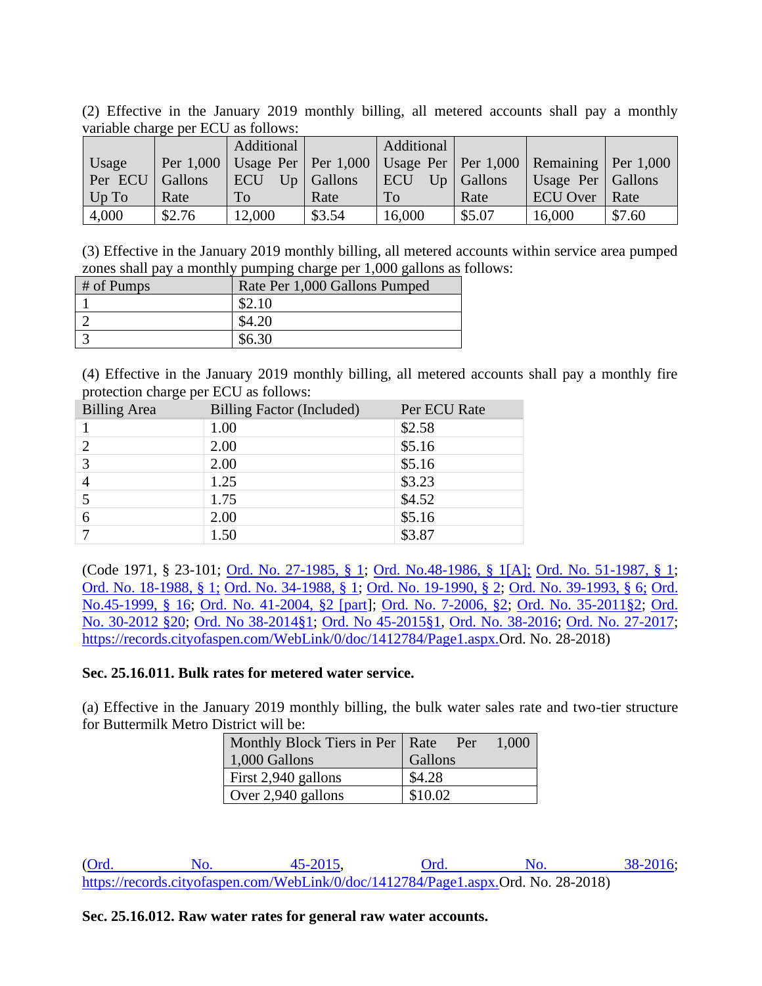(2) Effective in the January 2019 monthly billing, all metered accounts shall pay a monthly variable charge per ECU as follows:

|         |         | Additional |                | Additional   |              |                                                                                   |        |
|---------|---------|------------|----------------|--------------|--------------|-----------------------------------------------------------------------------------|--------|
| Usage   |         |            |                |              |              | Per 1,000   Usage Per   Per 1,000   Usage Per   Per 1,000   Remaining   Per 1,000 |        |
| Per ECU | Gallons | <b>ECU</b> | $Up  $ Gallons | <b>I</b> ECU | $Up$ Gallons | Usage Per   Gallons                                                               |        |
| $Up$ To | Rate    | To         | Rate           | <b>To</b>    | Rate         | ECU Over   Rate                                                                   |        |
| 4,000   | \$2.76  | 12,000     | \$3.54         | 16,000       | \$5.07       | 16,000                                                                            | \$7.60 |

(3) Effective in the January 2019 monthly billing, all metered accounts within service area pumped zones shall pay a monthly pumping charge per 1,000 gallons as follows:

| $#$ of Pumps | Rate Per 1,000 Gallons Pumped |
|--------------|-------------------------------|
|              |                               |
|              |                               |
|              |                               |

(4) Effective in the January 2019 monthly billing, all metered accounts shall pay a monthly fire protection charge per ECU as follows:

| <b>Billing Area</b> | Billing Factor (Included) | Per ECU Rate |
|---------------------|---------------------------|--------------|
|                     | 1.00                      | \$2.58       |
|                     | 2.00                      | \$5.16       |
| 3                   | 2.00                      | \$5.16       |
|                     | 1.25                      | \$3.23       |
|                     | 1.75                      | \$4.52       |
| 6                   | 2.00                      | \$5.16       |
|                     | 1.50                      | \$3.87       |

(Code 1971, § 23-101; [Ord. No. 27-1985, § 1;](https://records.cityofaspen.com/WebLink/0/doc/8829/Page1.aspx) [Ord. No.48-1986, § 1\[A\];](https://records.cityofaspen.com/WebLink/0/doc/2981/Page1.aspx) [Ord. No. 51-1987, § 1;](https://records.cityofaspen.com/WebLink/0/doc/3047/Page1.aspx) [Ord. No. 18-1988, § 1;](https://records.cityofaspen.com/WebLink/0/doc/3085/Page1.aspx) [Ord. No. 34-1988, § 1;](https://records.cityofaspen.com/WebLink/0/doc/3099/Page1.aspx) [Ord. No. 19-1990, § 2;](https://records.cityofaspen.com/WebLink/0/doc/3230/Page1.aspx) [Ord. No. 39-1993, § 6;](https://records.cityofaspen.com/WebLink/0/doc/3387/Page1.aspx) [Ord.](https://records.cityofaspen.com/WebLink/0/doc/5651/Page1.aspx)  [No.45-1999, § 16;](https://records.cityofaspen.com/WebLink/0/doc/5651/Page1.aspx) [Ord. No. 41-2004, §2 \[part\]](https://records.cityofaspen.com/WebLink/0/doc/62107/Page1.aspx); [Ord. No. 7-2006, §2;](https://records.cityofaspen.com/WebLink/0/doc/74547/Page1.aspx) [Ord. No. 35-2011§2;](https://records.cityofaspen.com/WebLink/0/doc/163540/Page1.aspx) [Ord.](https://records.cityofaspen.com/WebLink/0/doc/185014/Page1.aspx)  [No. 30-2012 §20;](https://records.cityofaspen.com/WebLink/0/doc/185014/Page1.aspx) [Ord. No 38-2014§1;](https://records.cityofaspen.com/WebLink/0/doc/205923/Page1.aspx) [Ord. No 45-2015§1,](https://records.cityofaspen.com/WebLink/0/doc/211961/Page1.aspx) [Ord. No. 38-2016;](http://205.170.51.183/WebLink/0/doc/471374/Page1.aspx) [Ord. No. 27-2017;](https://records.cityofaspen.com/WebLink/0/doc/649832/Page1.aspx) [https://records.cityofaspen.com/WebLink/0/doc/1412784/Page1.aspx.O](https://records.cityofaspen.com/WebLink/0/doc/1412784/Page1.aspx.)rd. No. 28-2018)

## <span id="page-37-0"></span>**Sec. 25.16.011. Bulk rates for metered water service.**

(a) Effective in the January 2019 monthly billing, the bulk water sales rate and two-tier structure for Buttermilk Metro District will be:

| Monthly Block Tiers in Per   Rate Per |         | 1,000 |
|---------------------------------------|---------|-------|
| 1,000 Gallons                         | Gallons |       |
| First 2,940 gallons                   | \$4.28  |       |
| Over 2,940 gallons                    | \$10.02 |       |

[\(Ord. No. 45-2015,](https://records.cityofaspen.com/WebLink/0/doc/211961/Page1.aspx) [Ord. No. 38-2016;](http://205.170.51.183/WebLink/0/doc/471374/Page1.aspx) [https://records.cityofaspen.com/WebLink/0/doc/1412784/Page1.aspx.O](https://records.cityofaspen.com/WebLink/0/doc/1412784/Page1.aspx.)rd. No. 28-2018)

# <span id="page-37-1"></span>**Sec. 25.16.012. Raw water rates for general raw water accounts.**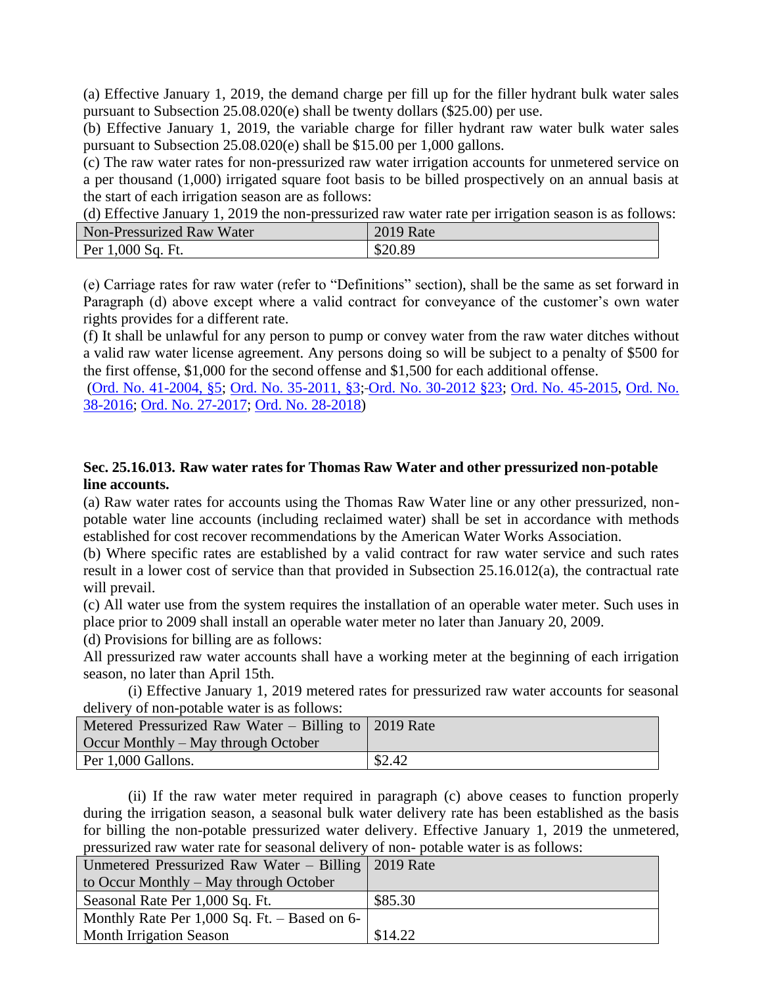(a) Effective January 1, 2019, the demand charge per fill up for the filler hydrant bulk water sales pursuant to Subsection 25.08.020(e) shall be twenty dollars (\$25.00) per use.

(b) Effective January 1, 2019, the variable charge for filler hydrant raw water bulk water sales pursuant to Subsection 25.08.020(e) shall be \$15.00 per 1,000 gallons.

(c) The raw water rates for non-pressurized raw water irrigation accounts for unmetered service on a per thousand (1,000) irrigated square foot basis to be billed prospectively on an annual basis at the start of each irrigation season are as follows:

(d) Effective January 1, 2019 the non-pressurized raw water rate per irrigation season is as follows:

| Non-Pressurized Raw Water | <b>2019 Rate</b> |
|---------------------------|------------------|
| Per 1,000 Sq. Ft.         | \$20.89          |

(e) Carriage rates for raw water (refer to "Definitions" section), shall be the same as set forward in Paragraph (d) above except where a valid contract for conveyance of the customer's own water rights provides for a different rate.

(f) It shall be unlawful for any person to pump or convey water from the raw water ditches without a valid raw water license agreement. Any persons doing so will be subject to a penalty of \$500 for the first offense, \$1,000 for the second offense and \$1,500 for each additional offense.

[\(Ord. No. 41-2004, §5;](https://records.cityofaspen.com/WebLink/0/doc/62107/Page1.aspx) [Ord. No. 35-2011, §3;](https://records.cityofaspen.com/WebLink/0/doc/163540/Page1.aspx) [Ord. No. 30-2012 §23;](https://records.cityofaspen.com/WebLink/0/doc/185014/Page1.aspx) [Ord. No. 45-2015,](https://records.cityofaspen.com/WebLink/0/doc/211961/Page1.aspx) [Ord. No.](http://205.170.51.183/WebLink/0/doc/471374/Page1.aspx)  [38-2016;](http://205.170.51.183/WebLink/0/doc/471374/Page1.aspx) [Ord. No. 27-2017;](https://records.cityofaspen.com/WebLink/0/doc/649832/Page1.aspx) [Ord. No. 28-2018\)](https://records.cityofaspen.com/WebLink/0/doc/1412784/Page1.aspx.)

# <span id="page-38-0"></span>**Sec. 25.16.013. Raw water rates for Thomas Raw Water and other pressurized non-potable line accounts.**

(a) Raw water rates for accounts using the Thomas Raw Water line or any other pressurized, nonpotable water line accounts (including reclaimed water) shall be set in accordance with methods established for cost recover recommendations by the American Water Works Association.

(b) Where specific rates are established by a valid contract for raw water service and such rates result in a lower cost of service than that provided in Subsection 25.16.012(a), the contractual rate will prevail.

(c) All water use from the system requires the installation of an operable water meter. Such uses in place prior to 2009 shall install an operable water meter no later than January 20, 2009.

(d) Provisions for billing are as follows:

All pressurized raw water accounts shall have a working meter at the beginning of each irrigation season, no later than April 15th.

(i) Effective January 1, 2019 metered rates for pressurized raw water accounts for seasonal delivery of non-potable water is as follows:

| Metered Pressurized Raw Water – Billing to $\vert$ 2019 Rate<br>Occur Monthly – May through October |        |
|-----------------------------------------------------------------------------------------------------|--------|
| Per 1,000 Gallons.                                                                                  | \$2.42 |

(ii) If the raw water meter required in paragraph (c) above ceases to function properly during the irrigation season, a seasonal bulk water delivery rate has been established as the basis for billing the non-potable pressurized water delivery. Effective January 1, 2019 the unmetered, pressurized raw water rate for seasonal delivery of non- potable water is as follows:

| Unmetered Pressurized Raw Water – Billing   2019 Rate |         |
|-------------------------------------------------------|---------|
| to Occur Monthly – May through October                |         |
| Seasonal Rate Per 1,000 Sq. Ft.                       | \$85.30 |
| Monthly Rate Per 1,000 Sq. Ft. $-$ Based on 6-        |         |
| <b>Month Irrigation Season</b>                        | \$14.22 |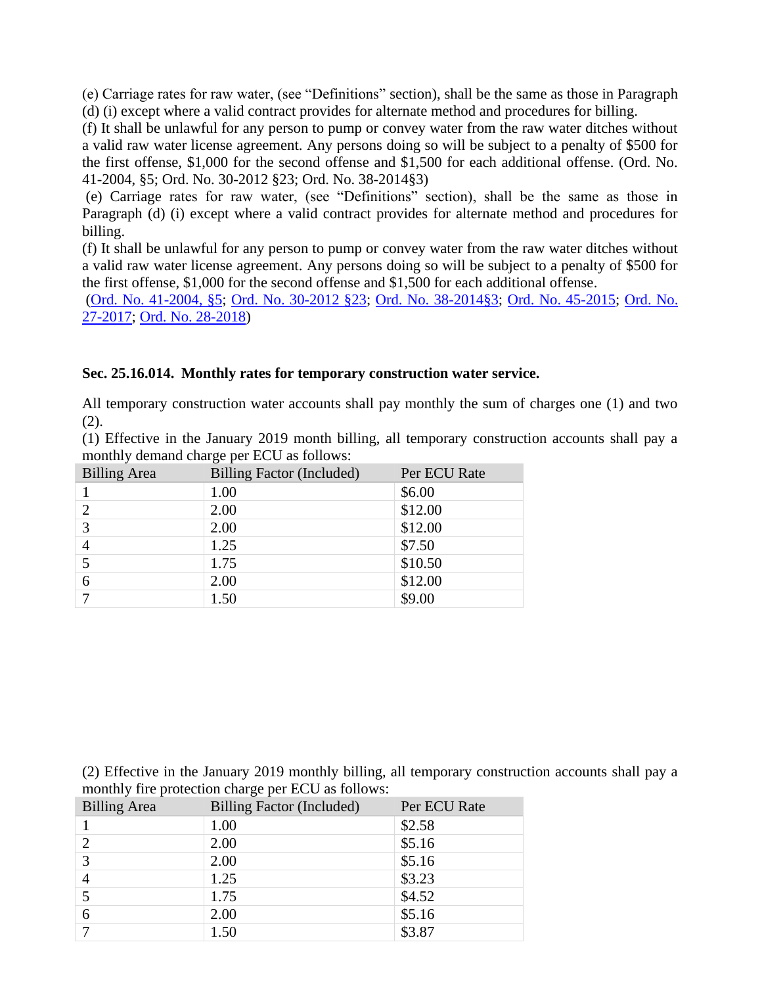(e) Carriage rates for raw water, (see "Definitions" section), shall be the same as those in Paragraph (d) (i) except where a valid contract provides for alternate method and procedures for billing.

(f) It shall be unlawful for any person to pump or convey water from the raw water ditches without a valid raw water license agreement. Any persons doing so will be subject to a penalty of \$500 for the first offense, \$1,000 for the second offense and \$1,500 for each additional offense. (Ord. No. 41-2004, §5; Ord. No. 30-2012 §23; Ord. No. 38-2014§3)

(e) Carriage rates for raw water, (see "Definitions" section), shall be the same as those in Paragraph (d) (i) except where a valid contract provides for alternate method and procedures for billing.

(f) It shall be unlawful for any person to pump or convey water from the raw water ditches without a valid raw water license agreement. Any persons doing so will be subject to a penalty of \$500 for the first offense, \$1,000 for the second offense and \$1,500 for each additional offense.

[\(Ord. No. 41-2004, §5;](https://records.cityofaspen.com/WebLink/0/doc/62107/Page1.aspx) [Ord. No. 30-2012 §23;](https://records.cityofaspen.com/WebLink/0/doc/185014/Page1.aspx) [Ord. No. 38-2014§3;](https://records.cityofaspen.com/WebLink/Browse.aspx?startid=248&dbid=0) [Ord. No. 45-2015;](https://records.cityofaspen.com/WebLink/0/doc/211961/Page1.aspx) [Ord. No.](https://records.cityofaspen.com/WebLink/0/doc/649832/Page1.aspx)  [27-2017;](https://records.cityofaspen.com/WebLink/0/doc/649832/Page1.aspx) [Ord. No. 28-2018\)](https://records.cityofaspen.com/WebLink/0/doc/1412784/Page1.aspx.)

## <span id="page-39-0"></span>**Sec. 25.16.014. Monthly rates for temporary construction water service.**

All temporary construction water accounts shall pay monthly the sum of charges one (1) and two  $(2).$ 

(1) Effective in the January 2019 month billing, all temporary construction accounts shall pay a monthly demand charge per ECU as follows:

| <b>Billing Area</b> | Billing Factor (Included) | Per ECU Rate |
|---------------------|---------------------------|--------------|
|                     | 1.00                      | \$6.00       |
| $\overline{2}$      | 2.00                      | \$12.00      |
| 3                   | 2.00                      | \$12.00      |
|                     | 1.25                      | \$7.50       |
|                     | 1.75                      | \$10.50      |
| 6                   | 2.00                      | \$12.00      |
|                     | 1.50                      | \$9.00       |

(2) Effective in the January 2019 monthly billing, all temporary construction accounts shall pay a monthly fire protection charge per ECU as follows:

| <b>Billing Area</b> | Billing Factor (Included) | Per ECU Rate |
|---------------------|---------------------------|--------------|
|                     | 1.00                      | \$2.58       |
| $\overline{2}$      | 2.00                      | \$5.16       |
| 3                   | 2.00                      | \$5.16       |
|                     | 1.25                      | \$3.23       |
|                     | 1.75                      | \$4.52       |
| 6                   | 2.00                      | \$5.16       |
|                     | 1.50                      | \$3.87       |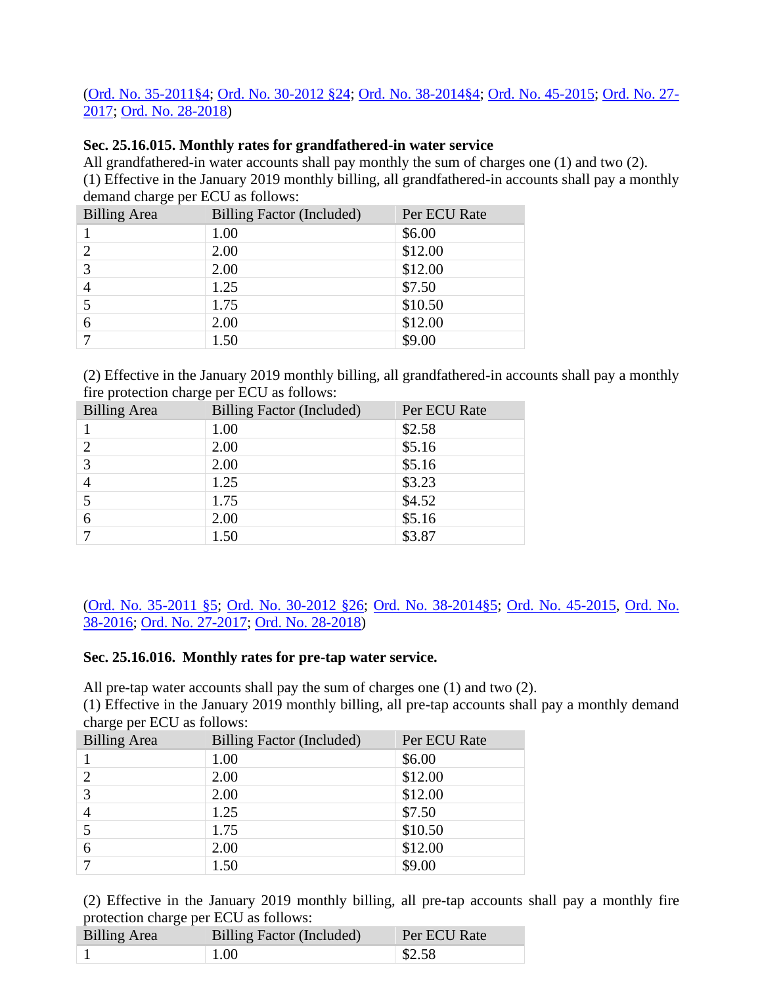# [\(Ord. No. 35-2011§4;](https://records.cityofaspen.com/WebLink/0/doc/163540/Page1.aspx) [Ord. No. 30-2012 §24;](https://records.cityofaspen.com/WebLink/0/doc/185014/Page1.aspx) [Ord. No. 38-2014§4;](https://records.cityofaspen.com/WebLink/0/doc/205923/Page1.aspx) [Ord. No. 45-2015;](https://records.cityofaspen.com/WebLink/0/doc/211961/Page1.aspx) [Ord. No. 27-](https://records.cityofaspen.com/WebLink/0/doc/649832/Page1.aspx) [2017;](https://records.cityofaspen.com/WebLink/0/doc/649832/Page1.aspx) [Ord. No. 28-2018\)](https://records.cityofaspen.com/WebLink/0/doc/1412784/Page1.aspx.)

# **Sec. 25.16.015. Monthly rates for grandfathered-in water service**

All grandfathered-in water accounts shall pay monthly the sum of charges one (1) and two (2). (1) Effective in the January 2019 monthly billing, all grandfathered-in accounts shall pay a monthly demand charge per ECU as follows:

| <b>Billing Area</b> | Billing Factor (Included) | Per ECU Rate |
|---------------------|---------------------------|--------------|
|                     | 1.00                      | \$6.00       |
|                     | 2.00                      | \$12.00      |
| 3                   | 2.00                      | \$12.00      |
| $\overline{4}$      | 1.25                      | \$7.50       |
|                     | 1.75                      | \$10.50      |
| 6                   | 2.00                      | \$12.00      |
|                     | 1.50                      | \$9.00       |

(2) Effective in the January 2019 monthly billing, all grandfathered-in accounts shall pay a monthly fire protection charge per ECU as follows:

| <b>Billing Area</b> | Billing Factor (Included) | Per ECU Rate |
|---------------------|---------------------------|--------------|
|                     | 1.00                      | \$2.58       |
|                     | 2.00                      | \$5.16       |
| 3                   | 2.00                      | \$5.16       |
| 4                   | 1.25                      | \$3.23       |
|                     | 1.75                      | \$4.52       |
| 6                   | 2.00                      | \$5.16       |
|                     | 1.50                      | \$3.87       |

[\(Ord. No. 35-2011 §5;](https://records.cityofaspen.com/WebLink/0/doc/163540/Page1.aspx) [Ord. No. 30-2012 §26;](https://records.cityofaspen.com/WebLink/0/doc/185014/Page1.aspx) [Ord. No. 38-2014§5;](https://records.cityofaspen.com/WebLink/0/doc/205923/Page1.aspx) [Ord. No. 45-2015,](https://records.cityofaspen.com/WebLink/0/doc/211961/Page1.aspx) [Ord. No.](http://205.170.51.183/WebLink/0/doc/471374/Page1.aspx)  [38-2016;](http://205.170.51.183/WebLink/0/doc/471374/Page1.aspx) [Ord. No. 27-2017;](https://records.cityofaspen.com/WebLink/0/doc/649832/Page1.aspx) [Ord. No. 28-2018\)](https://records.cityofaspen.com/WebLink/0/doc/1412784/Page1.aspx.)

## <span id="page-40-0"></span>**Sec. 25.16.016. Monthly rates for pre-tap water service.**

All pre-tap water accounts shall pay the sum of charges one (1) and two (2).

(1) Effective in the January 2019 monthly billing, all pre-tap accounts shall pay a monthly demand charge per ECU as follows:

| <b>Billing Area</b> | Billing Factor (Included) | Per ECU Rate |
|---------------------|---------------------------|--------------|
|                     | 1.00                      | \$6.00       |
| $\overline{2}$      | 2.00                      | \$12.00      |
| 3                   | 2.00                      | \$12.00      |
| 4                   | 1.25                      | \$7.50       |
|                     | 1.75                      | \$10.50      |
| 6                   | 2.00                      | \$12.00      |
|                     | 1.50                      | \$9.00       |

(2) Effective in the January 2019 monthly billing, all pre-tap accounts shall pay a monthly fire protection charge per ECU as follows:

| Billing Area | Billing Factor (Included) | Per ECU Rate      |
|--------------|---------------------------|-------------------|
|              | $\pm 1.00$                | $\frac{82.58}{ }$ |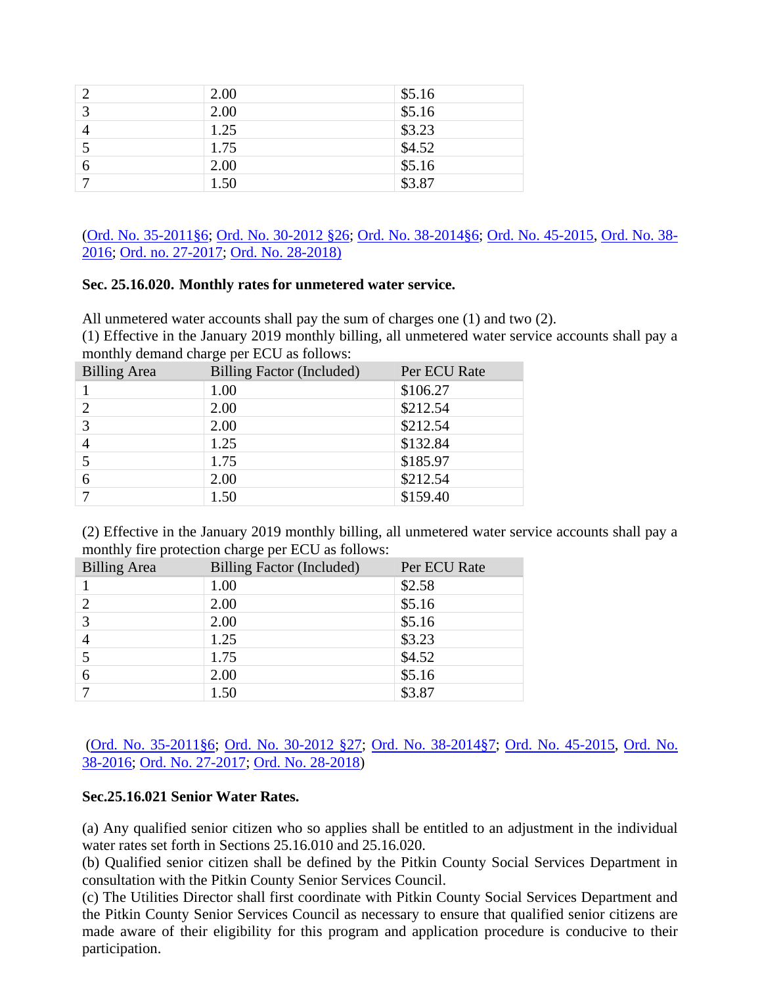|                         | 2.00 | \$5.16               |
|-------------------------|------|----------------------|
| $\overline{\mathbf{c}}$ | 2.00 | \$5.16               |
|                         | 1.25 | \$3.23               |
|                         | 1.75 | $\frac{1}{1}$ \$4.52 |
| 6                       | 2.00 | $\frac{1}{5.16}$     |
|                         | 1.50 | $\overline{$3.87}$   |

[\(Ord. No. 35-2011§6;](https://records.cityofaspen.com/WebLink/0/doc/163540/Page1.aspx) [Ord. No. 30-2012 §26;](https://records.cityofaspen.com/WebLink/0/doc/185014/Page1.aspx) [Ord. No. 38-2014§6;](https://records.cityofaspen.com/WebLink/0/doc/205923/Page1.aspx) [Ord. No. 45-2015,](https://records.cityofaspen.com/WebLink/0/doc/211961/Page1.aspx) [Ord. No. 38-](http://205.170.51.183/WebLink/0/doc/471374/Page1.aspx) [2016;](http://205.170.51.183/WebLink/0/doc/471374/Page1.aspx) [Ord. no. 27-2017;](https://records.cityofaspen.com/WebLink/0/doc/649832/Page1.aspx) [Ord. No. 28-2018\)](https://records.cityofaspen.com/WebLink/0/doc/1412784/Page1.aspx.)

# <span id="page-41-0"></span>**Sec. 25.16.020. Monthly rates for unmetered water service.**

All unmetered water accounts shall pay the sum of charges one (1) and two (2).

(1) Effective in the January 2019 monthly billing, all unmetered water service accounts shall pay a monthly demand charge per ECU as follows:

| <b>Billing Area</b> | Billing Factor (Included) | Per ECU Rate |
|---------------------|---------------------------|--------------|
|                     | 1.00                      | \$106.27     |
|                     | 2.00                      | \$212.54     |
| 3                   | 2.00                      | \$212.54     |
|                     | 1.25                      | \$132.84     |
|                     | 1.75                      | \$185.97     |
| 6                   | 2.00                      | \$212.54     |
|                     | 1.50                      | \$159.40     |

(2) Effective in the January 2019 monthly billing, all unmetered water service accounts shall pay a monthly fire protection charge per ECU as follows:

| <b>Billing Area</b> | Billing Factor (Included) | Per ECU Rate |
|---------------------|---------------------------|--------------|
|                     | 1.00                      | \$2.58       |
| $\overline{c}$      | 2.00                      | \$5.16       |
| 3                   | 2.00                      | \$5.16       |
|                     | 1.25                      | \$3.23       |
|                     | 1.75                      | \$4.52       |
| 6                   | 2.00                      | \$5.16       |
|                     | 1.50                      | \$3.87       |

# [\(Ord. No. 35-2011§6;](https://records.cityofaspen.com/WebLink/0/doc/163540/Page1.aspx) [Ord. No. 30-2012 §27;](https://records.cityofaspen.com/WebLink/0/doc/185014/Page1.aspx) [Ord. No. 38-2014§7;](https://records.cityofaspen.com/WebLink/0/doc/205923/Page1.aspx) [Ord. No. 45-2015,](https://records.cityofaspen.com/WebLink/0/doc/211961/Page1.aspx) [Ord. No.](http://205.170.51.183/WebLink/0/doc/471374/Page1.aspx)  [38-2016;](http://205.170.51.183/WebLink/0/doc/471374/Page1.aspx) [Ord. No. 27-2017;](https://records.cityofaspen.com/WebLink/0/doc/649832/Page1.aspx) [Ord. No. 28-2018\)](https://records.cityofaspen.com/WebLink/0/doc/1412784/Page1.aspx.)

## <span id="page-41-1"></span>**Sec.25.16.021 Senior Water Rates.**

(a) Any qualified senior citizen who so applies shall be entitled to an adjustment in the individual water rates set forth in Sections 25.16.010 and 25.16.020.

(b) Qualified senior citizen shall be defined by the Pitkin County Social Services Department in consultation with the Pitkin County Senior Services Council.

(c) The Utilities Director shall first coordinate with Pitkin County Social Services Department and the Pitkin County Senior Services Council as necessary to ensure that qualified senior citizens are made aware of their eligibility for this program and application procedure is conducive to their participation.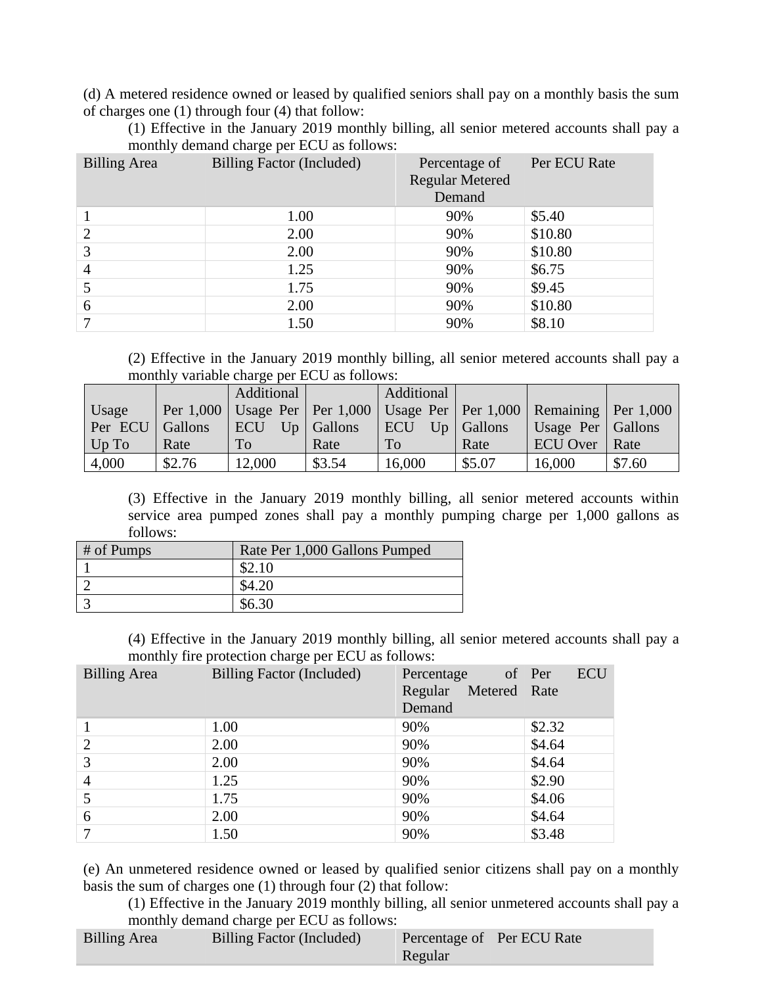(d) A metered residence owned or leased by qualified seniors shall pay on a monthly basis the sum of charges one (1) through four (4) that follow:

(1) Effective in the January 2019 monthly billing, all senior metered accounts shall pay a monthly demand charge per ECU as follows:

| <b>Billing Area</b> | Billing Factor (Included) | Percentage of<br><b>Regular Metered</b><br>Demand | Per ECU Rate |
|---------------------|---------------------------|---------------------------------------------------|--------------|
|                     | 1.00                      | 90%                                               | \$5.40       |
| $\overline{2}$      | 2.00                      | 90%                                               | \$10.80      |
| 3                   | 2.00                      | 90%                                               | \$10.80      |
| 4                   | 1.25                      | 90%                                               | \$6.75       |
|                     | 1.75                      | 90%                                               | \$9.45       |
| 6                   | 2.00                      | 90%                                               | \$10.80      |
|                     | 1.50                      | 90%                                               | \$8.10       |

(2) Effective in the January 2019 monthly billing, all senior metered accounts shall pay a monthly variable charge per ECU as follows:

|                   |        | Additional |                | Additional |                |                                                                                         |        |
|-------------------|--------|------------|----------------|------------|----------------|-----------------------------------------------------------------------------------------|--------|
| Usage             |        |            |                |            |                | Per $1,000$ Usage Per   Per $1,000$   Usage Per   Per $1,000$   Remaining   Per $1,000$ |        |
| Per ECU   Gallons |        | <b>ECU</b> | $Up  $ Gallons | <b>ECU</b> | $Up  $ Gallons | Usage Per   Gallons                                                                     |        |
| Up To             | Rate   | To         | Rate           | <b>To</b>  | Rate           | ECU Over Rate                                                                           |        |
| 4,000             | \$2.76 | 12,000     | \$3.54         | 16,000     | \$5.07         | 16,000                                                                                  | \$7.60 |

(3) Effective in the January 2019 monthly billing, all senior metered accounts within service area pumped zones shall pay a monthly pumping charge per 1,000 gallons as follows:

| # of Pumps | Rate Per 1,000 Gallons Pumped |
|------------|-------------------------------|
|            |                               |
|            |                               |
|            |                               |

(4) Effective in the January 2019 monthly billing, all senior metered accounts shall pay a monthly fire protection charge per ECU as follows:

| <b>Billing Area</b> | Billing Factor (Included) | of Per<br>Percentage<br>Metered Rate<br>Regular<br>Demand | <b>ECU</b> |
|---------------------|---------------------------|-----------------------------------------------------------|------------|
|                     | 1.00                      | 90%                                                       | \$2.32     |
| $\overline{2}$      | 2.00                      | 90%                                                       | \$4.64     |
| 3                   | 2.00                      | 90%                                                       | \$4.64     |
| 4                   | 1.25                      | 90%                                                       | \$2.90     |
|                     | 1.75                      | 90%                                                       | \$4.06     |
| 6                   | 2.00                      | 90%                                                       | \$4.64     |
|                     | 1.50                      | 90%                                                       | \$3.48     |

(e) An unmetered residence owned or leased by qualified senior citizens shall pay on a monthly basis the sum of charges one (1) through four (2) that follow:

(1) Effective in the January 2019 monthly billing, all senior unmetered accounts shall pay a monthly demand charge per ECU as follows:

|                     | .                         |                            |  |
|---------------------|---------------------------|----------------------------|--|
| <b>Billing Area</b> | Billing Factor (Included) | Percentage of Per ECU Rate |  |
|                     |                           | Regular                    |  |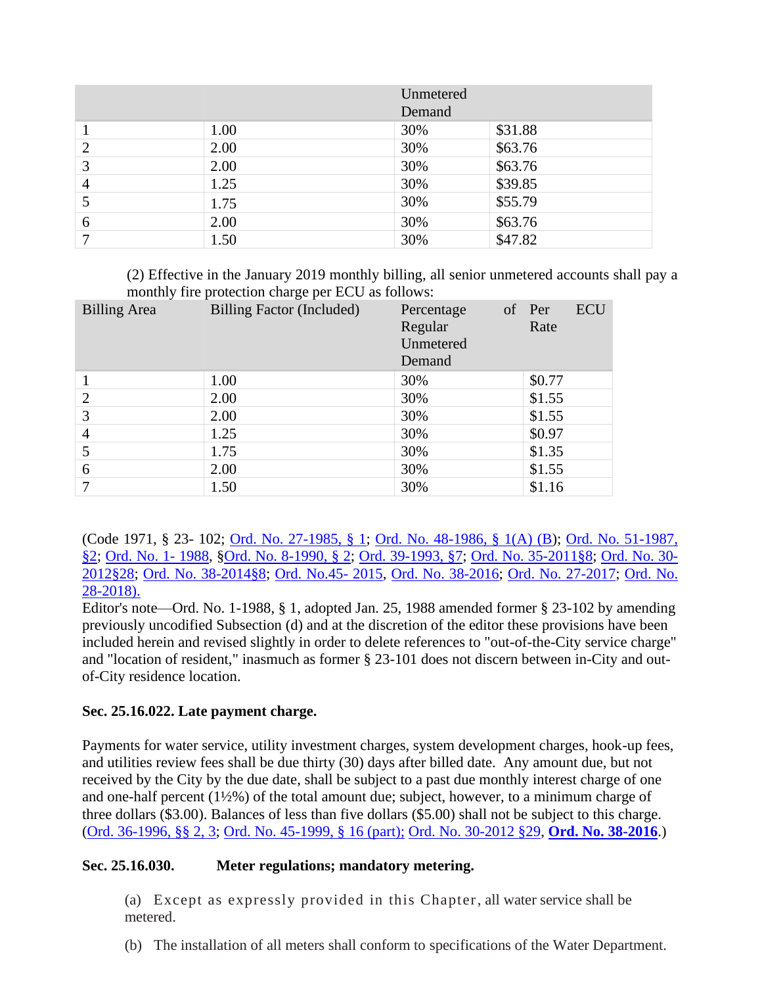|   |      | Unmetered<br>Demand |         |
|---|------|---------------------|---------|
|   | 1.00 | 30%                 | \$31.88 |
|   | 2.00 | 30%                 | \$63.76 |
| 3 | 2.00 | 30%                 | \$63.76 |
| 4 | 1.25 | 30%                 | \$39.85 |
| 5 | 1.75 | 30%                 | \$55.79 |
| 6 | 2.00 | 30%                 | \$63.76 |
|   | 1.50 | 30%                 | \$47.82 |

(2) Effective in the January 2019 monthly billing, all senior unmetered accounts shall pay a monthly fire protection charge per ECU as follows:

| <b>Billing Area</b> | Billing Factor (Included) | Percentage<br>Regular<br>Unmetered<br>Demand | <b>ECU</b><br>of Per<br>Rate |
|---------------------|---------------------------|----------------------------------------------|------------------------------|
|                     | 1.00                      | 30%                                          | \$0.77                       |
| 2                   | 2.00                      | 30%                                          | \$1.55                       |
| 3                   | 2.00                      | 30%                                          | \$1.55                       |
| 4                   | 1.25                      | 30%                                          | \$0.97                       |
|                     | 1.75                      | 30%                                          | \$1.35                       |
| 6                   | 2.00                      | 30%                                          | \$1.55                       |
| 7                   | 1.50                      | 30%                                          | \$1.16                       |

(Code 1971, § 23- 102; [Ord. No. 27-1985, § 1;](https://records.cityofaspen.com/WebLink/0/doc/8829/Page1.aspx) [Ord. No. 48-1986, § 1\(A\) \(B\)](https://records.cityofaspen.com/WebLink/0/doc/2981/Page1.aspx); [Ord. No. 51-1987,](https://records.cityofaspen.com/WebLink/0/doc/3047/Page1.aspx)  [§2;](https://records.cityofaspen.com/WebLink/0/doc/3047/Page1.aspx) [Ord. No. 1-](https://records.cityofaspen.com/WebLink/0/doc/3068/Page1.aspx) 1988, [§Ord. No. 8-1990, § 2;](https://records.cityofaspen.com/WebLink/0/doc/3219/Page1.aspx) [Ord. 39-1993, §7;](https://records.cityofaspen.com/WebLink/0/doc/3387/Page1.aspx) [Ord. No. 35-2011§8;](https://records.cityofaspen.com/WebLink/0/doc/163540/Page1.aspx) [Ord. No. 30-](https://records.cityofaspen.com/WebLink/0/doc/185014/Page1.aspx) [2012§28;](https://records.cityofaspen.com/WebLink/0/doc/185014/Page1.aspx) [Ord. No. 38-2014§8;](https://records.cityofaspen.com/WebLink/0/doc/205923/Page1.aspx) [Ord. No.45-](https://records.cityofaspen.com/WebLink/0/doc/211961/Page1.aspx) 2015, [Ord. No. 38-2016;](http://205.170.51.183/WebLink/0/doc/471374/Page1.aspx) [Ord. No. 27-2017;](https://records.cityofaspen.com/WebLink/0/doc/649832/Page1.aspx) [Ord. No.](https://records.cityofaspen.com/WebLink/0/doc/1412784/Page1.aspx.)  [28-2018\).](https://records.cityofaspen.com/WebLink/0/doc/1412784/Page1.aspx.)

Editor's note—Ord. No. 1-1988, § 1, adopted Jan. 25, 1988 amended former § 23-102 by amending previously uncodified Subsection (d) and at the discretion of the editor these provisions have been included herein and revised slightly in order to delete references to "out-of-the-City service charge" and "location of resident," inasmuch as former § 23-101 does not discern between in-City and outof-City residence location.

# <span id="page-43-0"></span>**Sec. 25.16.022. Late payment charge.**

Payments for water service, utility investment charges, system development charges, hook-up fees, and utilities review fees shall be due thirty (30) days after billed date. Any amount due, but not received by the City by the due date, shall be subject to a past due monthly interest charge of one and one-half percent (1½%) of the total amount due; subject, however, to a minimum charge of three dollars (\$3.00). Balances of less than five dollars (\$5.00) shall not be subject to this charge. [\(Ord. 36-1996, §§ 2, 3;](https://records.cityofaspen.com/WebLink/0/doc/3635/Page1.aspx) [Ord. No. 45-1999, § 16 \(part\);](https://records.cityofaspen.com/WebLink/0/doc/5651/Page1.aspx) [Ord. No. 30-2012 §29,](https://records.cityofaspen.com/WebLink/0/doc/185014/Page1.aspx) **[Ord. No. 38-2016](http://205.170.51.183/WebLink/0/doc/471374/Page1.aspx)**.)

## <span id="page-43-1"></span>**Sec. 25.16.030. Meter regulations; mandatory metering.**

(a) Except as expressly provided in this Chapter, all water service shall be metered.

(b) The installation of all meters shall conform to specifications of the Water Department.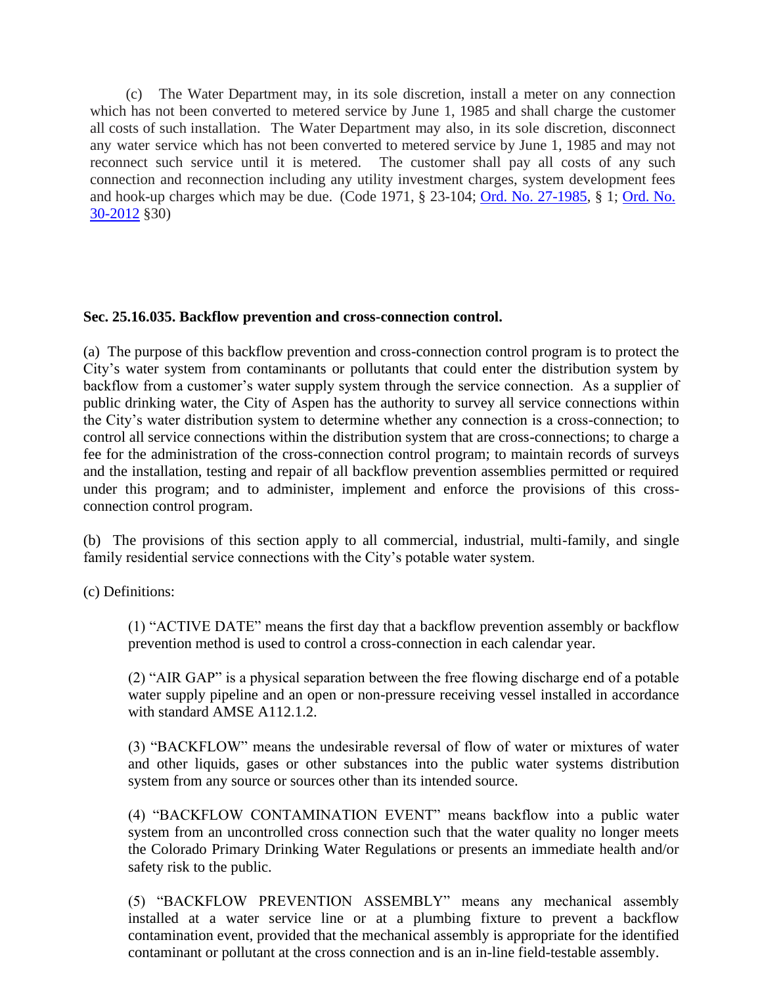(c) The Water Department may, in its sole discretion, install a meter on any connection which has not been converted to metered service by June 1, 1985 and shall charge the customer all costs of such installation. The Water Department may also, in its sole discretion, disconnect any water service which has not been converted to metered service by June 1, 1985 and may not reconnect such service until it is metered. The customer shall pay all costs of any such connection and reconnection including any utility investment charges, system development fees and hook-up charges which may be due. (Code 1971, § 23-104; [Ord. No. 27-1985,](http://205.170.51.183/WebLink8/DocView.aspx?id=8829&dbid=0) § 1; [Ord. No.](http://205.170.51.183/WebLink8/0/doc/185014/Page1.aspx)  [30-2012](http://205.170.51.183/WebLink8/0/doc/185014/Page1.aspx) §30)

# <span id="page-44-0"></span>**Sec. 25.16.035. Backflow prevention and cross-connection control.**

(a) The purpose of this backflow prevention and cross-connection control program is to protect the City's water system from contaminants or pollutants that could enter the distribution system by backflow from a customer's water supply system through the service connection. As a supplier of public drinking water, the City of Aspen has the authority to survey all service connections within the City's water distribution system to determine whether any connection is a cross-connection; to control all service connections within the distribution system that are cross-connections; to charge a fee for the administration of the cross-connection control program; to maintain records of surveys and the installation, testing and repair of all backflow prevention assemblies permitted or required under this program; and to administer, implement and enforce the provisions of this crossconnection control program.

(b) The provisions of this section apply to all commercial, industrial, multi-family, and single family residential service connections with the City's potable water system.

(c) Definitions:

(1) "ACTIVE DATE" means the first day that a backflow prevention assembly or backflow prevention method is used to control a cross-connection in each calendar year.

(2) "AIR GAP" is a physical separation between the free flowing discharge end of a potable water supply pipeline and an open or non-pressure receiving vessel installed in accordance with standard AMSE A112.1.2.

(3) "BACKFLOW" means the undesirable reversal of flow of water or mixtures of water and other liquids, gases or other substances into the public water systems distribution system from any source or sources other than its intended source.

(4) "BACKFLOW CONTAMINATION EVENT" means backflow into a public water system from an uncontrolled cross connection such that the water quality no longer meets the Colorado Primary Drinking Water Regulations or presents an immediate health and/or safety risk to the public.

(5) "BACKFLOW PREVENTION ASSEMBLY" means any mechanical assembly installed at a water service line or at a plumbing fixture to prevent a backflow contamination event, provided that the mechanical assembly is appropriate for the identified contaminant or pollutant at the cross connection and is an in-line field-testable assembly.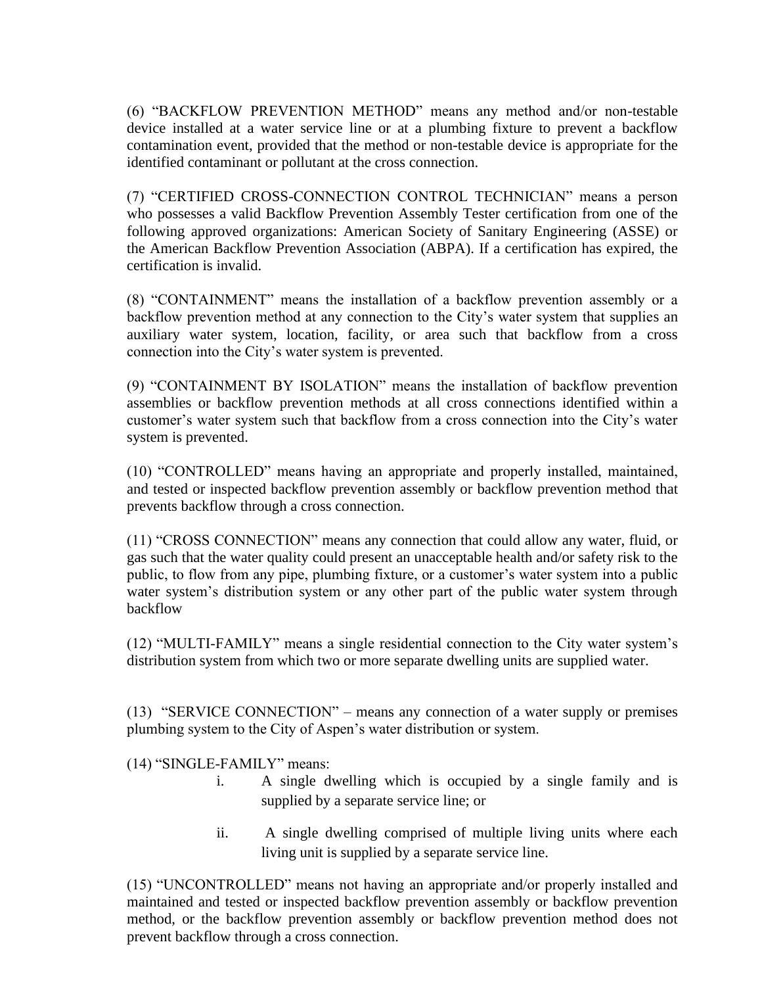(6) "BACKFLOW PREVENTION METHOD" means any method and/or non-testable device installed at a water service line or at a plumbing fixture to prevent a backflow contamination event, provided that the method or non-testable device is appropriate for the identified contaminant or pollutant at the cross connection.

(7) "CERTIFIED CROSS-CONNECTION CONTROL TECHNICIAN" means a person who possesses a valid Backflow Prevention Assembly Tester certification from one of the following approved organizations: American Society of Sanitary Engineering (ASSE) or the American Backflow Prevention Association (ABPA). If a certification has expired, the certification is invalid.

(8) "CONTAINMENT" means the installation of a backflow prevention assembly or a backflow prevention method at any connection to the City's water system that supplies an auxiliary water system, location, facility, or area such that backflow from a cross connection into the City's water system is prevented.

(9) "CONTAINMENT BY ISOLATION" means the installation of backflow prevention assemblies or backflow prevention methods at all cross connections identified within a customer's water system such that backflow from a cross connection into the City's water system is prevented.

(10) "CONTROLLED" means having an appropriate and properly installed, maintained, and tested or inspected backflow prevention assembly or backflow prevention method that prevents backflow through a cross connection.

(11) "CROSS CONNECTION" means any connection that could allow any water, fluid, or gas such that the water quality could present an unacceptable health and/or safety risk to the public, to flow from any pipe, plumbing fixture, or a customer's water system into a public water system's distribution system or any other part of the public water system through backflow

(12) "MULTI-FAMILY" means a single residential connection to the City water system's distribution system from which two or more separate dwelling units are supplied water.

(13) "SERVICE CONNECTION" – means any connection of a water supply or premises plumbing system to the City of Aspen's water distribution or system.

(14) "SINGLE-FAMILY" means:

- i. A single dwelling which is occupied by a single family and is supplied by a separate service line; or
- ii. A single dwelling comprised of multiple living units where each living unit is supplied by a separate service line.

(15) "UNCONTROLLED" means not having an appropriate and/or properly installed and maintained and tested or inspected backflow prevention assembly or backflow prevention method, or the backflow prevention assembly or backflow prevention method does not prevent backflow through a cross connection.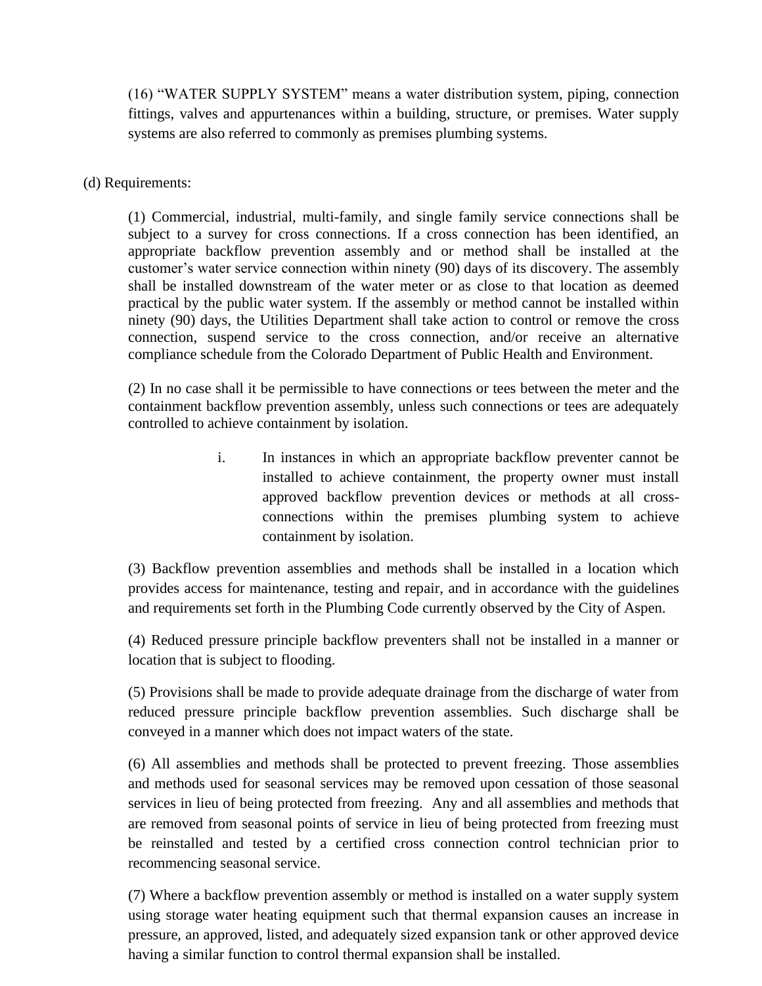(16) "WATER SUPPLY SYSTEM" means a water distribution system, piping, connection fittings, valves and appurtenances within a building, structure, or premises. Water supply systems are also referred to commonly as premises plumbing systems.

(d) Requirements:

(1) Commercial, industrial, multi-family, and single family service connections shall be subject to a survey for cross connections. If a cross connection has been identified, an appropriate backflow prevention assembly and or method shall be installed at the customer's water service connection within ninety (90) days of its discovery. The assembly shall be installed downstream of the water meter or as close to that location as deemed practical by the public water system. If the assembly or method cannot be installed within ninety (90) days, the Utilities Department shall take action to control or remove the cross connection, suspend service to the cross connection, and/or receive an alternative compliance schedule from the Colorado Department of Public Health and Environment.

(2) In no case shall it be permissible to have connections or tees between the meter and the containment backflow prevention assembly, unless such connections or tees are adequately controlled to achieve containment by isolation.

> i. In instances in which an appropriate backflow preventer cannot be installed to achieve containment, the property owner must install approved backflow prevention devices or methods at all crossconnections within the premises plumbing system to achieve containment by isolation.

(3) Backflow prevention assemblies and methods shall be installed in a location which provides access for maintenance, testing and repair, and in accordance with the guidelines and requirements set forth in the Plumbing Code currently observed by the City of Aspen.

(4) Reduced pressure principle backflow preventers shall not be installed in a manner or location that is subject to flooding.

(5) Provisions shall be made to provide adequate drainage from the discharge of water from reduced pressure principle backflow prevention assemblies. Such discharge shall be conveyed in a manner which does not impact waters of the state.

(6) All assemblies and methods shall be protected to prevent freezing. Those assemblies and methods used for seasonal services may be removed upon cessation of those seasonal services in lieu of being protected from freezing. Any and all assemblies and methods that are removed from seasonal points of service in lieu of being protected from freezing must be reinstalled and tested by a certified cross connection control technician prior to recommencing seasonal service.

(7) Where a backflow prevention assembly or method is installed on a water supply system using storage water heating equipment such that thermal expansion causes an increase in pressure, an approved, listed, and adequately sized expansion tank or other approved device having a similar function to control thermal expansion shall be installed.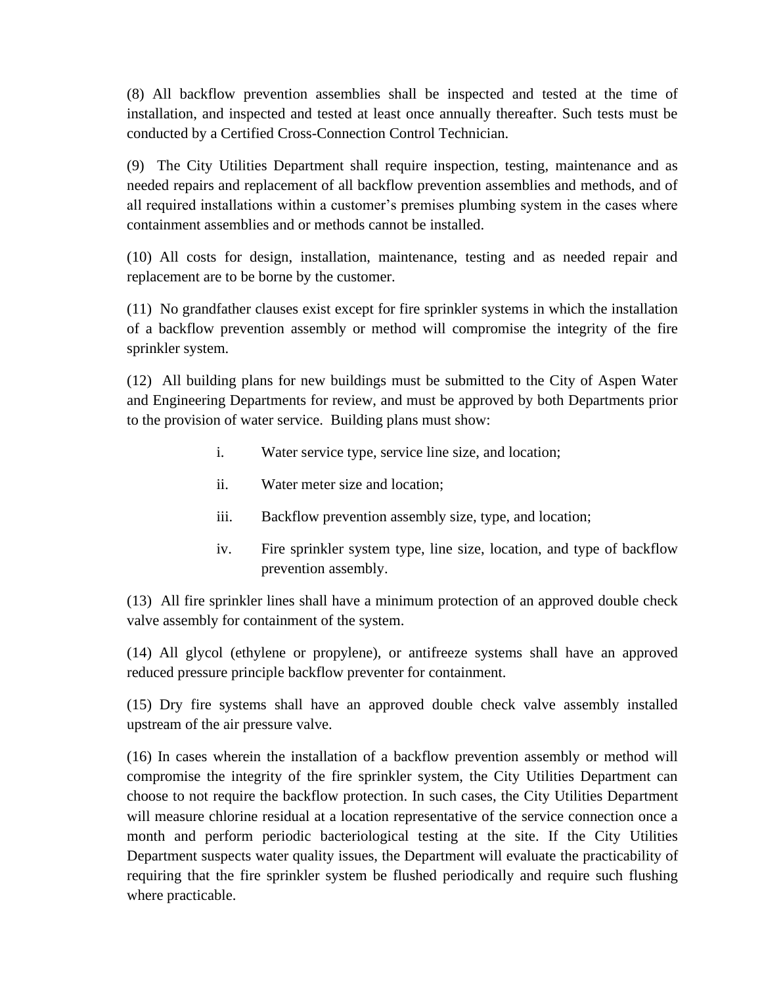(8) All backflow prevention assemblies shall be inspected and tested at the time of installation, and inspected and tested at least once annually thereafter. Such tests must be conducted by a Certified Cross-Connection Control Technician.

(9) The City Utilities Department shall require inspection, testing, maintenance and as needed repairs and replacement of all backflow prevention assemblies and methods, and of all required installations within a customer's premises plumbing system in the cases where containment assemblies and or methods cannot be installed.

(10) All costs for design, installation, maintenance, testing and as needed repair and replacement are to be borne by the customer.

(11) No grandfather clauses exist except for fire sprinkler systems in which the installation of a backflow prevention assembly or method will compromise the integrity of the fire sprinkler system.

(12) All building plans for new buildings must be submitted to the City of Aspen Water and Engineering Departments for review, and must be approved by both Departments prior to the provision of water service. Building plans must show:

- i. Water service type, service line size, and location;
- ii. Water meter size and location;
- iii. Backflow prevention assembly size, type, and location;
- iv. Fire sprinkler system type, line size, location, and type of backflow prevention assembly.

(13) All fire sprinkler lines shall have a minimum protection of an approved double check valve assembly for containment of the system.

(14) All glycol (ethylene or propylene), or antifreeze systems shall have an approved reduced pressure principle backflow preventer for containment.

(15) Dry fire systems shall have an approved double check valve assembly installed upstream of the air pressure valve.

(16) In cases wherein the installation of a backflow prevention assembly or method will compromise the integrity of the fire sprinkler system, the City Utilities Department can choose to not require the backflow protection. In such cases, the City Utilities Department will measure chlorine residual at a location representative of the service connection once a month and perform periodic bacteriological testing at the site. If the City Utilities Department suspects water quality issues, the Department will evaluate the practicability of requiring that the fire sprinkler system be flushed periodically and require such flushing where practicable.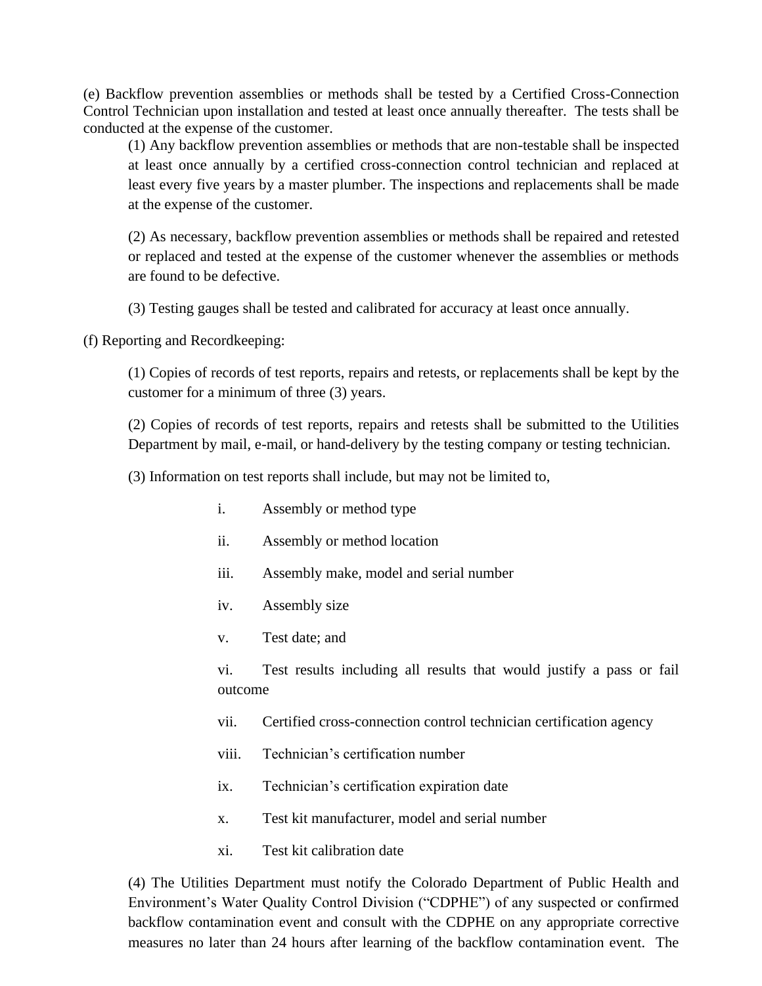(e) Backflow prevention assemblies or methods shall be tested by a Certified Cross-Connection Control Technician upon installation and tested at least once annually thereafter. The tests shall be conducted at the expense of the customer.

(1) Any backflow prevention assemblies or methods that are non-testable shall be inspected at least once annually by a certified cross-connection control technician and replaced at least every five years by a master plumber. The inspections and replacements shall be made at the expense of the customer.

(2) As necessary, backflow prevention assemblies or methods shall be repaired and retested or replaced and tested at the expense of the customer whenever the assemblies or methods are found to be defective.

(3) Testing gauges shall be tested and calibrated for accuracy at least once annually.

(f) Reporting and Recordkeeping:

(1) Copies of records of test reports, repairs and retests, or replacements shall be kept by the customer for a minimum of three (3) years.

(2) Copies of records of test reports, repairs and retests shall be submitted to the Utilities Department by mail, e-mail, or hand-delivery by the testing company or testing technician.

(3) Information on test reports shall include, but may not be limited to,

- i. Assembly or method type
- ii. Assembly or method location
- iii. Assembly make, model and serial number
- iv. Assembly size
- v. Test date; and

vi. Test results including all results that would justify a pass or fail outcome

vii. Certified cross-connection control technician certification agency

- viii. Technician's certification number
- ix. Technician's certification expiration date
- x. Test kit manufacturer, model and serial number
- xi. Test kit calibration date

(4) The Utilities Department must notify the Colorado Department of Public Health and Environment's Water Quality Control Division ("CDPHE") of any suspected or confirmed backflow contamination event and consult with the CDPHE on any appropriate corrective measures no later than 24 hours after learning of the backflow contamination event. The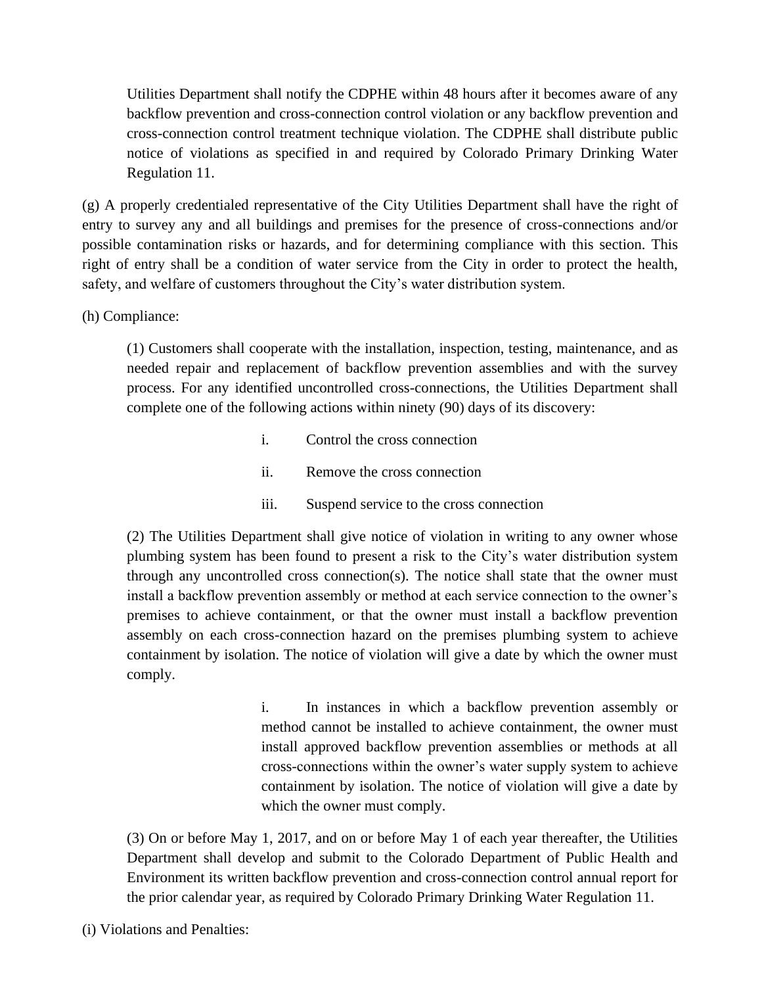Utilities Department shall notify the CDPHE within 48 hours after it becomes aware of any backflow prevention and cross-connection control violation or any backflow prevention and cross-connection control treatment technique violation. The CDPHE shall distribute public notice of violations as specified in and required by Colorado Primary Drinking Water Regulation 11.

(g) A properly credentialed representative of the City Utilities Department shall have the right of entry to survey any and all buildings and premises for the presence of cross-connections and/or possible contamination risks or hazards, and for determining compliance with this section. This right of entry shall be a condition of water service from the City in order to protect the health, safety, and welfare of customers throughout the City's water distribution system.

(h) Compliance:

(1) Customers shall cooperate with the installation, inspection, testing, maintenance, and as needed repair and replacement of backflow prevention assemblies and with the survey process. For any identified uncontrolled cross-connections, the Utilities Department shall complete one of the following actions within ninety (90) days of its discovery:

- i. Control the cross connection
- ii. Remove the cross connection
- iii. Suspend service to the cross connection

(2) The Utilities Department shall give notice of violation in writing to any owner whose plumbing system has been found to present a risk to the City's water distribution system through any uncontrolled cross connection(s). The notice shall state that the owner must install a backflow prevention assembly or method at each service connection to the owner's premises to achieve containment, or that the owner must install a backflow prevention assembly on each cross-connection hazard on the premises plumbing system to achieve containment by isolation. The notice of violation will give a date by which the owner must comply.

> i. In instances in which a backflow prevention assembly or method cannot be installed to achieve containment, the owner must install approved backflow prevention assemblies or methods at all cross-connections within the owner's water supply system to achieve containment by isolation. The notice of violation will give a date by which the owner must comply.

(3) On or before May 1, 2017, and on or before May 1 of each year thereafter, the Utilities Department shall develop and submit to the Colorado Department of Public Health and Environment its written backflow prevention and cross-connection control annual report for the prior calendar year, as required by Colorado Primary Drinking Water Regulation 11.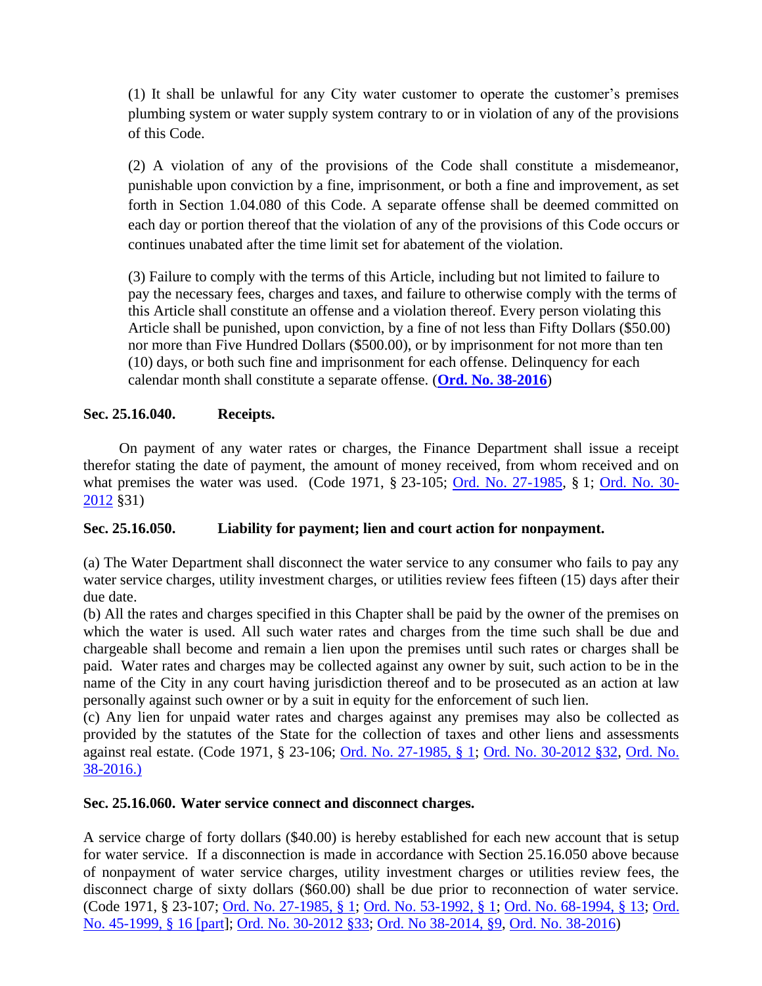(1) It shall be unlawful for any City water customer to operate the customer's premises plumbing system or water supply system contrary to or in violation of any of the provisions of this Code.

(2) A violation of any of the provisions of the Code shall constitute a misdemeanor, punishable upon conviction by a fine, imprisonment, or both a fine and improvement, as set forth in Section 1.04.080 of this Code. A separate offense shall be deemed committed on each day or portion thereof that the violation of any of the provisions of this Code occurs or continues unabated after the time limit set for abatement of the violation.

(3) Failure to comply with the terms of this Article, including but not limited to failure to pay the necessary fees, charges and taxes, and failure to otherwise comply with the terms of this Article shall constitute an offense and a violation thereof. Every person violating this Article shall be punished, upon conviction, by a fine of not less than Fifty Dollars (\$50.00) nor more than Five Hundred Dollars (\$500.00), or by imprisonment for not more than ten (10) days, or both such fine and imprisonment for each offense. Delinquency for each calendar month shall constitute a separate offense. (**[Ord. No. 38-2016](http://205.170.51.183/WebLink/0/doc/471374/Page1.aspx)**)

# <span id="page-50-0"></span>**Sec. 25.16.040. Receipts.**

On payment of any water rates or charges, the Finance Department shall issue a receipt therefor stating the date of payment, the amount of money received, from whom received and on what premises the water was used. (Code 1971, § 23-105; [Ord. No. 27-1985,](http://205.170.51.183/WebLink8/DocView.aspx?id=8829&dbid=0) § 1; [Ord. No. 30-](http://205.170.51.183/WebLink8/0/doc/185014/Page1.aspx) [2012](http://205.170.51.183/WebLink8/0/doc/185014/Page1.aspx) §31)

# <span id="page-50-1"></span>**Sec. 25.16.050. Liability for payment; lien and court action for nonpayment.**

(a) The Water Department shall disconnect the water service to any consumer who fails to pay any water service charges, utility investment charges, or utilities review fees fifteen (15) days after their due date.

(b) All the rates and charges specified in this Chapter shall be paid by the owner of the premises on which the water is used. All such water rates and charges from the time such shall be due and chargeable shall become and remain a lien upon the premises until such rates or charges shall be paid. Water rates and charges may be collected against any owner by suit, such action to be in the name of the City in any court having jurisdiction thereof and to be prosecuted as an action at law personally against such owner or by a suit in equity for the enforcement of such lien.

(c) Any lien for unpaid water rates and charges against any premises may also be collected as provided by the statutes of the State for the collection of taxes and other liens and assessments against real estate. (Code 1971, § 23-106; [Ord. No. 27-1985, § 1;](https://records.cityofaspen.com/WebLink/0/doc/8829/Page1.aspx) [Ord. No. 30-2012 §32,](https://records.cityofaspen.com/WebLink/0/doc/185014/Page1.aspx) [Ord. No.](http://205.170.51.183/WebLink/0/doc/471374/Page1.aspx)  [38-2016.\)](http://205.170.51.183/WebLink/0/doc/471374/Page1.aspx)

## <span id="page-50-2"></span>**Sec. 25.16.060. Water service connect and disconnect charges.**

A service charge of forty dollars (\$40.00) is hereby established for each new account that is setup for water service. If a disconnection is made in accordance with Section 25.16.050 above because of nonpayment of water service charges, utility investment charges or utilities review fees, the disconnect charge of sixty dollars (\$60.00) shall be due prior to reconnection of water service. (Code 1971, § 23-107; [Ord. No. 27-1985, § 1;](https://records.cityofaspen.com/WebLink/0/doc/8829/Page1.aspx) [Ord. No. 53-1992, § 1;](https://records.cityofaspen.com/WebLink/0/doc/4888/Page1.aspx) [Ord. No. 68-1994, § 13;](https://records.cityofaspen.com/WebLink/0/doc/3486/Page1.aspx) [Ord.](https://records.cityofaspen.com/WebLink/0/doc/5651/Page1.aspx)  [No. 45-1999, § 16 \[part\]](https://records.cityofaspen.com/WebLink/0/doc/5651/Page1.aspx); [Ord. No. 30-2012 §33;](https://records.cityofaspen.com/WebLink/0/doc/185014/Page1.aspx) [Ord. No 38-2014, §9,](https://records.cityofaspen.com/WebLink/0/doc/205923/Page1.aspx) [Ord. No. 38-2016\)](http://205.170.51.183/WebLink/0/doc/471374/Page1.aspx)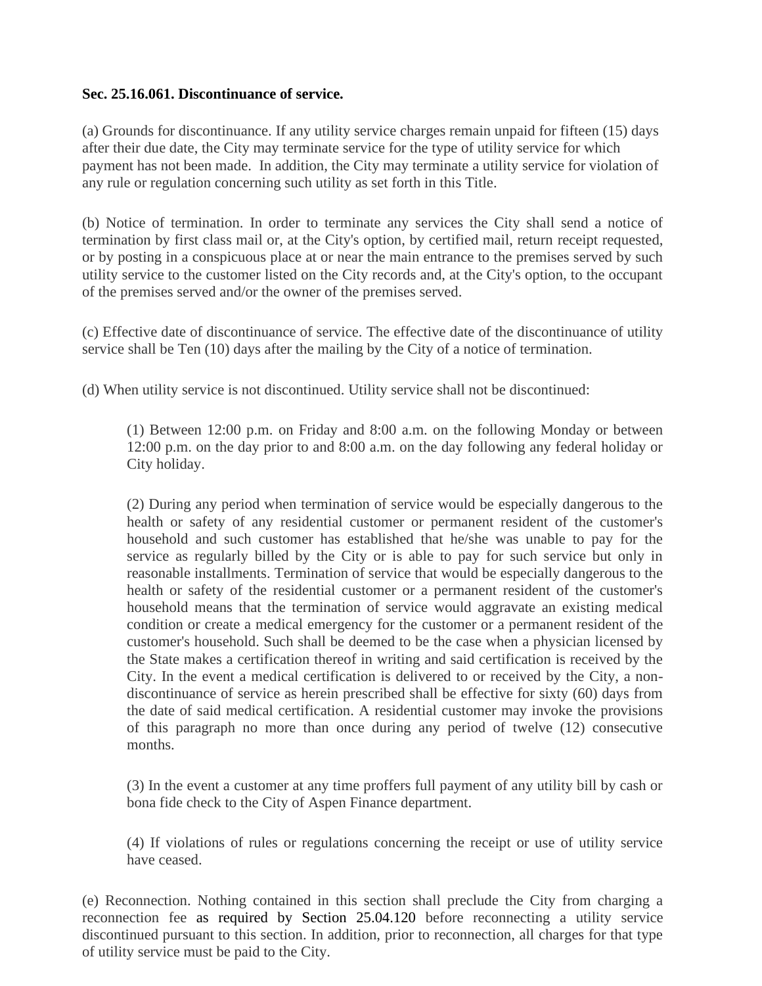## <span id="page-51-0"></span>**Sec. 25.16.061. Discontinuance of service.**

(a) Grounds for discontinuance. If any utility service charges remain unpaid for fifteen (15) days after their due date, the City may terminate service for the type of utility service for which payment has not been made. In addition, the City may terminate a utility service for violation of any rule or regulation concerning such utility as set forth in this Title.

(b) Notice of termination. In order to terminate any services the City shall send a notice of termination by first class mail or, at the City's option, by certified mail, return receipt requested, or by posting in a conspicuous place at or near the main entrance to the premises served by such utility service to the customer listed on the City records and, at the City's option, to the occupant of the premises served and/or the owner of the premises served.

(c) Effective date of discontinuance of service. The effective date of the discontinuance of utility service shall be Ten (10) days after the mailing by the City of a notice of termination.

(d) When utility service is not discontinued. Utility service shall not be discontinued:

(1) Between 12:00 p.m. on Friday and 8:00 a.m. on the following Monday or between 12:00 p.m. on the day prior to and 8:00 a.m. on the day following any federal holiday or City holiday.

(2) During any period when termination of service would be especially dangerous to the health or safety of any residential customer or permanent resident of the customer's household and such customer has established that he/she was unable to pay for the service as regularly billed by the City or is able to pay for such service but only in reasonable installments. Termination of service that would be especially dangerous to the health or safety of the residential customer or a permanent resident of the customer's household means that the termination of service would aggravate an existing medical condition or create a medical emergency for the customer or a permanent resident of the customer's household. Such shall be deemed to be the case when a physician licensed by the State makes a certification thereof in writing and said certification is received by the City. In the event a medical certification is delivered to or received by the City, a nondiscontinuance of service as herein prescribed shall be effective for sixty (60) days from the date of said medical certification. A residential customer may invoke the provisions of this paragraph no more than once during any period of twelve (12) consecutive months.

(3) In the event a customer at any time proffers full payment of any utility bill by cash or bona fide check to the City of Aspen Finance department.

(4) If violations of rules or regulations concerning the receipt or use of utility service have ceased.

(e) Reconnection. Nothing contained in this section shall preclude the City from charging a reconnection fee as required by Section 25.04.120 before reconnecting a utility service discontinued pursuant to this section. In addition, prior to reconnection, all charges for that type of utility service must be paid to the City.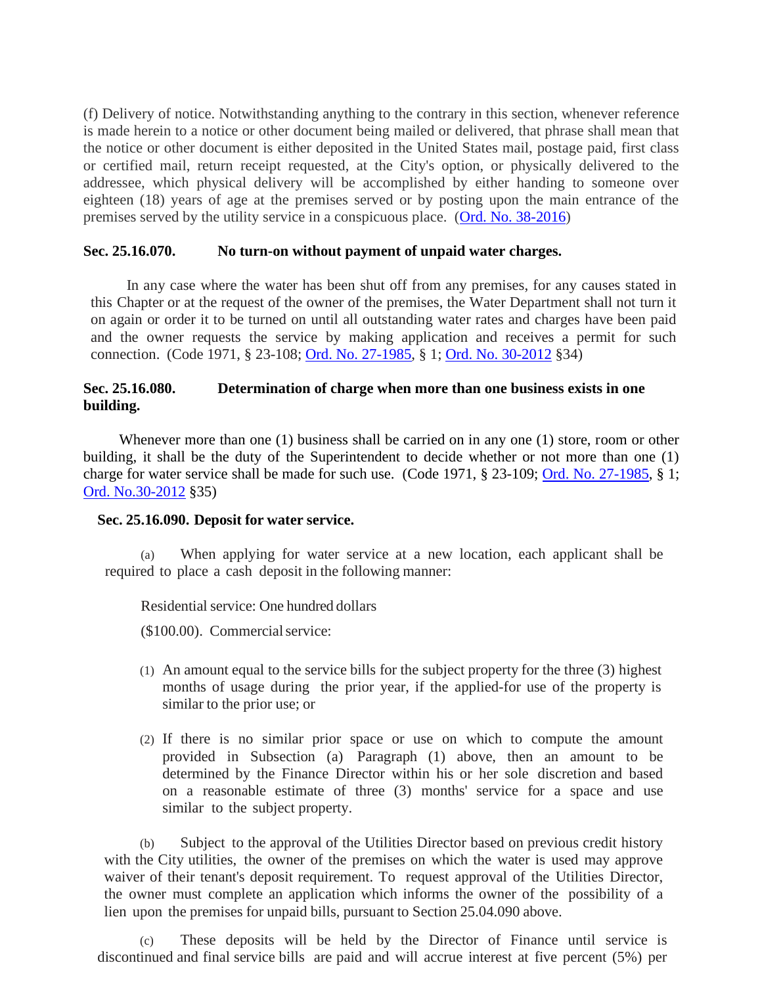(f) Delivery of notice. Notwithstanding anything to the contrary in this section, whenever reference is made herein to a notice or other document being mailed or delivered, that phrase shall mean that the notice or other document is either deposited in the United States mail, postage paid, first class or certified mail, return receipt requested, at the City's option, or physically delivered to the addressee, which physical delivery will be accomplished by either handing to someone over eighteen (18) years of age at the premises served or by posting upon the main entrance of the premises served by the utility service in a conspicuous place. [\(Ord. No. 38-2016\)](http://205.170.51.183/WebLink/0/doc/471374/Page1.aspx)

#### <span id="page-52-0"></span>**Sec. 25.16.070. No turn-on without payment of unpaid water charges.**

In any case where the water has been shut off from any premises, for any causes stated in this Chapter or at the request of the owner of the premises, the Water Department shall not turn it on again or order it to be turned on until all outstanding water rates and charges have been paid and the owner requests the service by making application and receives a permit for such connection. (Code 1971, § 23-108; [Ord. No. 27-1985,](http://205.170.51.183/WebLink8/DocView.aspx?id=8829&dbid=0) § 1; [Ord. No. 30-2012](http://205.170.51.183/WebLink8/0/doc/185014/Page1.aspx) §34)

# <span id="page-52-1"></span>**Sec. 25.16.080. Determination of charge when more than one business exists in one building.**

Whenever more than one (1) business shall be carried on in any one (1) store, room or other building, it shall be the duty of the Superintendent to decide whether or not more than one (1) charge for water service shall be made for such use. (Code 1971, § 23-109; [Ord. No. 27-1985,](http://205.170.51.183/WebLink8/DocView.aspx?id=8829&dbid=0) § 1; [Ord. No.30-2012](http://205.170.51.183/WebLink8/0/doc/185014/Page1.aspx) §35)

#### <span id="page-52-2"></span>**Sec. 25.16.090. Deposit for water service.**

(a) When applying for water service at a new location, each applicant shall be required to place a cash deposit in the following manner:

Residential service: One hundred dollars

(\$100.00). Commercialservice:

- (1) An amount equal to the service bills for the subject property for the three (3) highest months of usage during the prior year, if the applied-for use of the property is similar to the prior use; or
- (2) If there is no similar prior space or use on which to compute the amount provided in Subsection (a) Paragraph (1) above, then an amount to be determined by the Finance Director within his or her sole discretion and based on a reasonable estimate of three (3) months' service for a space and use similar to the subject property.

(b) Subject to the approval of the Utilities Director based on previous credit history with the City utilities, the owner of the premises on which the water is used may approve waiver of their tenant's deposit requirement. To request approval of the Utilities Director, the owner must complete an application which informs the owner of the possibility of a lien upon the premises for unpaid bills, pursuant to Section 25.04.090 above.

(c) These deposits will be held by the Director of Finance until service is discontinued and final service bills are paid and will accrue interest at five percent (5%) per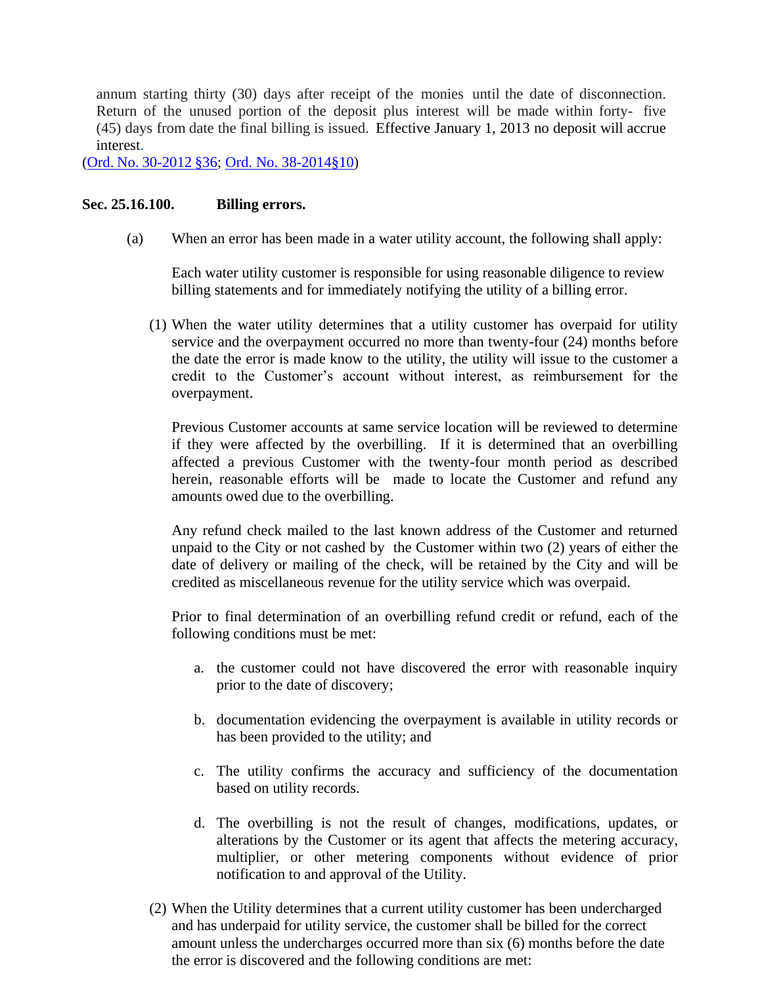annum starting thirty (30) days after receipt of the monies until the date of disconnection. Return of the unused portion of the deposit plus interest will be made within forty- five (45) days from date the final billing is issued. Effective January 1, 2013 no deposit will accrue interest.

(Ord. No. [30-2012](https://records.cityofaspen.com/WebLink/0/doc/185014/Page1.aspx) §36; [Ord. No. 38-2014§10\)](https://records.cityofaspen.com/WebLink/0/doc/205923/Page1.aspx)

#### <span id="page-53-0"></span>**Sec. 25.16.100. Billing errors.**

(a) When an error has been made in a water utility account, the following shall apply:

Each water utility customer is responsible for using reasonable diligence to review billing statements and for immediately notifying the utility of a billing error.

(1) When the water utility determines that a utility customer has overpaid for utility service and the overpayment occurred no more than twenty-four (24) months before the date the error is made know to the utility, the utility will issue to the customer a credit to the Customer's account without interest, as reimbursement for the overpayment.

Previous Customer accounts at same service location will be reviewed to determine if they were affected by the overbilling. If it is determined that an overbilling affected a previous Customer with the twenty-four month period as described herein, reasonable efforts will be made to locate the Customer and refund any amounts owed due to the overbilling.

Any refund check mailed to the last known address of the Customer and returned unpaid to the City or not cashed by the Customer within two (2) years of either the date of delivery or mailing of the check, will be retained by the City and will be credited as miscellaneous revenue for the utility service which was overpaid.

Prior to final determination of an overbilling refund credit or refund, each of the following conditions must be met:

- a. the customer could not have discovered the error with reasonable inquiry prior to the date of discovery;
- b. documentation evidencing the overpayment is available in utility records or has been provided to the utility; and
- c. The utility confirms the accuracy and sufficiency of the documentation based on utility records.
- d. The overbilling is not the result of changes, modifications, updates, or alterations by the Customer or its agent that affects the metering accuracy, multiplier, or other metering components without evidence of prior notification to and approval of the Utility.
- (2) When the Utility determines that a current utility customer has been undercharged and has underpaid for utility service, the customer shall be billed for the correct amount unless the undercharges occurred more than six (6) months before the date the error is discovered and the following conditions are met: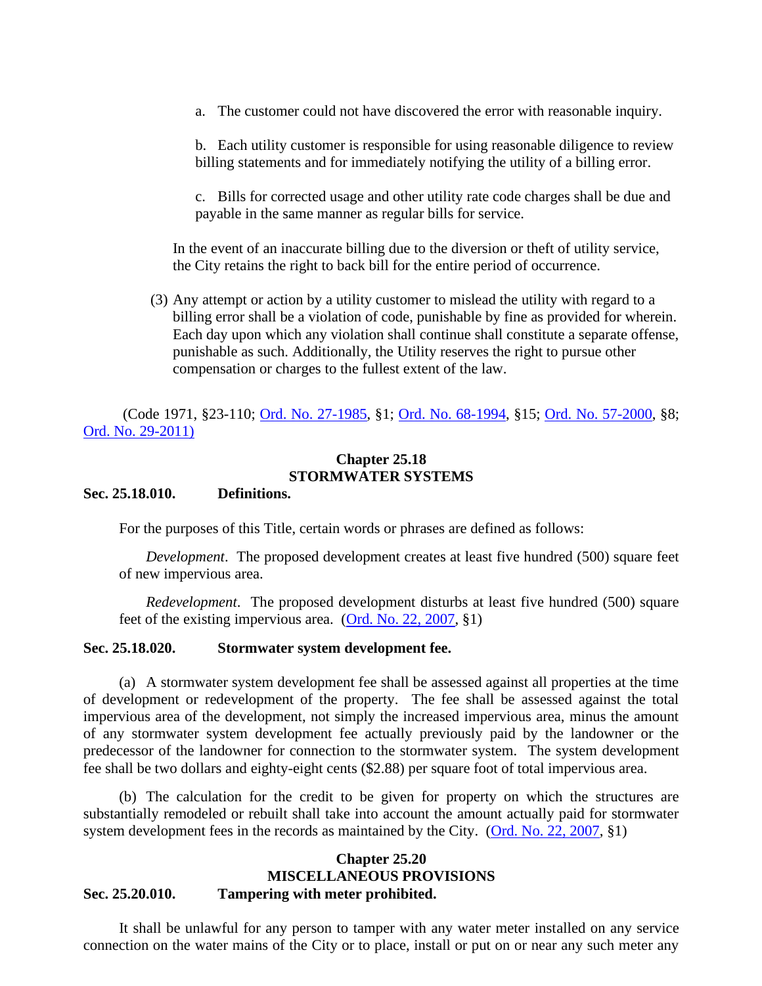a. The customer could not have discovered the error with reasonable inquiry.

b. Each utility customer is responsible for using reasonable diligence to review billing statements and for immediately notifying the utility of a billing error.

c. Bills for corrected usage and other utility rate code charges shall be due and payable in the same manner as regular bills for service.

In the event of an inaccurate billing due to the diversion or theft of utility service, the City retains the right to back bill for the entire period of occurrence.

(3) Any attempt or action by a utility customer to mislead the utility with regard to a billing error shall be a violation of code, punishable by fine as provided for wherein. Each day upon which any violation shall continue shall constitute a separate offense, punishable as such. Additionally, the Utility reserves the right to pursue other compensation or charges to the fullest extent of the law.

(Code 1971, §23-110; [Ord. No. 27-1985,](http://205.170.51.183/WebLink8/DocView.aspx?id=8829&dbid=0) §1; [Ord. No. 68-1994,](http://205.170.51.183/WebLink8/0/doc/3486/Page1.aspx) §15; [Ord. No. 57-2000,](http://205.170.51.183/WebLink8/0/doc/10058/Page1.aspx) §8; [Ord. No. 29-2011\)](http://205.170.51.183/WebLink8/0/doc/161868/Page1.aspx)

## **Chapter 25.18 STORMWATER SYSTEMS**

#### <span id="page-54-2"></span><span id="page-54-1"></span><span id="page-54-0"></span>**Sec. 25.18.010. Definitions.**

For the purposes of this Title, certain words or phrases are defined as follows:

*Development*. The proposed development creates at least five hundred (500) square feet of new impervious area.

*Redevelopment*. The proposed development disturbs at least five hundred (500) square feet of the existing impervious area. [\(Ord. No. 22, 2007,](http://205.170.51.183/WebLink8/0/doc/91496/Page1.aspx) §1)

#### <span id="page-54-3"></span>**Sec. 25.18.020. Stormwater system development fee.**

(a) A stormwater system development fee shall be assessed against all properties at the time of development or redevelopment of the property. The fee shall be assessed against the total impervious area of the development, not simply the increased impervious area, minus the amount of any stormwater system development fee actually previously paid by the landowner or the predecessor of the landowner for connection to the stormwater system. The system development fee shall be two dollars and eighty-eight cents (\$2.88) per square foot of total impervious area.

(b) The calculation for the credit to be given for property on which the structures are substantially remodeled or rebuilt shall take into account the amount actually paid for stormwater system development fees in the records as maintained by the City. [\(Ord. No. 22, 2007,](http://205.170.51.183/WebLink8/0/doc/91496/Page1.aspx) §1)

#### <span id="page-54-6"></span><span id="page-54-5"></span><span id="page-54-4"></span>**Chapter 25.20 MISCELLANEOUS PROVISIONS Sec. 25.20.010. Tampering with meter prohibited.**

It shall be unlawful for any person to tamper with any water meter installed on any service connection on the water mains of the City or to place, install or put on or near any such meter any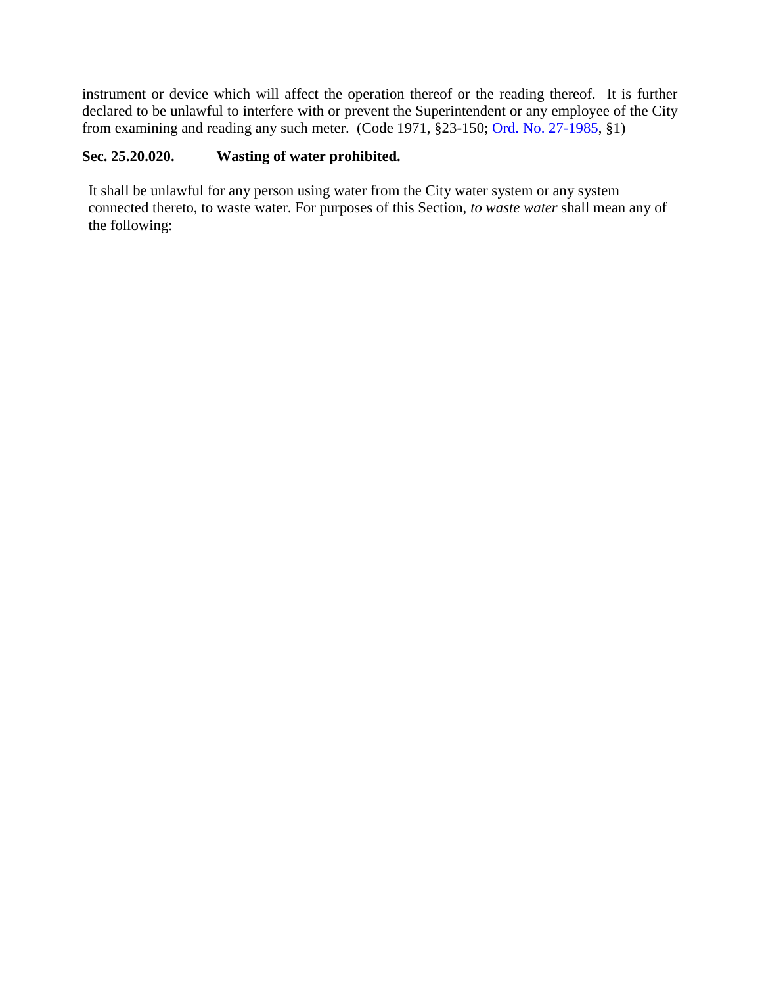instrument or device which will affect the operation thereof or the reading thereof. It is further declared to be unlawful to interfere with or prevent the Superintendent or any employee of the City from examining and reading any such meter. (Code 1971, §23-150; [Ord. No. 27-1985,](http://205.170.51.183/WebLink8/DocView.aspx?id=8829&dbid=0) §1)

# <span id="page-55-0"></span>**Sec. 25.20.020. Wasting of water prohibited.**

It shall be unlawful for any person using water from the City water system or any system connected thereto, to waste water. For purposes of this Section, *to waste water* shall mean any of the following: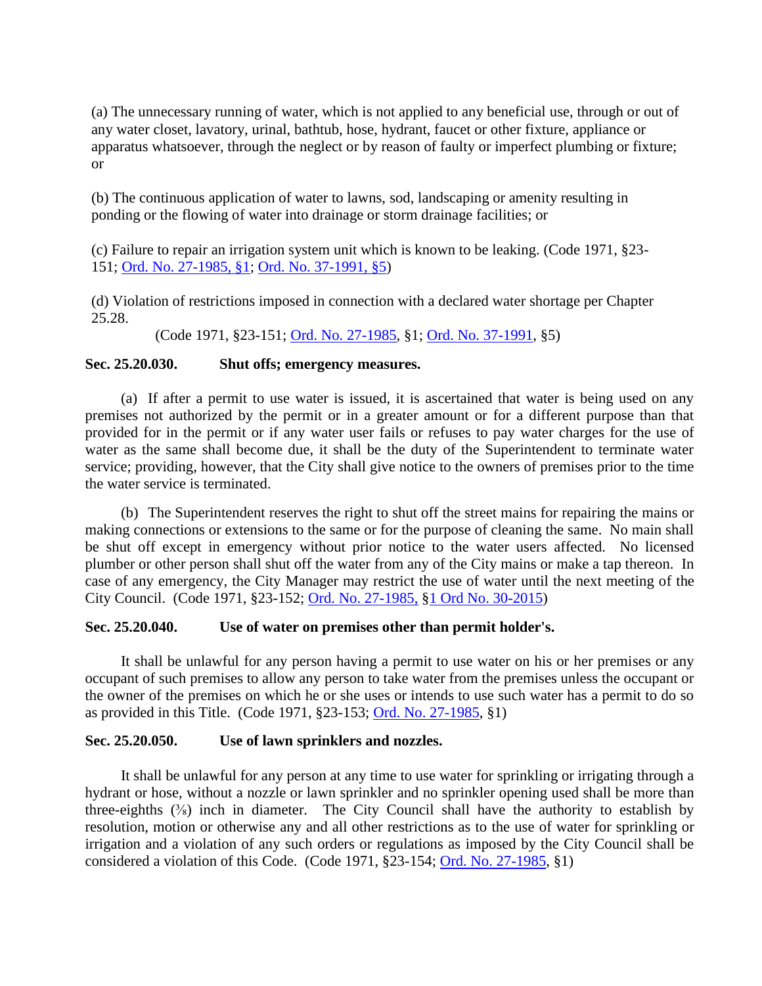(a) The unnecessary running of water, which is not applied to any beneficial use, through or out of any water closet, lavatory, urinal, bathtub, hose, hydrant, faucet or other fixture, appliance or apparatus whatsoever, through the neglect or by reason of faulty or imperfect plumbing or fixture; or

(b) The continuous application of water to lawns, sod, landscaping or amenity resulting in ponding or the flowing of water into drainage or storm drainage facilities; or

(c) Failure to repair an irrigation system unit which is known to be leaking. (Code 1971, §23- 151; [Ord. No. 27-1985, §1;](https://records.cityofaspen.com/WebLink/0/doc/8829/Page1.aspx) [Ord. No. 37-1991, §5\)](https://records.cityofaspen.com/WebLink/0/doc/3329/Page1.aspx)

(d) Violation of restrictions imposed in connection with a declared water shortage per Chapter 25.28.

(Code 1971, §23-151; [Ord. No. 27-1985,](http://205.170.51.183/WebLink8/DocView.aspx?id=8829&dbid=0) §1; [Ord. No. 37-1991,](http://205.170.51.183/WebLink8/0/doc/3329/Page1.aspx) §5)

## <span id="page-56-0"></span>**Sec. 25.20.030. Shut offs; emergency measures.**

(a) If after a permit to use water is issued, it is ascertained that water is being used on any premises not authorized by the permit or in a greater amount or for a different purpose than that provided for in the permit or if any water user fails or refuses to pay water charges for the use of water as the same shall become due, it shall be the duty of the Superintendent to terminate water service; providing, however, that the City shall give notice to the owners of premises prior to the time the water service is terminated.

(b) The Superintendent reserves the right to shut off the street mains for repairing the mains or making connections or extensions to the same or for the purpose of cleaning the same. No main shall be shut off except in emergency without prior notice to the water users affected. No licensed plumber or other person shall shut off the water from any of the City mains or make a tap thereon. In case of any emergency, the City Manager may restrict the use of water until the next meeting of the City Council. (Code 1971, §23-152; [Ord. No. 27-1985,](http://205.170.51.183/WebLink8/DocView.aspx?id=8829&dbid=0) §1 [Ord No. 30-2015\)](http://205.170.51.183/weblink/DocView.aspx?dbid=0&id=210788&page=1&cr=1)

## <span id="page-56-1"></span>**Sec. 25.20.040. Use of water on premises other than permit holder's.**

It shall be unlawful for any person having a permit to use water on his or her premises or any occupant of such premises to allow any person to take water from the premises unless the occupant or the owner of the premises on which he or she uses or intends to use such water has a permit to do so as provided in this Title. (Code 1971, §23-153; [Ord. No. 27-1985,](http://205.170.51.183/WebLink8/DocView.aspx?id=8829&dbid=0) §1)

#### <span id="page-56-2"></span>**Sec. 25.20.050. Use of lawn sprinklers and nozzles.**

It shall be unlawful for any person at any time to use water for sprinkling or irrigating through a hydrant or hose, without a nozzle or lawn sprinkler and no sprinkler opening used shall be more than three-eighths  $(\frac{3}{8})$  inch in diameter. The City Council shall have the authority to establish by resolution, motion or otherwise any and all other restrictions as to the use of water for sprinkling or irrigation and a violation of any such orders or regulations as imposed by the City Council shall be considered a violation of this Code. (Code 1971, §23-154; [Ord. No. 27-1985,](http://205.170.51.183/WebLink8/DocView.aspx?id=8829&dbid=0) §1)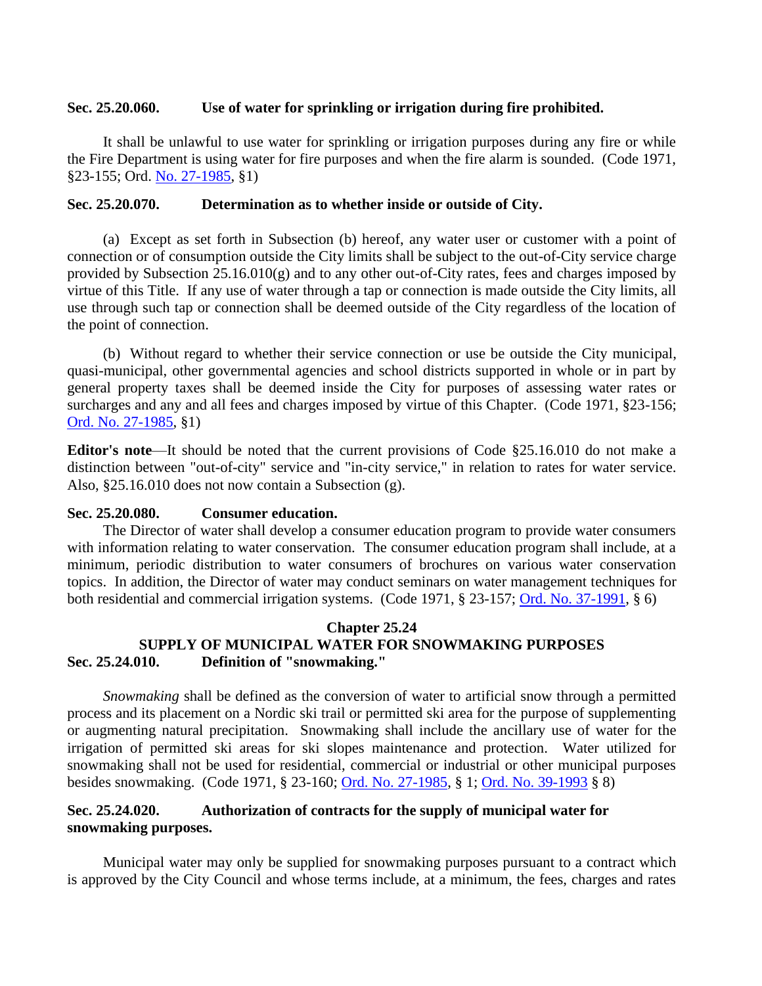#### <span id="page-57-0"></span>**Sec. 25.20.060. Use of water for sprinkling or irrigation during fire prohibited.**

It shall be unlawful to use water for sprinkling or irrigation purposes during any fire or while the Fire Department is using water for fire purposes and when the fire alarm is sounded. (Code 1971, §23-155; Ord. [No. 27-1985,](http://205.170.51.183/WebLink8/DocView.aspx?id=8829&dbid=0) §1)

#### <span id="page-57-1"></span>**Sec. 25.20.070. Determination as to whether inside or outside of City.**

(a) Except as set forth in Subsection (b) hereof, any water user or customer with a point of connection or of consumption outside the City limits shall be subject to the out-of-City service charge provided by Subsection 25.16.010(g) and to any other out-of-City rates, fees and charges imposed by virtue of this Title. If any use of water through a tap or connection is made outside the City limits, all use through such tap or connection shall be deemed outside of the City regardless of the location of the point of connection.

(b) Without regard to whether their service connection or use be outside the City municipal, quasi-municipal, other governmental agencies and school districts supported in whole or in part by general property taxes shall be deemed inside the City for purposes of assessing water rates or surcharges and any and all fees and charges imposed by virtue of this Chapter. (Code 1971, §23-156; [Ord. No. 27-1985,](http://205.170.51.183/WebLink8/DocView.aspx?id=8829&dbid=0) §1)

**Editor's note**—It should be noted that the current provisions of Code §25.16.010 do not make a distinction between "out-of-city" service and "in-city service," in relation to rates for water service. Also, §25.16.010 does not now contain a Subsection (g).

## <span id="page-57-2"></span>**Sec. 25.20.080. Consumer education.**

The Director of water shall develop a consumer education program to provide water consumers with information relating to water conservation. The consumer education program shall include, at a minimum, periodic distribution to water consumers of brochures on various water conservation topics. In addition, the Director of water may conduct seminars on water management techniques for both residential and commercial irrigation systems. (Code 1971, § 23-157; [Ord. No. 37-1991,](http://205.170.51.183/WebLink8/0/doc/3329/Page1.aspx) § 6)

#### **Chapter 25.24**

# <span id="page-57-5"></span><span id="page-57-4"></span><span id="page-57-3"></span>**SUPPLY OF MUNICIPAL WATER FOR SNOWMAKING PURPOSES Sec. 25.24.010. Definition of "snowmaking."**

*Snowmaking* shall be defined as the conversion of water to artificial snow through a permitted process and its placement on a Nordic ski trail or permitted ski area for the purpose of supplementing or augmenting natural precipitation. Snowmaking shall include the ancillary use of water for the irrigation of permitted ski areas for ski slopes maintenance and protection. Water utilized for snowmaking shall not be used for residential, commercial or industrial or other municipal purposes besides snowmaking. (Code 1971, § 23-160; [Ord. No. 27-1985,](http://205.170.51.183/WebLink8/DocView.aspx?id=8829&dbid=0) § 1; [Ord. No. 39-1993](http://205.170.51.183/WebLink8/0/doc/3387/Page1.aspx) § 8)

# <span id="page-57-6"></span>**Sec. 25.24.020. Authorization of contracts for the supply of municipal water for snowmaking purposes.**

Municipal water may only be supplied for snowmaking purposes pursuant to a contract which is approved by the City Council and whose terms include, at a minimum, the fees, charges and rates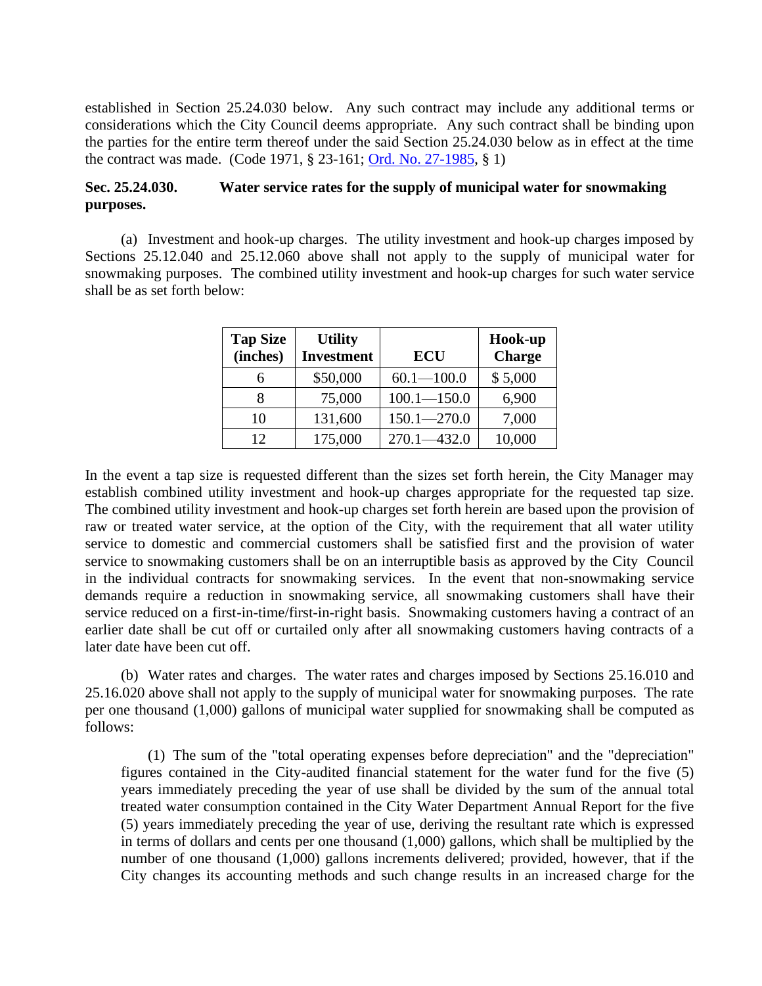established in Section 25.24.030 below. Any such contract may include any additional terms or considerations which the City Council deems appropriate. Any such contract shall be binding upon the parties for the entire term thereof under the said Section 25.24.030 below as in effect at the time the contract was made. (Code 1971, § 23-161; [Ord. No. 27-1985,](http://205.170.51.183/WebLink8/DocView.aspx?id=8829&dbid=0) § 1)

# <span id="page-58-0"></span>**Sec. 25.24.030. Water service rates for the supply of municipal water for snowmaking purposes.**

(a) Investment and hook-up charges. The utility investment and hook-up charges imposed by Sections 25.12.040 and 25.12.060 above shall not apply to the supply of municipal water for snowmaking purposes. The combined utility investment and hook-up charges for such water service shall be as set forth below:

| <b>Tap Size</b><br>(inches) | <b>Utility</b><br><b>Investment</b> | <b>ECU</b>      | Hook-up<br><b>Charge</b> |
|-----------------------------|-------------------------------------|-----------------|--------------------------|
| 6                           | \$50,000                            | $60.1 - 100.0$  | \$5,000                  |
| 8                           | 75,000                              | $100.1 - 150.0$ | 6,900                    |
| 10                          | 131,600                             | $150.1 - 270.0$ | 7,000                    |
| 12                          | 175,000                             | $270.1 - 432.0$ | 10,000                   |

In the event a tap size is requested different than the sizes set forth herein, the City Manager may establish combined utility investment and hook-up charges appropriate for the requested tap size. The combined utility investment and hook-up charges set forth herein are based upon the provision of raw or treated water service, at the option of the City, with the requirement that all water utility service to domestic and commercial customers shall be satisfied first and the provision of water service to snowmaking customers shall be on an interruptible basis as approved by the City Council in the individual contracts for snowmaking services. In the event that non-snowmaking service demands require a reduction in snowmaking service, all snowmaking customers shall have their service reduced on a first-in-time/first-in-right basis. Snowmaking customers having a contract of an earlier date shall be cut off or curtailed only after all snowmaking customers having contracts of a later date have been cut off.

(b) Water rates and charges. The water rates and charges imposed by Sections 25.16.010 and 25.16.020 above shall not apply to the supply of municipal water for snowmaking purposes. The rate per one thousand (1,000) gallons of municipal water supplied for snowmaking shall be computed as follows:

(1) The sum of the "total operating expenses before depreciation" and the "depreciation" figures contained in the City-audited financial statement for the water fund for the five (5) years immediately preceding the year of use shall be divided by the sum of the annual total treated water consumption contained in the City Water Department Annual Report for the five (5) years immediately preceding the year of use, deriving the resultant rate which is expressed in terms of dollars and cents per one thousand (1,000) gallons, which shall be multiplied by the number of one thousand (1,000) gallons increments delivered; provided, however, that if the City changes its accounting methods and such change results in an increased charge for the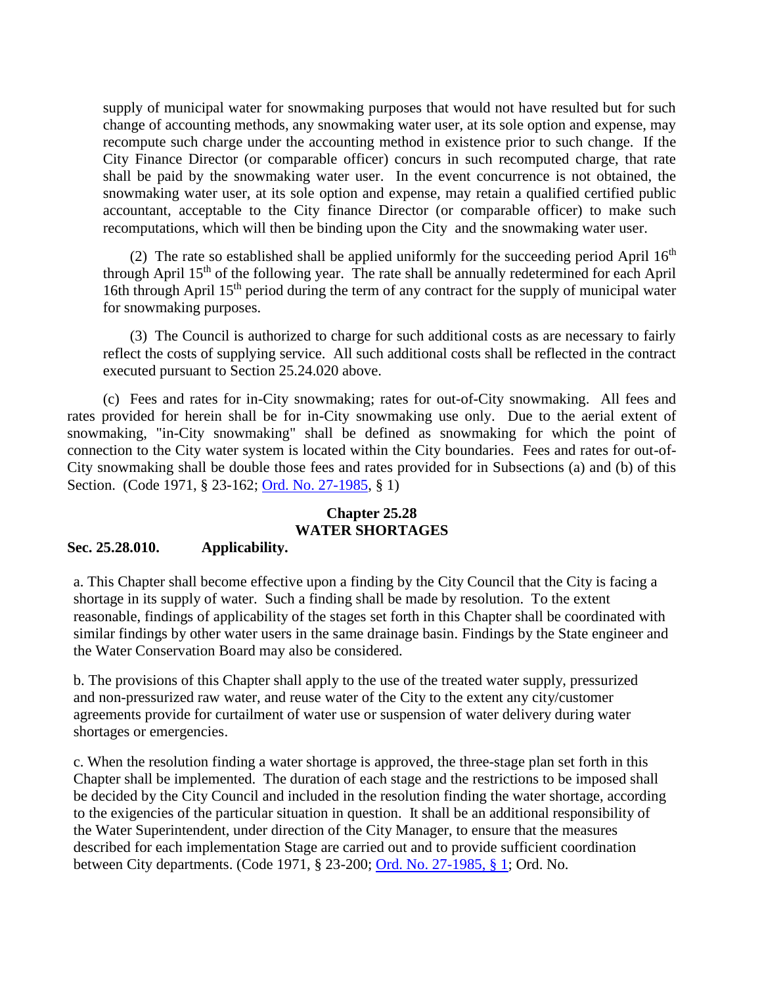supply of municipal water for snowmaking purposes that would not have resulted but for such change of accounting methods, any snowmaking water user, at its sole option and expense, may recompute such charge under the accounting method in existence prior to such change. If the City Finance Director (or comparable officer) concurs in such recomputed charge, that rate shall be paid by the snowmaking water user. In the event concurrence is not obtained, the snowmaking water user, at its sole option and expense, may retain a qualified certified public accountant, acceptable to the City finance Director (or comparable officer) to make such recomputations, which will then be binding upon the City and the snowmaking water user.

(2) The rate so established shall be applied uniformly for the succeeding period April  $16<sup>th</sup>$ through April 15<sup>th</sup> of the following year. The rate shall be annually redetermined for each April 16th through April 15<sup>th</sup> period during the term of any contract for the supply of municipal water for snowmaking purposes.

(3) The Council is authorized to charge for such additional costs as are necessary to fairly reflect the costs of supplying service. All such additional costs shall be reflected in the contract executed pursuant to Section 25.24.020 above.

(c) Fees and rates for in-City snowmaking; rates for out-of-City snowmaking. All fees and rates provided for herein shall be for in-City snowmaking use only. Due to the aerial extent of snowmaking, "in-City snowmaking" shall be defined as snowmaking for which the point of connection to the City water system is located within the City boundaries. Fees and rates for out-of-City snowmaking shall be double those fees and rates provided for in Subsections (a) and (b) of this Section. (Code 1971, § 23-162; [Ord. No. 27-1985,](http://205.170.51.183/WebLink8/DocView.aspx?id=8829&dbid=0) § 1)

# **Chapter 25.28 WATER SHORTAGES**

## <span id="page-59-2"></span><span id="page-59-1"></span><span id="page-59-0"></span>**Sec. 25.28.010. Applicability.**

a. This Chapter shall become effective upon a finding by the City Council that the City is facing a shortage in its supply of water. Such a finding shall be made by resolution. To the extent reasonable, findings of applicability of the stages set forth in this Chapter shall be coordinated with similar findings by other water users in the same drainage basin. Findings by the State engineer and the Water Conservation Board may also be considered.

b. The provisions of this Chapter shall apply to the use of the treated water supply, pressurized and non-pressurized raw water, and reuse water of the City to the extent any city/customer agreements provide for curtailment of water use or suspension of water delivery during water shortages or emergencies.

c. When the resolution finding a water shortage is approved, the three-stage plan set forth in this Chapter shall be implemented. The duration of each stage and the restrictions to be imposed shall be decided by the City Council and included in the resolution finding the water shortage, according to the exigencies of the particular situation in question. It shall be an additional responsibility of the Water Superintendent, under direction of the City Manager, to ensure that the measures described for each implementation Stage are carried out and to provide sufficient coordination between City departments. (Code 1971, § 23-200; [Ord. No. 27-1985, § 1;](https://records.cityofaspen.com/WebLink/0/doc/8829/Page1.aspx) Ord. No.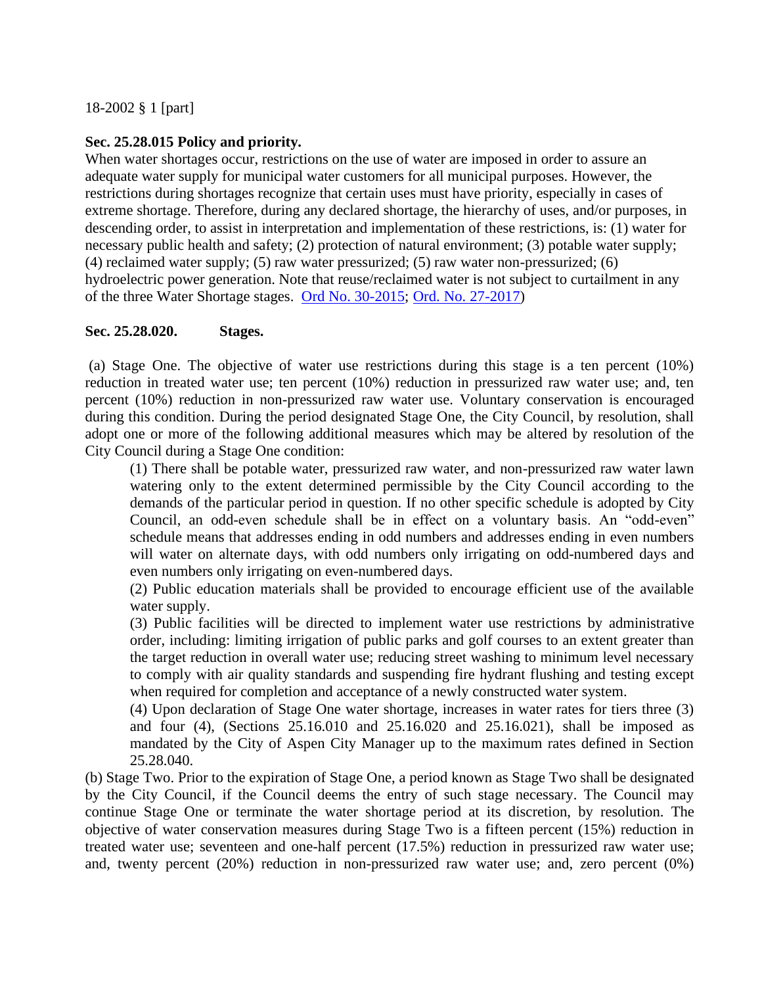# <span id="page-60-0"></span>**Sec. 25.28.015 Policy and priority.**

When water shortages occur, restrictions on the use of water are imposed in order to assure an adequate water supply for municipal water customers for all municipal purposes. However, the restrictions during shortages recognize that certain uses must have priority, especially in cases of extreme shortage. Therefore, during any declared shortage, the hierarchy of uses, and/or purposes, in descending order, to assist in interpretation and implementation of these restrictions, is: (1) water for necessary public health and safety; (2) protection of natural environment; (3) potable water supply; (4) reclaimed water supply; (5) raw water pressurized; (5) raw water non-pressurized; (6) hydroelectric power generation. Note that reuse/reclaimed water is not subject to curtailment in any of the three Water Shortage stages. [Ord No. 30-2015;](http://205.170.51.183/weblink/DocView.aspx?dbid=0&id=210788&page=1&cr=1) [Ord. No. 27-2017\)](https://records.cityofaspen.com/WebLink/0/doc/649832/Page1.aspx)

# <span id="page-60-1"></span>**Sec. 25.28.020. Stages.**

(a) Stage One. The objective of water use restrictions during this stage is a ten percent (10%) reduction in treated water use; ten percent (10%) reduction in pressurized raw water use; and, ten percent (10%) reduction in non-pressurized raw water use. Voluntary conservation is encouraged during this condition. During the period designated Stage One, the City Council, by resolution, shall adopt one or more of the following additional measures which may be altered by resolution of the City Council during a Stage One condition:

(1) There shall be potable water, pressurized raw water, and non-pressurized raw water lawn watering only to the extent determined permissible by the City Council according to the demands of the particular period in question. If no other specific schedule is adopted by City Council, an odd-even schedule shall be in effect on a voluntary basis. An "odd-even" schedule means that addresses ending in odd numbers and addresses ending in even numbers will water on alternate days, with odd numbers only irrigating on odd-numbered days and even numbers only irrigating on even-numbered days.

(2) Public education materials shall be provided to encourage efficient use of the available water supply.

(3) Public facilities will be directed to implement water use restrictions by administrative order, including: limiting irrigation of public parks and golf courses to an extent greater than the target reduction in overall water use; reducing street washing to minimum level necessary to comply with air quality standards and suspending fire hydrant flushing and testing except when required for completion and acceptance of a newly constructed water system.

(4) Upon declaration of Stage One water shortage, increases in water rates for tiers three (3) and four (4), (Sections 25.16.010 and 25.16.020 and 25.16.021), shall be imposed as mandated by the City of Aspen City Manager up to the maximum rates defined in Section 25.28.040.

(b) Stage Two. Prior to the expiration of Stage One, a period known as Stage Two shall be designated by the City Council, if the Council deems the entry of such stage necessary. The Council may continue Stage One or terminate the water shortage period at its discretion, by resolution. The objective of water conservation measures during Stage Two is a fifteen percent (15%) reduction in treated water use; seventeen and one-half percent (17.5%) reduction in pressurized raw water use; and, twenty percent (20%) reduction in non-pressurized raw water use; and, zero percent (0%)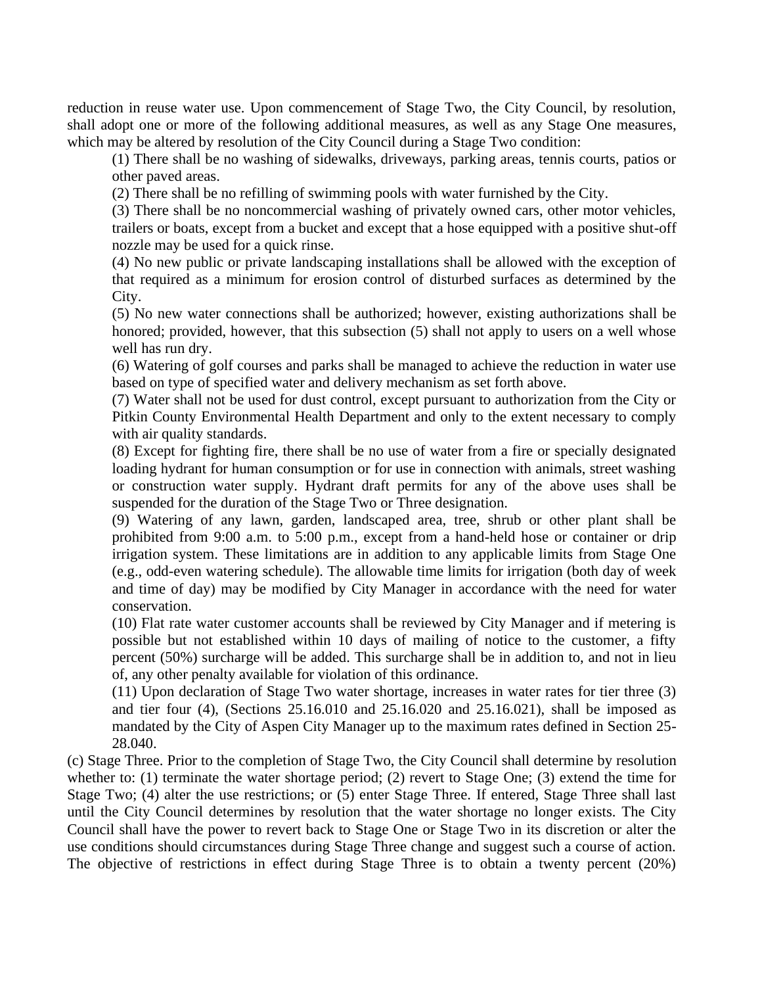reduction in reuse water use. Upon commencement of Stage Two, the City Council, by resolution, shall adopt one or more of the following additional measures, as well as any Stage One measures, which may be altered by resolution of the City Council during a Stage Two condition:

(1) There shall be no washing of sidewalks, driveways, parking areas, tennis courts, patios or other paved areas.

(2) There shall be no refilling of swimming pools with water furnished by the City.

(3) There shall be no noncommercial washing of privately owned cars, other motor vehicles, trailers or boats, except from a bucket and except that a hose equipped with a positive shut-off nozzle may be used for a quick rinse.

(4) No new public or private landscaping installations shall be allowed with the exception of that required as a minimum for erosion control of disturbed surfaces as determined by the City.

(5) No new water connections shall be authorized; however, existing authorizations shall be honored; provided, however, that this subsection (5) shall not apply to users on a well whose well has run dry.

(6) Watering of golf courses and parks shall be managed to achieve the reduction in water use based on type of specified water and delivery mechanism as set forth above.

(7) Water shall not be used for dust control, except pursuant to authorization from the City or Pitkin County Environmental Health Department and only to the extent necessary to comply with air quality standards.

(8) Except for fighting fire, there shall be no use of water from a fire or specially designated loading hydrant for human consumption or for use in connection with animals, street washing or construction water supply. Hydrant draft permits for any of the above uses shall be suspended for the duration of the Stage Two or Three designation.

(9) Watering of any lawn, garden, landscaped area, tree, shrub or other plant shall be prohibited from 9:00 a.m. to 5:00 p.m., except from a hand-held hose or container or drip irrigation system. These limitations are in addition to any applicable limits from Stage One (e.g., odd-even watering schedule). The allowable time limits for irrigation (both day of week and time of day) may be modified by City Manager in accordance with the need for water conservation.

(10) Flat rate water customer accounts shall be reviewed by City Manager and if metering is possible but not established within 10 days of mailing of notice to the customer, a fifty percent (50%) surcharge will be added. This surcharge shall be in addition to, and not in lieu of, any other penalty available for violation of this ordinance.

(11) Upon declaration of Stage Two water shortage, increases in water rates for tier three (3) and tier four (4), (Sections 25.16.010 and 25.16.020 and 25.16.021), shall be imposed as mandated by the City of Aspen City Manager up to the maximum rates defined in Section 25- 28.040.

(c) Stage Three. Prior to the completion of Stage Two, the City Council shall determine by resolution whether to: (1) terminate the water shortage period; (2) revert to Stage One; (3) extend the time for Stage Two; (4) alter the use restrictions; or (5) enter Stage Three. If entered, Stage Three shall last until the City Council determines by resolution that the water shortage no longer exists. The City Council shall have the power to revert back to Stage One or Stage Two in its discretion or alter the use conditions should circumstances during Stage Three change and suggest such a course of action. The objective of restrictions in effect during Stage Three is to obtain a twenty percent (20%)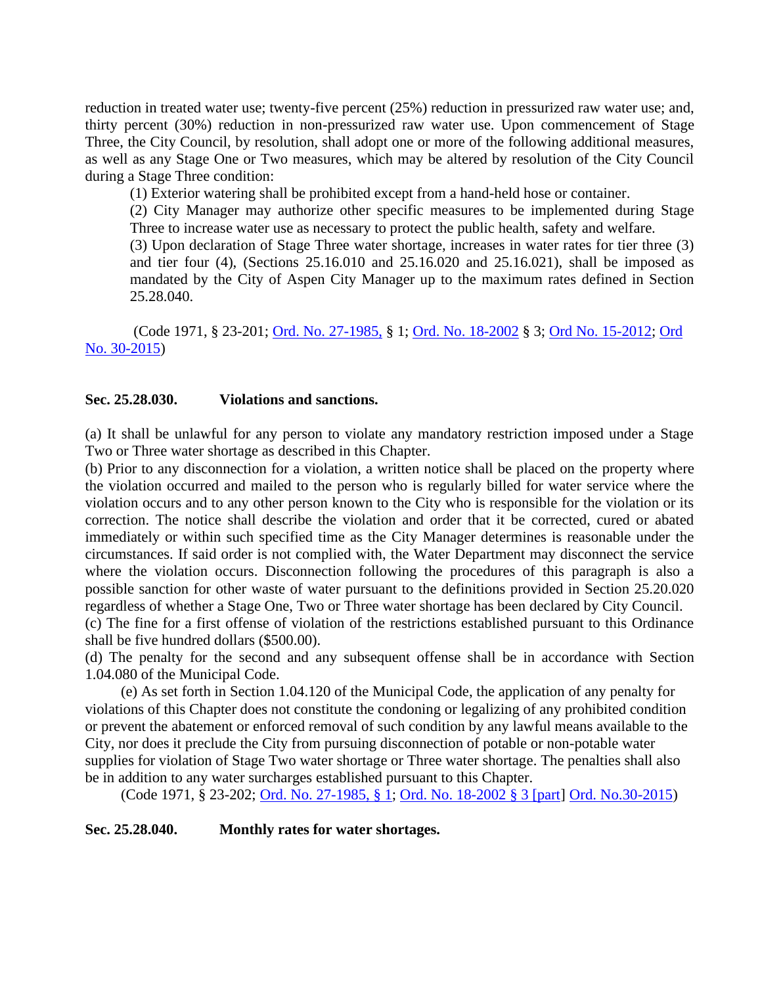reduction in treated water use; twenty-five percent (25%) reduction in pressurized raw water use; and, thirty percent (30%) reduction in non-pressurized raw water use. Upon commencement of Stage Three, the City Council, by resolution, shall adopt one or more of the following additional measures, as well as any Stage One or Two measures, which may be altered by resolution of the City Council during a Stage Three condition:

(1) Exterior watering shall be prohibited except from a hand-held hose or container.

(2) City Manager may authorize other specific measures to be implemented during Stage Three to increase water use as necessary to protect the public health, safety and welfare.

(3) Upon declaration of Stage Three water shortage, increases in water rates for tier three (3) and tier four (4), (Sections 25.16.010 and 25.16.020 and 25.16.021), shall be imposed as mandated by the City of Aspen City Manager up to the maximum rates defined in Section 25.28.040.

(Code 1971, § 23-201; [Ord. No. 27-1985,](http://205.170.51.183/WebLink8/DocView.aspx?id=8829&dbid=0) § 1; [Ord. No. 18-2002](http://205.170.51.183/WebLink8/DocView.aspx?id=21074&dbid=0) § 3; [Ord No. 15-2012;](http://205.170.51.183/WebLink8/DocView.aspx?id=171498&dbid=0) [Ord](http://205.170.51.183/weblink/DocView.aspx?dbid=0&id=210788&page=1&cr=1)  [No. 30-2015\)](http://205.170.51.183/weblink/DocView.aspx?dbid=0&id=210788&page=1&cr=1)

## <span id="page-62-0"></span>**Sec. 25.28.030. Violations and sanctions.**

(a) It shall be unlawful for any person to violate any mandatory restriction imposed under a Stage Two or Three water shortage as described in this Chapter.

(b) Prior to any disconnection for a violation, a written notice shall be placed on the property where the violation occurred and mailed to the person who is regularly billed for water service where the violation occurs and to any other person known to the City who is responsible for the violation or its correction. The notice shall describe the violation and order that it be corrected, cured or abated immediately or within such specified time as the City Manager determines is reasonable under the circumstances. If said order is not complied with, the Water Department may disconnect the service where the violation occurs. Disconnection following the procedures of this paragraph is also a possible sanction for other waste of water pursuant to the definitions provided in Section 25.20.020 regardless of whether a Stage One, Two or Three water shortage has been declared by City Council. (c) The fine for a first offense of violation of the restrictions established pursuant to this Ordinance shall be five hundred dollars (\$500.00).

(d) The penalty for the second and any subsequent offense shall be in accordance with Section 1.04.080 of the Municipal Code.

(e) As set forth in Section 1.04.120 of the Municipal Code, the application of any penalty for violations of this Chapter does not constitute the condoning or legalizing of any prohibited condition or prevent the abatement or enforced removal of such condition by any lawful means available to the City, nor does it preclude the City from pursuing disconnection of potable or non-potable water supplies for violation of Stage Two water shortage or Three water shortage. The penalties shall also be in addition to any water surcharges established pursuant to this Chapter.

(Code 1971, § 23-202; [Ord. No. 27-1985, § 1;](https://cityofaspen.kronos.net/wfc/navigator/lohttps:/records.cityofaspen.com/WebLink/0/doc/8829/Page1.aspxgon) [Ord. No. 18-2002 § 3 \[part\]](https://records.cityofaspen.com/WebLink/0/doc/21074/Page1.aspx) [Ord. No.30-2015\)](http://205.170.51.183/weblink/DocView.aspx?dbid=0&id=210788&page=1&cr=1)

## <span id="page-62-1"></span>**Sec. 25.28.040. Monthly rates for water shortages.**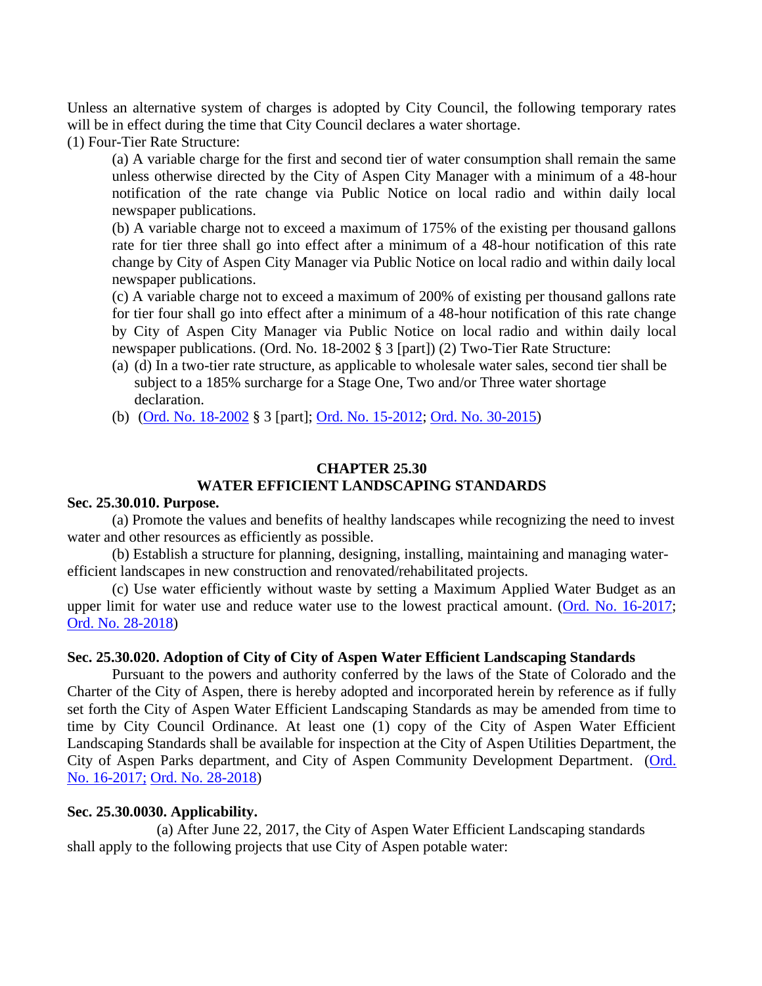Unless an alternative system of charges is adopted by City Council, the following temporary rates will be in effect during the time that City Council declares a water shortage.

(1) Four-Tier Rate Structure:

(a) A variable charge for the first and second tier of water consumption shall remain the same unless otherwise directed by the City of Aspen City Manager with a minimum of a 48-hour notification of the rate change via Public Notice on local radio and within daily local newspaper publications.

(b) A variable charge not to exceed a maximum of 175% of the existing per thousand gallons rate for tier three shall go into effect after a minimum of a 48-hour notification of this rate change by City of Aspen City Manager via Public Notice on local radio and within daily local newspaper publications.

(c) A variable charge not to exceed a maximum of 200% of existing per thousand gallons rate for tier four shall go into effect after a minimum of a 48-hour notification of this rate change by City of Aspen City Manager via Public Notice on local radio and within daily local newspaper publications. (Ord. No. 18-2002 § 3 [part]) (2) Two-Tier Rate Structure:

- (a) (d) In a two-tier rate structure, as applicable to wholesale water sales, second tier shall be subject to a 185% surcharge for a Stage One, Two and/or Three water shortage declaration.
- (b) [\(Ord. No. 18-2002](http://205.170.51.183/WebLink8/DocView.aspx?id=21074&dbid=0) § 3 [part]; [Ord. No. 15-2012;](http://205.170.51.183/WebLink8/DocView.aspx?id=171498&dbid=0) [Ord. No. 30-2015\)](http://205.170.51.183/weblink/DocView.aspx?dbid=0&id=210788&page=1&cr=1)

# **CHAPTER 25.30 WATER EFFICIENT LANDSCAPING STANDARDS**

## <span id="page-63-2"></span><span id="page-63-1"></span><span id="page-63-0"></span>**Sec. 25.30.010. Purpose.**

(a) Promote the values and benefits of healthy landscapes while recognizing the need to invest water and other resources as efficiently as possible.

(b) Establish a structure for planning, designing, installing, maintaining and managing waterefficient landscapes in new construction and renovated/rehabilitated projects.

(c) Use water efficiently without waste by setting a Maximum Applied Water Budget as an upper limit for water use and reduce water use to the lowest practical amount. [\(Ord. No. 16-2017;](https://records.cityofaspen.com/WebLink/0/doc/523065/Page1.aspx) [Ord. No. 28-2018\)](https://records.cityofaspen.com/WebLink/0/doc/1412784/Page1.aspx.)

## <span id="page-63-3"></span>**Sec. 25.30.020. Adoption of City of City of Aspen Water Efficient Landscaping Standards**

Pursuant to the powers and authority conferred by the laws of the State of Colorado and the Charter of the City of Aspen, there is hereby adopted and incorporated herein by reference as if fully set forth the City of Aspen Water Efficient Landscaping Standards as may be amended from time to time by City Council Ordinance. At least one (1) copy of the City of Aspen Water Efficient Landscaping Standards shall be available for inspection at the City of Aspen Utilities Department, the City of Aspen Parks department, and City of Aspen Community Development Department. [\(Ord.](https://records.cityofaspen.com/WebLink/0/doc/523065/Page1.aspx) [No. 16-2017;](https://records.cityofaspen.com/WebLink/0/doc/523065/Page1.aspx) [Ord. No. 28-2018\)](https://records.cityofaspen.com/WebLink/0/doc/1412784/Page1.aspx.)

## <span id="page-63-4"></span>**Sec. 25.30.0030. Applicability.**

(a) After June 22, 2017, the City of Aspen Water Efficient Landscaping standards shall apply to the following projects that use City of Aspen potable water: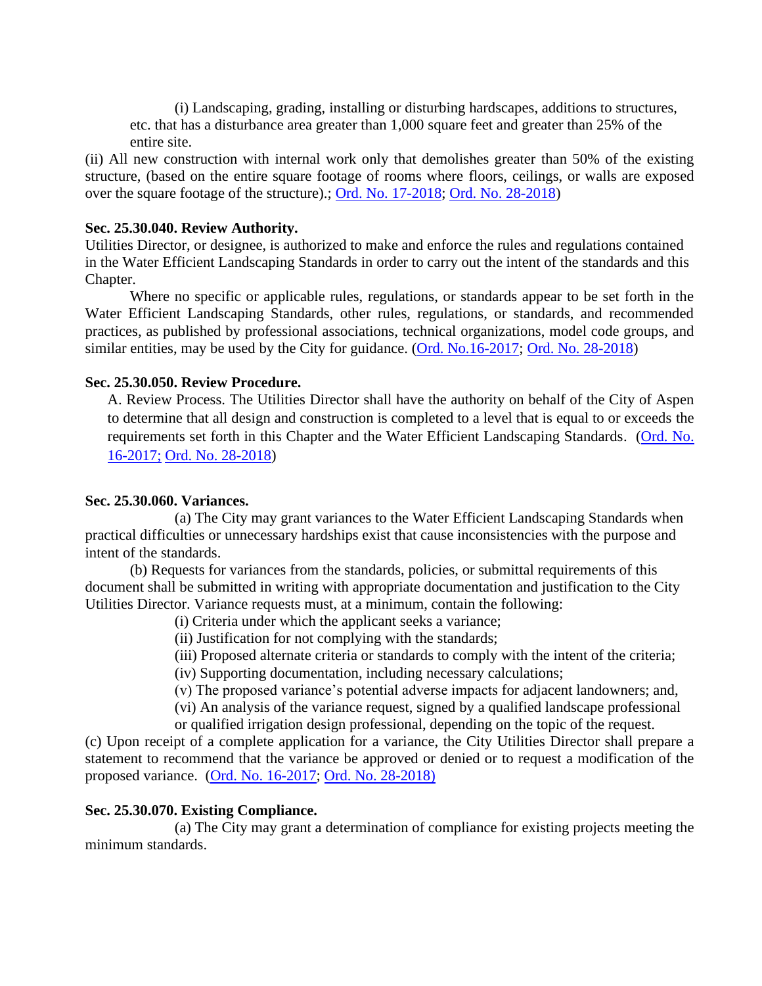(i) Landscaping, grading, installing or disturbing hardscapes, additions to structures, etc. that has a disturbance area greater than 1,000 square feet and greater than 25% of the entire site.

(ii) All new construction with internal work only that demolishes greater than 50% of the existing structure, (based on the entire square footage of rooms where floors, ceilings, or walls are exposed over the square footage of the structure).; [Ord. No. 17-2018;](https://records.cityofaspen.com/WebLink/0/doc/1035307/Page1.aspx) [Ord. No. 28-2018\)](https://records.cityofaspen.com/WebLink/0/doc/1412784/Page1.aspx.)

#### <span id="page-64-0"></span>**Sec. 25.30.040. Review Authority.**

Utilities Director, or designee, is authorized to make and enforce the rules and regulations contained in the Water Efficient Landscaping Standards in order to carry out the intent of the standards and this Chapter.

Where no specific or applicable rules, regulations, or standards appear to be set forth in the Water Efficient Landscaping Standards, other rules, regulations, or standards, and recommended practices, as published by professional associations, technical organizations, model code groups, and similar entities, may be used by the City for guidance. [\(Ord. No.16-2017;](https://records.cityofaspen.com/WebLink/0/doc/523065/Page1.aspx) [Ord. No. 28-2018\)](https://records.cityofaspen.com/WebLink/0/doc/1412784/Page1.aspx.)

#### <span id="page-64-1"></span>**Sec. 25.30.050. Review Procedure.**

A. Review Process. The Utilities Director shall have the authority on behalf of the City of Aspen to determine that all design and construction is completed to a level that is equal to or exceeds the requirements set forth in this Chapter and the Water Efficient Landscaping Standards. [\(Ord. No.](https://records.cityofaspen.com/WebLink/0/doc/523065/Page1.aspx)  [16-2017;](https://records.cityofaspen.com/WebLink/0/doc/523065/Page1.aspx) [Ord. No. 28-2018\)](https://records.cityofaspen.com/WebLink/0/doc/1412784/Page1.aspx.)

## <span id="page-64-2"></span>**Sec. 25.30.060. Variances.**

(a) The City may grant variances to the Water Efficient Landscaping Standards when practical difficulties or unnecessary hardships exist that cause inconsistencies with the purpose and intent of the standards.

(b) Requests for variances from the standards, policies, or submittal requirements of this document shall be submitted in writing with appropriate documentation and justification to the City Utilities Director. Variance requests must, at a minimum, contain the following:

- (i) Criteria under which the applicant seeks a variance;
- (ii) Justification for not complying with the standards;
- (iii) Proposed alternate criteria or standards to comply with the intent of the criteria;
- (iv) Supporting documentation, including necessary calculations;
- (v) The proposed variance's potential adverse impacts for adjacent landowners; and,

(vi) An analysis of the variance request, signed by a qualified landscape professional

or qualified irrigation design professional, depending on the topic of the request.

(c) Upon receipt of a complete application for a variance, the City Utilities Director shall prepare a statement to recommend that the variance be approved or denied or to request a modification of the proposed variance. [\(Ord. No. 16-2017;](https://records.cityofaspen.com/WebLink/0/doc/523065/Page1.aspx) [Ord. No. 28-2018\)](https://records.cityofaspen.com/WebLink/0/doc/1412784/Page1.aspx.)

## <span id="page-64-3"></span>**Sec. 25.30.070. Existing Compliance.**

(a) The City may grant a determination of compliance for existing projects meeting the minimum standards.